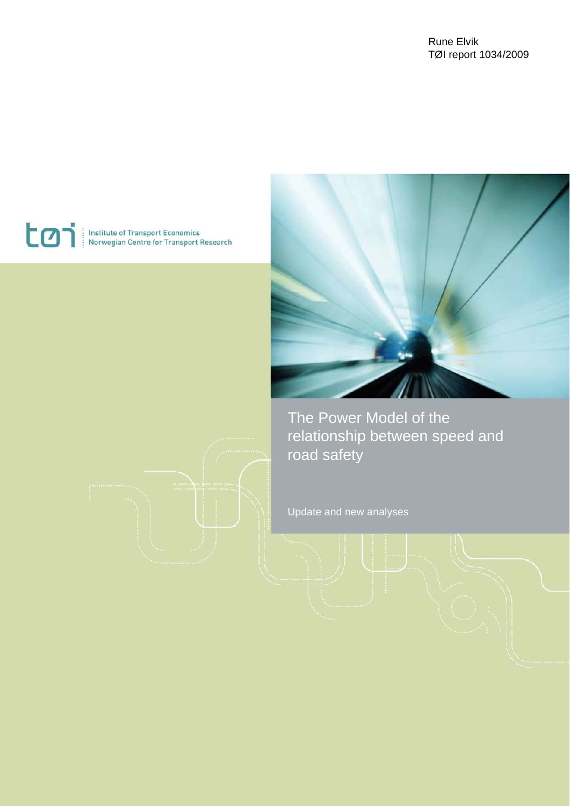#### Rune Elvik TØI report 1034/2009

# toi

Institute of Transport Economics<br>Norwegian Centre for Transport Research



The Power Model of the relationship between speed and road safety

Update and new analyses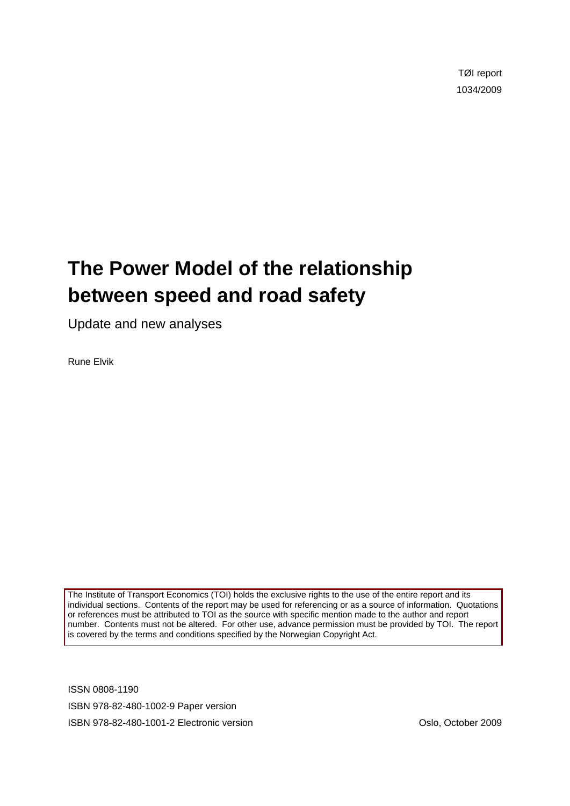TØI report 1034/2009

# **The Power Model of the relationship between speed and road safety**

Update and new analyses

Rune Elvik

The Institute of Transport Economics (TOI) holds the exclusive rights to the use of the entire report and its individual sections. Contents of the report may be used for referencing or as a source of information. Quotations or references must be attributed to TOI as the source with specific mention made to the author and report number. Contents must not be altered. For other use, advance permission must be provided by TOI. The report is covered by the terms and conditions specified by the Norwegian Copyright Act.

ISSN 0808-1190 ISBN 978-82-480-1002-9 Paper version ISBN 978-82-480-1001-2 Electronic version Oslo, October 2009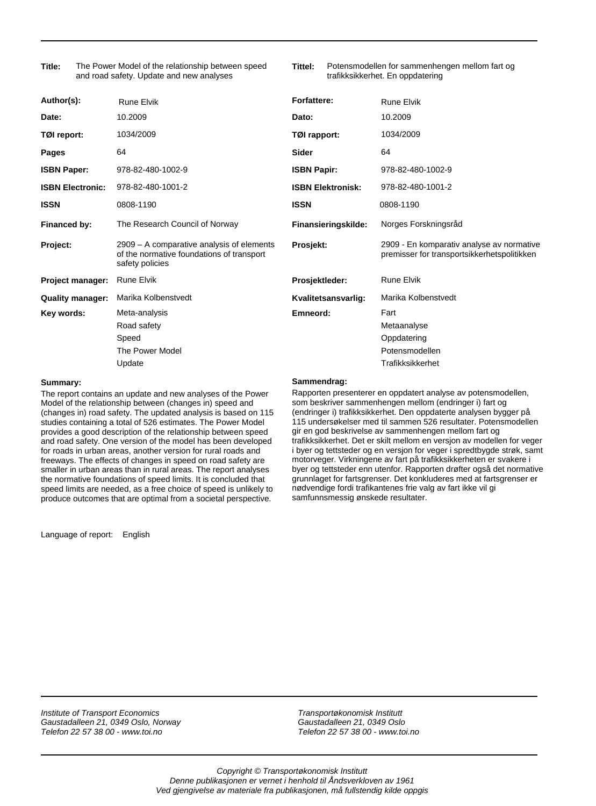The Power Model of the relationship between speed and road safety. Update and new analyses **Title:**

**Tittel:** Potensmodellen for sammenhengen mellom fart og trafikksikkerhet. En oppdatering

| Author(s):              | <b>Rune Elvik</b>                                                                                         | <b>Forfattere:</b>       | <b>Rune Elvik</b>                                                                        |
|-------------------------|-----------------------------------------------------------------------------------------------------------|--------------------------|------------------------------------------------------------------------------------------|
| Date:                   | 10.2009                                                                                                   | Dato:                    | 10.2009                                                                                  |
| TØI report:             | 1034/2009                                                                                                 | TØI rapport:             | 1034/2009                                                                                |
| Pages                   | 64                                                                                                        | <b>Sider</b>             | 64                                                                                       |
| <b>ISBN Paper:</b>      | 978-82-480-1002-9                                                                                         | <b>ISBN Papir:</b>       | 978-82-480-1002-9                                                                        |
| <b>ISBN Electronic:</b> | 978-82-480-1001-2                                                                                         | <b>ISBN Elektronisk:</b> | 978-82-480-1001-2                                                                        |
| <b>ISSN</b>             | 0808-1190                                                                                                 | <b>ISSN</b>              | 0808-1190                                                                                |
| Financed by:            | The Research Council of Norway                                                                            | Finansieringskilde:      | Norges Forskningsråd                                                                     |
| Project:                | 2909 – A comparative analysis of elements<br>of the normative foundations of transport<br>safety policies | Prosjekt:                | 2909 - En komparativ analyse av normative<br>premisser for transportsikkerhetspolitikken |
| Project manager:        | <b>Rune Elvik</b>                                                                                         | Prosjektleder:           | <b>Rune Elvik</b>                                                                        |
| <b>Quality manager:</b> | Marika Kolbenstvedt                                                                                       | Kvalitetsansvarlig:      | Marika Kolbenstvedt                                                                      |
| Key words:              | Meta-analysis<br>Road safety<br>Speed<br>The Power Model<br>Update                                        | Emneord:                 | Fart<br>Metaanalyse<br>Oppdatering<br>Potensmodellen<br>Trafikksikkerhet                 |

#### **Summary:**

The report contains an update and new analyses of the Power Model of the relationship between (changes in) speed and (changes in) road safety. The updated analysis is based on 115 studies containing a total of 526 estimates. The Power Model provides a good description of the relationship between speed and road safety. One version of the model has been developed for roads in urban areas, another version for rural roads and freeways. The effects of changes in speed on road safety are smaller in urban areas than in rural areas. The report analyses the normative foundations of speed limits. It is concluded that speed limits are needed, as a free choice of speed is unlikely to produce outcomes that are optimal from a societal perspective.

Language of report: English

**Sammendrag:**

Rapporten presenterer en oppdatert analyse av potensmodellen, som beskriver sammenhengen mellom (endringer i) fart og (endringer i) trafikksikkerhet. Den oppdaterte analysen bygger på 115 undersøkelser med til sammen 526 resultater. Potensmodellen gir en god beskrivelse av sammenhengen mellom fart og trafikksikkerhet. Det er skilt mellom en versjon av modellen for veger i byer og tettsteder og en versjon for veger i spredtbygde strøk, samt motorveger. Virkningene av fart på trafikksikkerheten er svakere i byer og tettsteder enn utenfor. Rapporten drøfter også det normative grunnlaget for fartsgrenser. Det konkluderes med at fartsgrenser er nødvendige fordi trafikantenes frie valg av fart ikke vil gi samfunnsmessig ønskede resultater.

*Institute of Transport Economics Gaustadalleen 21, 0349 Oslo, Norway Telefon 22 57 38 00 - www.toi.no*

*Transportøkonomisk Institutt Gaustadalleen 21, 0349 Oslo Telefon 22 57 38 00 - www.toi.no*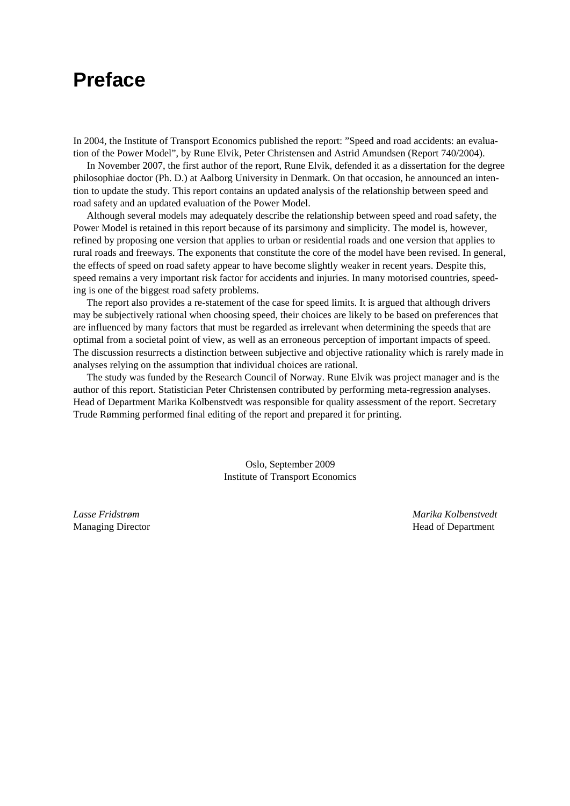### **Preface**

In 2004, the Institute of Transport Economics published the report: "Speed and road accidents: an evaluation of the Power Model", by Rune Elvik, Peter Christensen and Astrid Amundsen (Report 740/2004).

In November 2007, the first author of the report, Rune Elvik, defended it as a dissertation for the degree philosophiae doctor (Ph. D.) at Aalborg University in Denmark. On that occasion, he announced an intention to update the study. This report contains an updated analysis of the relationship between speed and road safety and an updated evaluation of the Power Model.

Although several models may adequately describe the relationship between speed and road safety, the Power Model is retained in this report because of its parsimony and simplicity. The model is, however, refined by proposing one version that applies to urban or residential roads and one version that applies to rural roads and freeways. The exponents that constitute the core of the model have been revised. In general, the effects of speed on road safety appear to have become slightly weaker in recent years. Despite this, speed remains a very important risk factor for accidents and injuries. In many motorised countries, speeding is one of the biggest road safety problems.

The report also provides a re-statement of the case for speed limits. It is argued that although drivers may be subjectively rational when choosing speed, their choices are likely to be based on preferences that are influenced by many factors that must be regarded as irrelevant when determining the speeds that are optimal from a societal point of view, as well as an erroneous perception of important impacts of speed. The discussion resurrects a distinction between subjective and objective rationality which is rarely made in analyses relying on the assumption that individual choices are rational.

The study was funded by the Research Council of Norway. Rune Elvik was project manager and is the author of this report. Statistician Peter Christensen contributed by performing meta-regression analyses. Head of Department Marika Kolbenstvedt was responsible for quality assessment of the report. Secretary Trude Rømming performed final editing of the report and prepared it for printing.

> Oslo, September 2009 Institute of Transport Economics

*Lasse Fridstrøm Marika Kolbenstvedt*  Managing Director **Head of Department**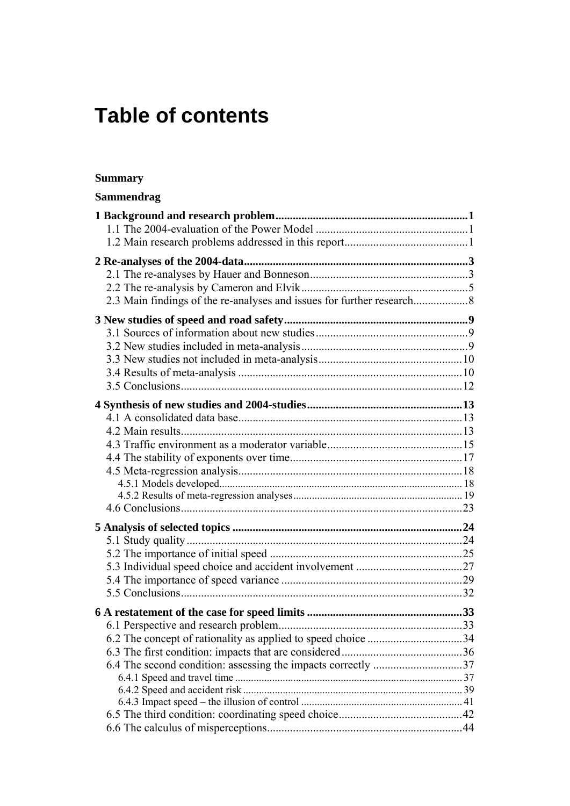# **Table of contents**

#### **Summary**

| <b>Sammendrag</b> |  |
|-------------------|--|
|                   |  |
|                   |  |
|                   |  |
|                   |  |
|                   |  |
|                   |  |
|                   |  |
|                   |  |
|                   |  |
|                   |  |
|                   |  |
|                   |  |
|                   |  |
|                   |  |
|                   |  |
|                   |  |
|                   |  |
|                   |  |
|                   |  |
|                   |  |
|                   |  |
|                   |  |
|                   |  |
|                   |  |
|                   |  |
|                   |  |
|                   |  |
|                   |  |
|                   |  |
|                   |  |
|                   |  |
|                   |  |
|                   |  |
|                   |  |
|                   |  |
|                   |  |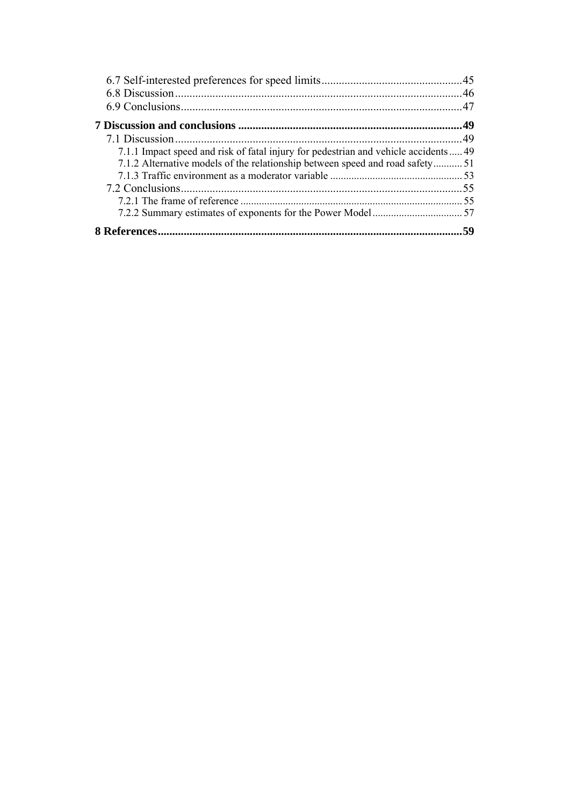| 7.1.1 Impact speed and risk of fatal injury for pedestrian and vehicle accidents 49 |     |
|-------------------------------------------------------------------------------------|-----|
| 7.1.2 Alternative models of the relationship between speed and road safety51        |     |
|                                                                                     |     |
|                                                                                     |     |
|                                                                                     |     |
|                                                                                     |     |
|                                                                                     | .59 |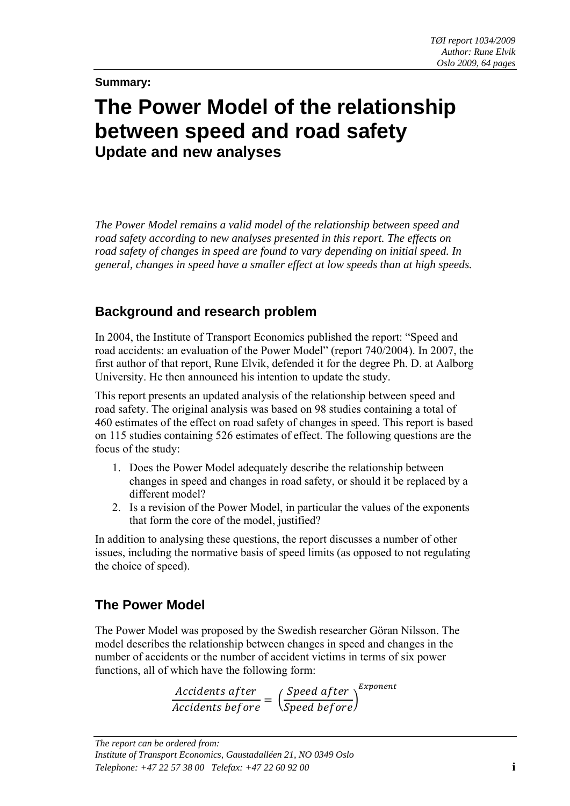#### **Summary:**

## **The Power Model of the relationship between speed and road safety Update and new analyses**

*The Power Model remains a valid model of the relationship between speed and road safety according to new analyses presented in this report. The effects on road safety of changes in speed are found to vary depending on initial speed. In general, changes in speed have a smaller effect at low speeds than at high speeds.* 

#### **Background and research problem**

In 2004, the Institute of Transport Economics published the report: "Speed and road accidents: an evaluation of the Power Model" (report 740/2004). In 2007, the first author of that report, Rune Elvik, defended it for the degree Ph. D. at Aalborg University. He then announced his intention to update the study.

This report presents an updated analysis of the relationship between speed and road safety. The original analysis was based on 98 studies containing a total of 460 estimates of the effect on road safety of changes in speed. This report is based on 115 studies containing 526 estimates of effect. The following questions are the focus of the study:

- 1. Does the Power Model adequately describe the relationship between changes in speed and changes in road safety, or should it be replaced by a different model?
- 2. Is a revision of the Power Model, in particular the values of the exponents that form the core of the model, justified?

In addition to analysing these questions, the report discusses a number of other issues, including the normative basis of speed limits (as opposed to not regulating the choice of speed).

#### **The Power Model**

The Power Model was proposed by the Swedish researcher Göran Nilsson. The model describes the relationship between changes in speed and changes in the number of accidents or the number of accident victims in terms of six power functions, all of which have the following form:

```
Accidents after (Speed after
rac{1}{\text{Arccidents before}} = \frac{1}{\text{Speed before}}Exponent
```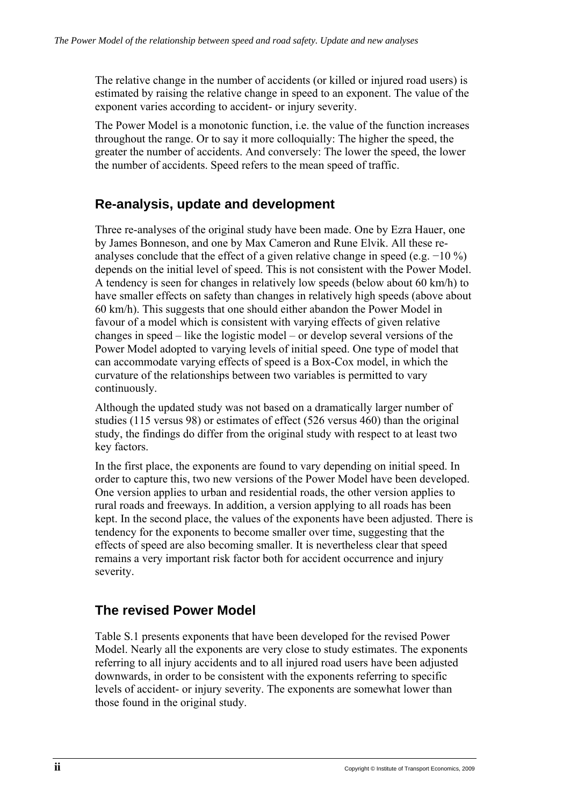The relative change in the number of accidents (or killed or injured road users) is estimated by raising the relative change in speed to an exponent. The value of the exponent varies according to accident- or injury severity.

The Power Model is a monotonic function, i.e. the value of the function increases throughout the range. Or to say it more colloquially: The higher the speed, the greater the number of accidents. And conversely: The lower the speed, the lower the number of accidents. Speed refers to the mean speed of traffic.

#### **Re-analysis, update and development**

Three re-analyses of the original study have been made. One by Ezra Hauer, one by James Bonneson, and one by Max Cameron and Rune Elvik. All these reanalyses conclude that the effect of a given relative change in speed (e.g. −10 %) depends on the initial level of speed. This is not consistent with the Power Model. A tendency is seen for changes in relatively low speeds (below about 60 km/h) to have smaller effects on safety than changes in relatively high speeds (above about 60 km/h). This suggests that one should either abandon the Power Model in favour of a model which is consistent with varying effects of given relative changes in speed – like the logistic model – or develop several versions of the Power Model adopted to varying levels of initial speed. One type of model that can accommodate varying effects of speed is a Box-Cox model, in which the curvature of the relationships between two variables is permitted to vary continuously.

Although the updated study was not based on a dramatically larger number of studies (115 versus 98) or estimates of effect (526 versus 460) than the original study, the findings do differ from the original study with respect to at least two key factors.

In the first place, the exponents are found to vary depending on initial speed. In order to capture this, two new versions of the Power Model have been developed. One version applies to urban and residential roads, the other version applies to rural roads and freeways. In addition, a version applying to all roads has been kept. In the second place, the values of the exponents have been adjusted. There is tendency for the exponents to become smaller over time, suggesting that the effects of speed are also becoming smaller. It is nevertheless clear that speed remains a very important risk factor both for accident occurrence and injury severity.

#### **The revised Power Model**

Table S.1 presents exponents that have been developed for the revised Power Model. Nearly all the exponents are very close to study estimates. The exponents referring to all injury accidents and to all injured road users have been adjusted downwards, in order to be consistent with the exponents referring to specific levels of accident- or injury severity. The exponents are somewhat lower than those found in the original study.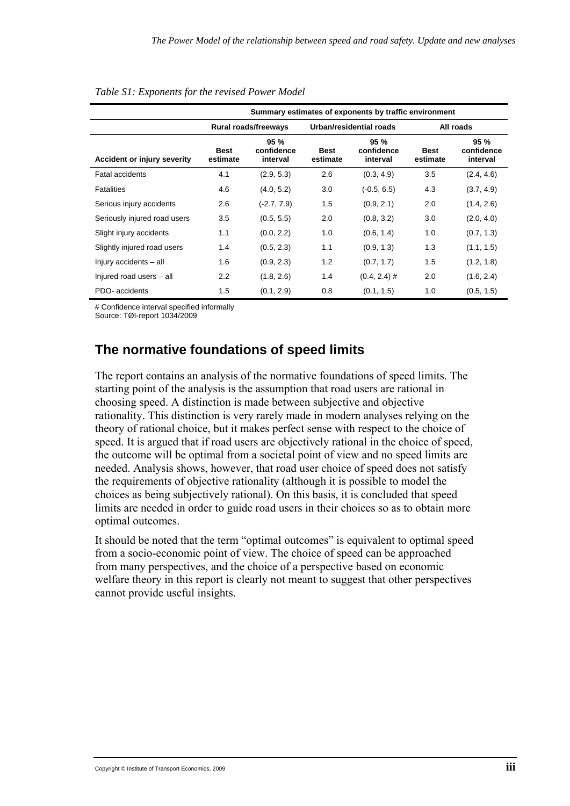|                                    | Summary estimates of exponents by traffic environment    |                      |                         |                               |                         |                                   |
|------------------------------------|----------------------------------------------------------|----------------------|-------------------------|-------------------------------|-------------------------|-----------------------------------|
|                                    |                                                          | Rural roads/freeways |                         | Urban/residential roads       | All roads               |                                   |
| <b>Accident or injury severity</b> | 95%<br>confidence<br><b>Best</b><br>interval<br>estimate |                      | <b>Best</b><br>estimate | 95%<br>confidence<br>interval | <b>Best</b><br>estimate | $95 \%$<br>confidence<br>interval |
| <b>Fatal accidents</b>             | 4.1                                                      | (2.9, 5.3)           | 2.6                     | (0.3, 4.9)                    | 3.5                     | (2.4, 4.6)                        |
| <b>Fatalities</b>                  | 4.6                                                      | (4.0, 5.2)           | 3.0                     | $(-0.5, 6.5)$                 | 4.3                     | (3.7, 4.9)                        |
| Serious injury accidents           | 2.6                                                      | $(-2.7, 7.9)$        | 1.5                     | (0.9, 2.1)                    | 2.0                     | (1.4, 2.6)                        |
| Seriously injured road users       | 3.5                                                      | (0.5, 5.5)           | 2.0                     | (0.8, 3.2)                    | 3.0                     | (2.0, 4.0)                        |
| Slight injury accidents            | 1.1                                                      | (0.0, 2.2)           | 1.0                     | (0.6, 1.4)                    | 1.0                     | (0.7, 1.3)                        |
| Slightly injured road users        | 1.4                                                      | (0.5, 2.3)           | 1.1                     | (0.9, 1.3)                    | 1.3                     | (1.1, 1.5)                        |
| Injury accidents - all             | 1.6                                                      | (0.9, 2.3)           | 1.2                     | (0.7, 1.7)                    | 1.5                     | (1.2, 1.8)                        |
| Injured road users - all           | 2.2                                                      | (1.8, 2.6)           | 1.4                     | $(0.4, 2.4)$ #                | 2.0                     | (1.6, 2.4)                        |
| PDO- accidents                     | 1.5                                                      | (0.1, 2.9)           | 0.8                     | (0.1, 1.5)                    | 1.0                     | (0.5, 1.5)                        |

#### *Table S1: Exponents for the revised Power Model*

# Confidence interval specified informally

Source: TØI-report 1034/2009

#### **The normative foundations of speed limits**

The report contains an analysis of the normative foundations of speed limits. The starting point of the analysis is the assumption that road users are rational in choosing speed. A distinction is made between subjective and objective rationality. This distinction is very rarely made in modern analyses relying on the theory of rational choice, but it makes perfect sense with respect to the choice of speed. It is argued that if road users are objectively rational in the choice of speed, the outcome will be optimal from a societal point of view and no speed limits are needed. Analysis shows, however, that road user choice of speed does not satisfy the requirements of objective rationality (although it is possible to model the choices as being subjectively rational). On this basis, it is concluded that speed limits are needed in order to guide road users in their choices so as to obtain more optimal outcomes.

It should be noted that the term "optimal outcomes" is equivalent to optimal speed from a socio-economic point of view. The choice of speed can be approached from many perspectives, and the choice of a perspective based on economic welfare theory in this report is clearly not meant to suggest that other perspectives cannot provide useful insights.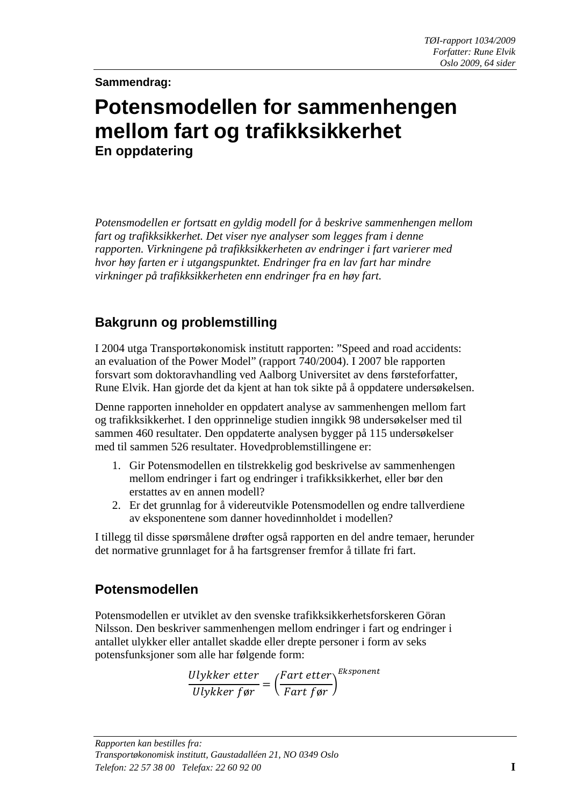**Sammendrag:** 

### **Potensmodellen for sammenhengen mellom fart og trafikksikkerhet En oppdatering**

*Potensmodellen er fortsatt en gyldig modell for å beskrive sammenhengen mellom fart og trafikksikkerhet. Det viser nye analyser som legges fram i denne rapporten. Virkningene på trafikksikkerheten av endringer i fart varierer med hvor høy farten er i utgangspunktet. Endringer fra en lav fart har mindre virkninger på trafikksikkerheten enn endringer fra en høy fart.* 

#### **Bakgrunn og problemstilling**

I 2004 utga Transportøkonomisk institutt rapporten: "Speed and road accidents: an evaluation of the Power Model" (rapport 740/2004). I 2007 ble rapporten forsvart som doktoravhandling ved Aalborg Universitet av dens førsteforfatter, Rune Elvik. Han gjorde det da kjent at han tok sikte på å oppdatere undersøkelsen.

Denne rapporten inneholder en oppdatert analyse av sammenhengen mellom fart og trafikksikkerhet. I den opprinnelige studien inngikk 98 undersøkelser med til sammen 460 resultater. Den oppdaterte analysen bygger på 115 undersøkelser med til sammen 526 resultater. Hovedproblemstillingene er:

- 1. Gir Potensmodellen en tilstrekkelig god beskrivelse av sammenhengen mellom endringer i fart og endringer i trafikksikkerhet, eller bør den erstattes av en annen modell?
- 2. Er det grunnlag for å videreutvikle Potensmodellen og endre tallverdiene av eksponentene som danner hovedinnholdet i modellen?

I tillegg til disse spørsmålene drøfter også rapporten en del andre temaer, herunder det normative grunnlaget for å ha fartsgrenser fremfor å tillate fri fart.

#### **Potensmodellen**

Potensmodellen er utviklet av den svenske trafikksikkerhetsforskeren Göran Nilsson. Den beskriver sammenhengen mellom endringer i fart og endringer i antallet ulykker eller antallet skadde eller drepte personer i form av seks potensfunksjoner som alle har følgende form:

$$
\frac{Ulykker\;etter}{Ulykker\;far} = \left(\frac{Fart\;etter}{Fart\;far}\right)^{Eksponent}
$$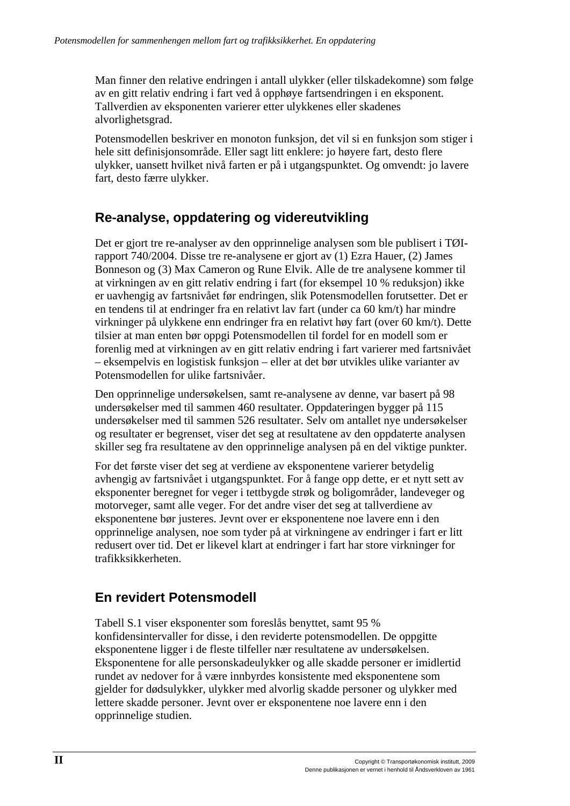Man finner den relative endringen i antall ulykker (eller tilskadekomne) som følge av en gitt relativ endring i fart ved å opphøye fartsendringen i en eksponent. Tallverdien av eksponenten varierer etter ulykkenes eller skadenes alvorlighetsgrad.

Potensmodellen beskriver en monoton funksjon, det vil si en funksjon som stiger i hele sitt definisjonsområde. Eller sagt litt enklere: jo høyere fart, desto flere ulykker, uansett hvilket nivå farten er på i utgangspunktet. Og omvendt: jo lavere fart, desto færre ulykker.

### **Re-analyse, oppdatering og videreutvikling**

Det er gjort tre re-analyser av den opprinnelige analysen som ble publisert i TØIrapport 740/2004. Disse tre re-analysene er gjort av (1) Ezra Hauer, (2) James Bonneson og (3) Max Cameron og Rune Elvik. Alle de tre analysene kommer til at virkningen av en gitt relativ endring i fart (for eksempel 10 % reduksjon) ikke er uavhengig av fartsnivået før endringen, slik Potensmodellen forutsetter. Det er en tendens til at endringer fra en relativt lav fart (under ca 60 km/t) har mindre virkninger på ulykkene enn endringer fra en relativt høy fart (over 60 km/t). Dette tilsier at man enten bør oppgi Potensmodellen til fordel for en modell som er forenlig med at virkningen av en gitt relativ endring i fart varierer med fartsnivået – eksempelvis en logistisk funksjon – eller at det bør utvikles ulike varianter av Potensmodellen for ulike fartsnivåer.

Den opprinnelige undersøkelsen, samt re-analysene av denne, var basert på 98 undersøkelser med til sammen 460 resultater. Oppdateringen bygger på 115 undersøkelser med til sammen 526 resultater. Selv om antallet nye undersøkelser og resultater er begrenset, viser det seg at resultatene av den oppdaterte analysen skiller seg fra resultatene av den opprinnelige analysen på en del viktige punkter.

For det første viser det seg at verdiene av eksponentene varierer betydelig avhengig av fartsnivået i utgangspunktet. For å fange opp dette, er et nytt sett av eksponenter beregnet for veger i tettbygde strøk og boligområder, landeveger og motorveger, samt alle veger. For det andre viser det seg at tallverdiene av eksponentene bør justeres. Jevnt over er eksponentene noe lavere enn i den opprinnelige analysen, noe som tyder på at virkningene av endringer i fart er litt redusert over tid. Det er likevel klart at endringer i fart har store virkninger for trafikksikkerheten.

#### **En revidert Potensmodell**

Tabell S.1 viser eksponenter som foreslås benyttet, samt 95 % konfidensintervaller for disse, i den reviderte potensmodellen. De oppgitte eksponentene ligger i de fleste tilfeller nær resultatene av undersøkelsen. Eksponentene for alle personskadeulykker og alle skadde personer er imidlertid rundet av nedover for å være innbyrdes konsistente med eksponentene som gjelder for dødsulykker, ulykker med alvorlig skadde personer og ulykker med lettere skadde personer. Jevnt over er eksponentene noe lavere enn i den opprinnelige studien.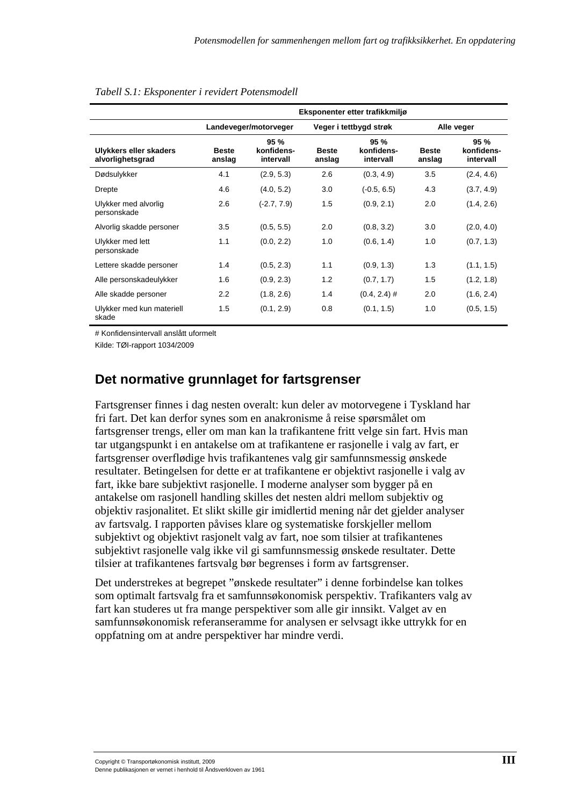|                                            | Eksponenter etter trafikkmiljø |                                |                        |                                 |                        |                                 |
|--------------------------------------------|--------------------------------|--------------------------------|------------------------|---------------------------------|------------------------|---------------------------------|
|                                            | Landeveger/motorveger          |                                | Veger i tettbygd strøk |                                 |                        | Alle veger                      |
| Ulykkers eller skaders<br>alvorlighetsgrad | <b>Beste</b><br>anslag         | 95%<br>konfidens-<br>intervall | <b>Beste</b><br>anslag | 95 %<br>konfidens-<br>intervall | <b>Beste</b><br>anslag | 95 %<br>konfidens-<br>intervall |
| Dødsulykker                                | 4.1                            | (2.9, 5.3)                     | 2.6                    | (0.3, 4.9)                      | 3.5                    | (2.4, 4.6)                      |
| Drepte                                     | 4.6                            | (4.0, 5.2)                     | 3.0                    | $(-0.5, 6.5)$                   | 4.3                    | (3.7, 4.9)                      |
| Ulykker med alvorlig<br>personskade        | 2.6                            | $(-2.7, 7.9)$                  | 1.5                    | (0.9, 2.1)                      | 2.0                    | (1.4, 2.6)                      |
| Alvorlig skadde personer                   | 3.5                            | (0.5, 5.5)                     | 2.0                    | (0.8, 3.2)                      | 3.0                    | (2.0, 4.0)                      |
| Ulykker med lett<br>personskade            | 1.1                            | (0.0, 2.2)                     | 1.0                    | (0.6, 1.4)                      | 1.0                    | (0.7, 1.3)                      |
| Lettere skadde personer                    | 1.4                            | (0.5, 2.3)                     | 1.1                    | (0.9, 1.3)                      | 1.3                    | (1.1, 1.5)                      |
| Alle personskadeulykker                    | 1.6                            | (0.9, 2.3)                     | 1.2                    | (0.7, 1.7)                      | 1.5                    | (1.2, 1.8)                      |
| Alle skadde personer                       | 2.2                            | (1.8, 2.6)                     | 1.4                    | $(0.4, 2.4)$ #                  | 2.0                    | (1.6, 2.4)                      |
| Ulykker med kun materiell<br>skade         | 1.5                            | (0.1, 2.9)                     | 0.8                    | (0.1, 1.5)                      | 1.0                    | (0.5, 1.5)                      |

#### *Tabell S.1: Eksponenter i revidert Potensmodell*

# Konfidensintervall anslått uformelt

Kilde: TØI-rapport 1034/2009

#### **Det normative grunnlaget for fartsgrenser**

Fartsgrenser finnes i dag nesten overalt: kun deler av motorvegene i Tyskland har fri fart. Det kan derfor synes som en anakronisme å reise spørsmålet om fartsgrenser trengs, eller om man kan la trafikantene fritt velge sin fart. Hvis man tar utgangspunkt i en antakelse om at trafikantene er rasjonelle i valg av fart, er fartsgrenser overflødige hvis trafikantenes valg gir samfunnsmessig ønskede resultater. Betingelsen for dette er at trafikantene er objektivt rasjonelle i valg av fart, ikke bare subjektivt rasjonelle. I moderne analyser som bygger på en antakelse om rasjonell handling skilles det nesten aldri mellom subjektiv og objektiv rasjonalitet. Et slikt skille gir imidlertid mening når det gjelder analyser av fartsvalg. I rapporten påvises klare og systematiske forskjeller mellom subjektivt og objektivt rasjonelt valg av fart, noe som tilsier at trafikantenes subjektivt rasjonelle valg ikke vil gi samfunnsmessig ønskede resultater. Dette tilsier at trafikantenes fartsvalg bør begrenses i form av fartsgrenser.

Det understrekes at begrepet "ønskede resultater" i denne forbindelse kan tolkes som optimalt fartsvalg fra et samfunnsøkonomisk perspektiv. Trafikanters valg av fart kan studeres ut fra mange perspektiver som alle gir innsikt. Valget av en samfunnsøkonomisk referanseramme for analysen er selvsagt ikke uttrykk for en oppfatning om at andre perspektiver har mindre verdi.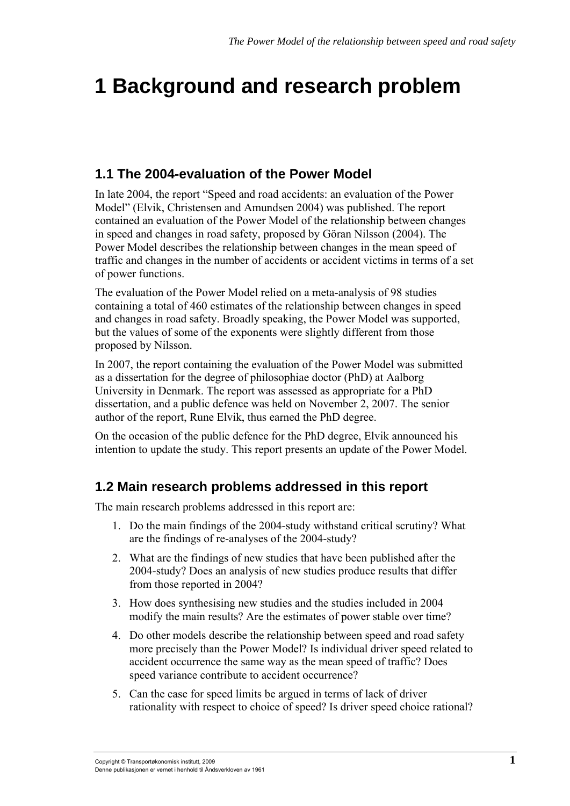# <span id="page-16-1"></span><span id="page-16-0"></span>**1 Background and research problem**

### **1.1 The 2004-evaluation of the Power Model**

<span id="page-16-2"></span>In late 2004, the report "Speed and road accidents: an evaluation of the Power Model" (Elvik, Christensen and Amundsen 2004) was published. The report contained an evaluation of the Power Model of the relationship between changes in speed and changes in road safety, proposed by Göran Nilsson (2004). The Power Model describes the relationship between changes in the mean speed of traffic and changes in the number of accidents or accident victims in terms of a set of power functions.

The evaluation of the Power Model relied on a meta-analysis of 98 studies containing a total of 460 estimates of the relationship between changes in speed and changes in road safety. Broadly speaking, the Power Model was supported, but the values of some of the exponents were slightly different from those proposed by Nilsson.

In 2007, the report containing the evaluation of the Power Model was submitted as a dissertation for the degree of philosophiae doctor (PhD) at Aalborg University in Denmark. The report was assessed as appropriate for a PhD dissertation, and a public defence was held on November 2, 2007. The senior author of the report, Rune Elvik, thus earned the PhD degree.

On the occasion of the public defence for the PhD degree, Elvik announced his intention to update the study. This report presents an update of the Power Model.

#### <span id="page-16-3"></span>**1.2 Main research problems addressed in this report**

The main research problems addressed in this report are:

- 1. Do the main findings of the 2004-study withstand critical scrutiny? What are the findings of re-analyses of the 2004-study?
- 2. What are the findings of new studies that have been published after the 2004-study? Does an analysis of new studies produce results that differ from those reported in 2004?
- 3. How does synthesising new studies and the studies included in 2004 modify the main results? Are the estimates of power stable over time?
- 4. Do other models describe the relationship between speed and road safety more precisely than the Power Model? Is individual driver speed related to accident occurrence the same way as the mean speed of traffic? Does speed variance contribute to accident occurrence?
- 5. Can the case for speed limits be argued in terms of lack of driver rationality with respect to choice of speed? Is driver speed choice rational?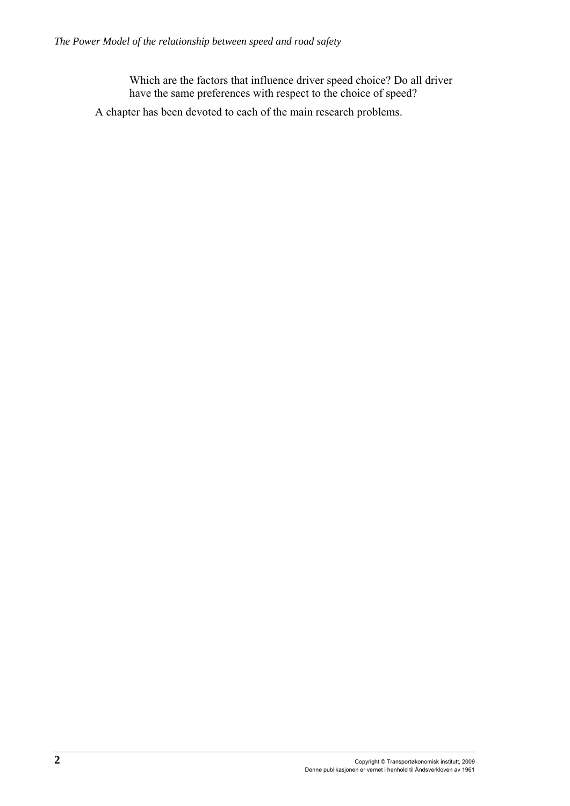Which are the factors that influence driver speed choice? Do all driver have the same preferences with respect to the choice of speed?

A chapter has been devoted to each of the main research problems.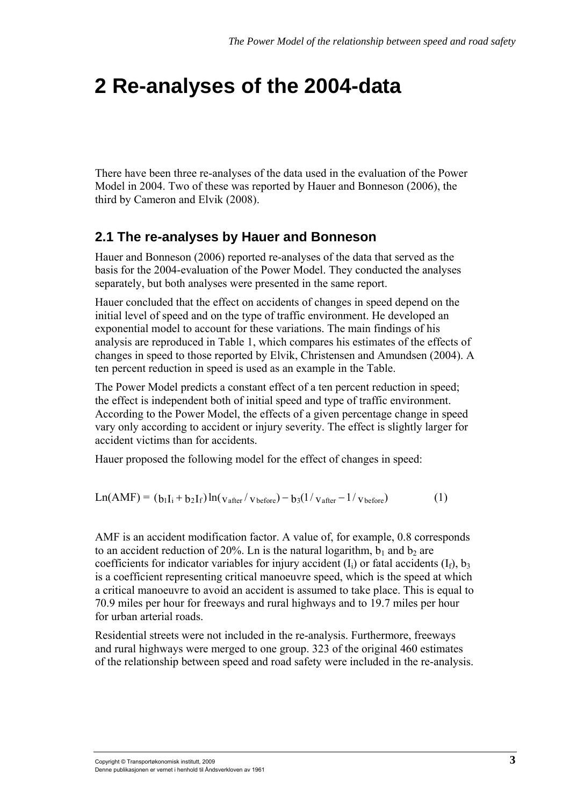## <span id="page-18-1"></span><span id="page-18-0"></span>**2 Re-analyses of the 2004-data**

There have been three re-analyses of the data used in the evaluation of the Power Model in 2004. Two of these was reported by Hauer and Bonneson (2006), the third by Cameron and Elvik (2008).

#### <span id="page-18-2"></span>**2.1 The re-analyses by Hauer and Bonneson**

Hauer and Bonneson (2006) reported re-analyses of the data that served as the basis for the 2004-evaluation of the Power Model. They conducted the analyses separately, but both analyses were presented in the same report.

Hauer concluded that the effect on accidents of changes in speed depend on the initial level of speed and on the type of traffic environment. He developed an exponential model to account for these variations. The main findings of his analysis are reproduced in Table 1, which compares his estimates of the effects of changes in speed to those reported by Elvik, Christensen and Amundsen (2004). A ten percent reduction in speed is used as an example in the Table.

The Power Model predicts a constant effect of a ten percent reduction in speed; the effect is independent both of initial speed and type of traffic environment. According to the Power Model, the effects of a given percentage change in speed vary only according to accident or injury severity. The effect is slightly larger for accident victims than for accidents.

Hauer proposed the following model for the effect of changes in speed:

$$
Ln(AMF) = (b_1I_i + b_2I_f)ln(v_{after}/v_{before}) - b_3(1/v_{after} - 1/v_{before})
$$
 (1)

AMF is an accident modification factor. A value of, for example, 0.8 corresponds to an accident reduction of 20%. Ln is the natural logarithm,  $b_1$  and  $b_2$  are coefficients for indicator variables for injury accident  $(I_i)$  or fatal accidents  $(I_f)$ ,  $b_3$ is a coefficient representing critical manoeuvre speed, which is the speed at which a critical manoeuvre to avoid an accident is assumed to take place. This is equal to 70.9 miles per hour for freeways and rural highways and to 19.7 miles per hour for urban arterial roads.

Residential streets were not included in the re-analysis. Furthermore, freeways and rural highways were merged to one group. 323 of the original 460 estimates of the relationship between speed and road safety were included in the re-analysis.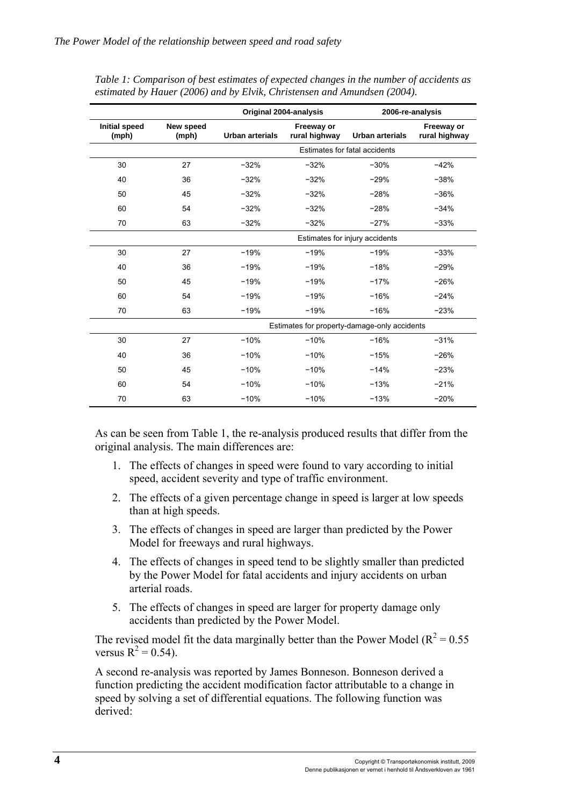|                               |                    | Original 2004-analysis         |                             | 2006-re-analysis                             |                             |  |
|-------------------------------|--------------------|--------------------------------|-----------------------------|----------------------------------------------|-----------------------------|--|
| <b>Initial speed</b><br>(mph) | New speed<br>(mph) | <b>Urban arterials</b>         | Freeway or<br>rural highway | <b>Urban arterials</b>                       | Freeway or<br>rural highway |  |
|                               |                    |                                |                             | Estimates for fatal accidents                |                             |  |
| 30                            | 27                 | $-32%$                         | $-32%$                      | $-30%$                                       | $-42%$                      |  |
| 40                            | 36                 | $-32%$                         | $-32%$                      | $-29%$                                       | $-38%$                      |  |
| 50                            | 45                 | $-32%$                         | $-32%$                      | $-28%$                                       | $-36%$                      |  |
| 60                            | 54                 | $-32%$                         | $-32%$                      | $-28%$                                       | $-34%$                      |  |
| 70                            | 63                 | $-32%$                         | $-32%$                      | $-27%$                                       | $-33%$                      |  |
|                               |                    | Estimates for injury accidents |                             |                                              |                             |  |
| 30                            | 27                 | $-19%$                         | $-19%$                      | $-19%$                                       | $-33%$                      |  |
| 40                            | 36                 | $-19%$                         | $-19%$                      | $-18%$                                       | $-29%$                      |  |
| 50                            | 45                 | $-19%$                         | $-19%$                      | $-17%$                                       | $-26%$                      |  |
| 60                            | 54                 | $-19%$                         | $-19%$                      | $-16%$                                       | $-24%$                      |  |
| 70                            | 63                 | $-19%$                         | $-19%$                      | $-16%$                                       | $-23%$                      |  |
|                               |                    |                                |                             | Estimates for property-damage-only accidents |                             |  |
| 30                            | 27                 | $-10%$                         | $-10%$                      | $-16%$                                       | $-31%$                      |  |
| 40                            | 36                 | $-10%$                         | $-10%$                      | $-15%$                                       | $-26%$                      |  |
| 50                            | 45                 | $-10%$                         | $-10%$                      | $-14%$                                       | $-23%$                      |  |
| 60                            | 54                 | $-10%$                         | $-10%$                      | $-13%$                                       | $-21%$                      |  |
| 70                            | 63                 | $-10%$                         | $-10%$                      | $-13%$                                       | $-20%$                      |  |

*Table 1: Comparison of best estimates of expected changes in the number of accidents as estimated by Hauer (2006) and by Elvik, Christensen and Amundsen (2004).* 

As can be seen from Table 1, the re-analysis produced results that differ from the original analysis. The main differences are:

- 1. The effects of changes in speed were found to vary according to initial speed, accident severity and type of traffic environment.
- 2. The effects of a given percentage change in speed is larger at low speeds than at high speeds.
- 3. The effects of changes in speed are larger than predicted by the Power Model for freeways and rural highways.
- 4. The effects of changes in speed tend to be slightly smaller than predicted by the Power Model for fatal accidents and injury accidents on urban arterial roads.
- 5. The effects of changes in speed are larger for property damage only accidents than predicted by the Power Model.

The revised model fit the data marginally better than the Power Model ( $R^2 = 0.55$ ) versus  $R^2 = 0.54$ ).

A second re-analysis was reported by James Bonneson. Bonneson derived a function predicting the accident modification factor attributable to a change in speed by solving a set of differential equations. The following function was derived: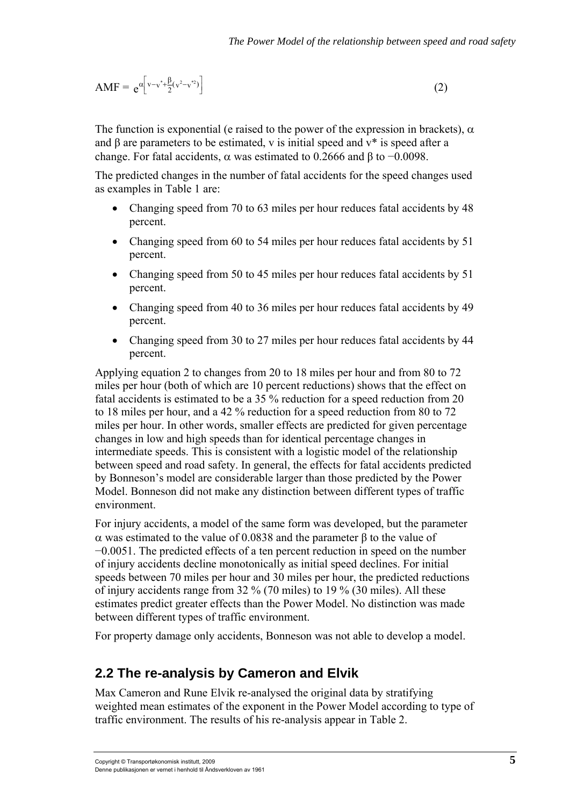<span id="page-20-0"></span>
$$
AMF = e^{\alpha \left[ v - v^* + \frac{\beta}{2} (v^2 - v^{*2}) \right]}
$$
 (2)

The function is exponential (e raised to the power of the expression in brackets),  $\alpha$ and  $\beta$  are parameters to be estimated, v is initial speed and  $v^*$  is speed after a change. For fatal accidents,  $\alpha$  was estimated to 0.2666 and β to -0.0098.

The predicted changes in the number of fatal accidents for the speed changes used as examples in Table 1 are:

- Changing speed from 70 to 63 miles per hour reduces fatal accidents by 48 percent.
- Changing speed from 60 to 54 miles per hour reduces fatal accidents by 51 percent.
- Changing speed from 50 to 45 miles per hour reduces fatal accidents by 51 percent.
- Changing speed from 40 to 36 miles per hour reduces fatal accidents by 49 percent.
- Changing speed from 30 to 27 miles per hour reduces fatal accidents by 44 percent.

Applying equation 2 to changes from 20 to 18 miles per hour and from 80 to 72 miles per hour (both of which are 10 percent reductions) shows that the effect on fatal accidents is estimated to be a 35 % reduction for a speed reduction from 20 to 18 miles per hour, and a 42 % reduction for a speed reduction from 80 to 72 miles per hour. In other words, smaller effects are predicted for given percentage changes in low and high speeds than for identical percentage changes in intermediate speeds. This is consistent with a logistic model of the relationship between speed and road safety. In general, the effects for fatal accidents predicted by Bonneson's model are considerable larger than those predicted by the Power Model. Bonneson did not make any distinction between different types of traffic environment.

For injury accidents, a model of the same form was developed, but the parameter α was estimated to the value of 0.0838 and the parameter β to the value of −0.0051. The predicted effects of a ten percent reduction in speed on the number of injury accidents decline monotonically as initial speed declines. For initial speeds between 70 miles per hour and 30 miles per hour, the predicted reductions of injury accidents range from 32 % (70 miles) to 19 % (30 miles). All these estimates predict greater effects than the Power Model. No distinction was made between different types of traffic environment.

For property damage only accidents, Bonneson was not able to develop a model.

#### <span id="page-20-1"></span>**2.2 The re-analysis by Cameron and Elvik**

Max Cameron and Rune Elvik re-analysed the original data by stratifying weighted mean estimates of the exponent in the Power Model according to type of traffic environment. The results of his re-analysis appear in Table 2.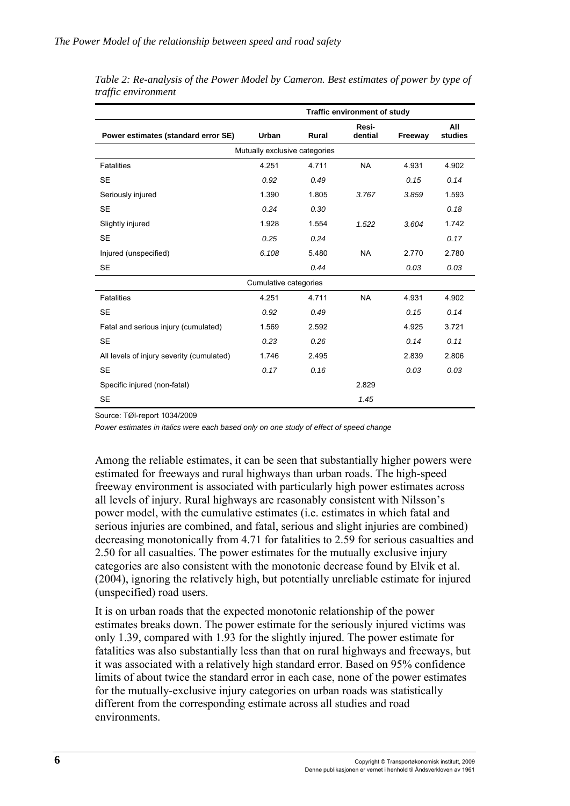|                                           | Traffic environment of study  |              |                  |         |                |  |  |
|-------------------------------------------|-------------------------------|--------------|------------------|---------|----------------|--|--|
| Power estimates (standard error SE)       | Urban                         | <b>Rural</b> | Resi-<br>dential | Freeway | All<br>studies |  |  |
|                                           | Mutually exclusive categories |              |                  |         |                |  |  |
| <b>Fatalities</b>                         | 4.251                         | 4.711        | <b>NA</b>        | 4.931   | 4.902          |  |  |
| <b>SE</b>                                 | 0.92                          | 0.49         |                  | 0.15    | 0.14           |  |  |
| Seriously injured                         | 1.390                         | 1.805        | 3.767            | 3.859   | 1.593          |  |  |
| <b>SE</b>                                 | 0.24                          | 0.30         |                  |         | 0.18           |  |  |
| Slightly injured                          | 1.928                         | 1.554        | 1.522            | 3.604   | 1.742          |  |  |
| <b>SE</b>                                 | 0.25                          | 0.24         |                  |         | 0.17           |  |  |
| Injured (unspecified)                     | 6.108                         | 5.480        | <b>NA</b>        | 2.770   | 2.780          |  |  |
| <b>SE</b>                                 |                               | 0.44         |                  | 0.03    | 0.03           |  |  |
|                                           | Cumulative categories         |              |                  |         |                |  |  |
| <b>Fatalities</b>                         | 4.251                         | 4.711        | <b>NA</b>        | 4.931   | 4.902          |  |  |
| <b>SE</b>                                 | 0.92                          | 0.49         |                  | 0.15    | 0.14           |  |  |
| Fatal and serious injury (cumulated)      | 1.569                         | 2.592        |                  | 4.925   | 3.721          |  |  |
| <b>SE</b>                                 | 0.23                          | 0.26         |                  | 0.14    | 0.11           |  |  |
| All levels of injury severity (cumulated) | 1.746                         | 2.495        |                  | 2.839   | 2.806          |  |  |
| <b>SE</b>                                 | 0.17                          | 0.16         |                  | 0.03    | 0.03           |  |  |
| Specific injured (non-fatal)              |                               |              | 2.829            |         |                |  |  |
| <b>SE</b>                                 |                               |              | 1.45             |         |                |  |  |

| Table 2: Re-analysis of the Power Model by Cameron. Best estimates of power by type of |  |
|----------------------------------------------------------------------------------------|--|
| traffic environment                                                                    |  |

Source: TØI-report 1034/2009

*Power estimates in italics were each based only on one study of effect of speed change* 

Among the reliable estimates, it can be seen that substantially higher powers were estimated for freeways and rural highways than urban roads. The high-speed freeway environment is associated with particularly high power estimates across all levels of injury. Rural highways are reasonably consistent with Nilsson's power model, with the cumulative estimates (i.e. estimates in which fatal and serious injuries are combined, and fatal, serious and slight injuries are combined) decreasing monotonically from 4.71 for fatalities to 2.59 for serious casualties and 2.50 for all casualties. The power estimates for the mutually exclusive injury categories are also consistent with the monotonic decrease found by Elvik et al. (2004), ignoring the relatively high, but potentially unreliable estimate for injured (unspecified) road users.

It is on urban roads that the expected monotonic relationship of the power estimates breaks down. The power estimate for the seriously injured victims was only 1.39, compared with 1.93 for the slightly injured. The power estimate for fatalities was also substantially less than that on rural highways and freeways, but it was associated with a relatively high standard error. Based on 95% confidence limits of about twice the standard error in each case, none of the power estimates for the mutually-exclusive injury categories on urban roads was statistically different from the corresponding estimate across all studies and road environments.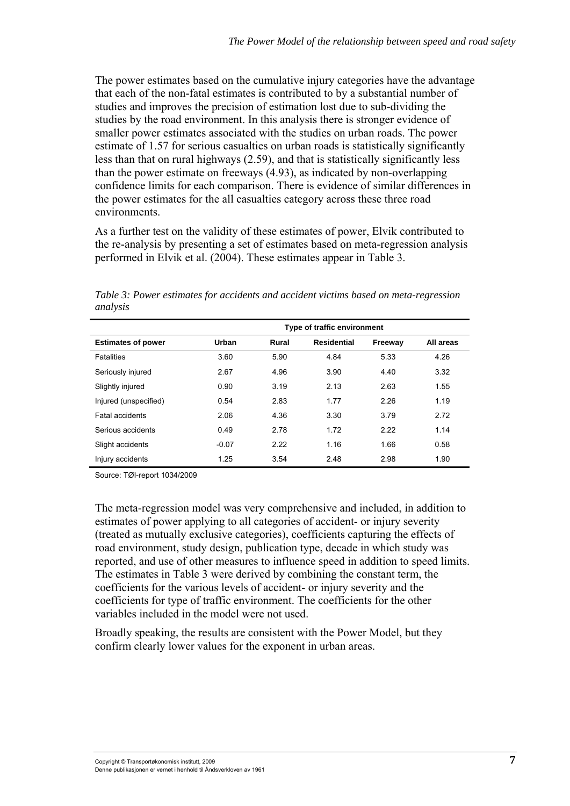The power estimates based on the cumulative injury categories have the advantage that each of the non-fatal estimates is contributed to by a substantial number of studies and improves the precision of estimation lost due to sub-dividing the studies by the road environment. In this analysis there is stronger evidence of smaller power estimates associated with the studies on urban roads. The power estimate of 1.57 for serious casualties on urban roads is statistically significantly less than that on rural highways (2.59), and that is statistically significantly less than the power estimate on freeways (4.93), as indicated by non-overlapping confidence limits for each comparison. There is evidence of similar differences in the power estimates for the all casualties category across these three road environments.

As a further test on the validity of these estimates of power, Elvik contributed to the re-analysis by presenting a set of estimates based on meta-regression analysis performed in Elvik et al. (2004). These estimates appear in Table 3.

*Table 3: Power estimates for accidents and accident victims based on meta-regression analysis* 

|                           | Type of traffic environment |       |                    |         |           |  |  |  |
|---------------------------|-----------------------------|-------|--------------------|---------|-----------|--|--|--|
| <b>Estimates of power</b> | Urban                       | Rural | <b>Residential</b> | Freeway | All areas |  |  |  |
| <b>Fatalities</b>         | 3.60                        | 5.90  | 4.84               | 5.33    | 4.26      |  |  |  |
| Seriously injured         | 2.67                        | 4.96  | 3.90               | 4.40    | 3.32      |  |  |  |
| Slightly injured          | 0.90                        | 3.19  | 2.13               | 2.63    | 1.55      |  |  |  |
| Injured (unspecified)     | 0.54                        | 2.83  | 1.77               | 2.26    | 1.19      |  |  |  |
| <b>Fatal accidents</b>    | 2.06                        | 4.36  | 3.30               | 3.79    | 2.72      |  |  |  |
| Serious accidents         | 0.49                        | 2.78  | 1.72               | 2.22    | 1.14      |  |  |  |
| Slight accidents          | $-0.07$                     | 2.22  | 1.16               | 1.66    | 0.58      |  |  |  |
| Injury accidents          | 1.25                        | 3.54  | 2.48               | 2.98    | 1.90      |  |  |  |

Source: TØI-report 1034/2009

The meta-regression model was very comprehensive and included, in addition to estimates of power applying to all categories of accident- or injury severity (treated as mutually exclusive categories), coefficients capturing the effects of road environment, study design, publication type, decade in which study was reported, and use of other measures to influence speed in addition to speed limits. The estimates in Table 3 were derived by combining the constant term, the coefficients for the various levels of accident- or injury severity and the coefficients for type of traffic environment. The coefficients for the other variables included in the model were not used.

Broadly speaking, the results are consistent with the Power Model, but they confirm clearly lower values for the exponent in urban areas.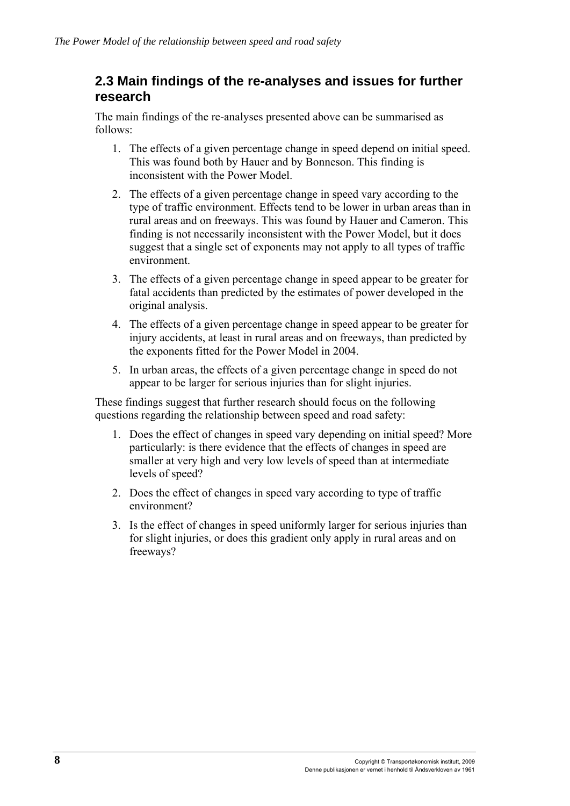#### <span id="page-23-1"></span><span id="page-23-0"></span>**2.3 Main findings of the re-analyses and issues for further research**

The main findings of the re-analyses presented above can be summarised as follows:

- 1. The effects of a given percentage change in speed depend on initial speed. This was found both by Hauer and by Bonneson. This finding is inconsistent with the Power Model.
- 2. The effects of a given percentage change in speed vary according to the type of traffic environment. Effects tend to be lower in urban areas than in rural areas and on freeways. This was found by Hauer and Cameron. This finding is not necessarily inconsistent with the Power Model, but it does suggest that a single set of exponents may not apply to all types of traffic environment.
- 3. The effects of a given percentage change in speed appear to be greater for fatal accidents than predicted by the estimates of power developed in the original analysis.
- 4. The effects of a given percentage change in speed appear to be greater for injury accidents, at least in rural areas and on freeways, than predicted by the exponents fitted for the Power Model in 2004.
- 5. In urban areas, the effects of a given percentage change in speed do not appear to be larger for serious injuries than for slight injuries.

These findings suggest that further research should focus on the following questions regarding the relationship between speed and road safety:

- 1. Does the effect of changes in speed vary depending on initial speed? More particularly: is there evidence that the effects of changes in speed are smaller at very high and very low levels of speed than at intermediate levels of speed?
- 2. Does the effect of changes in speed vary according to type of traffic environment?
- 3. Is the effect of changes in speed uniformly larger for serious injuries than for slight injuries, or does this gradient only apply in rural areas and on freeways?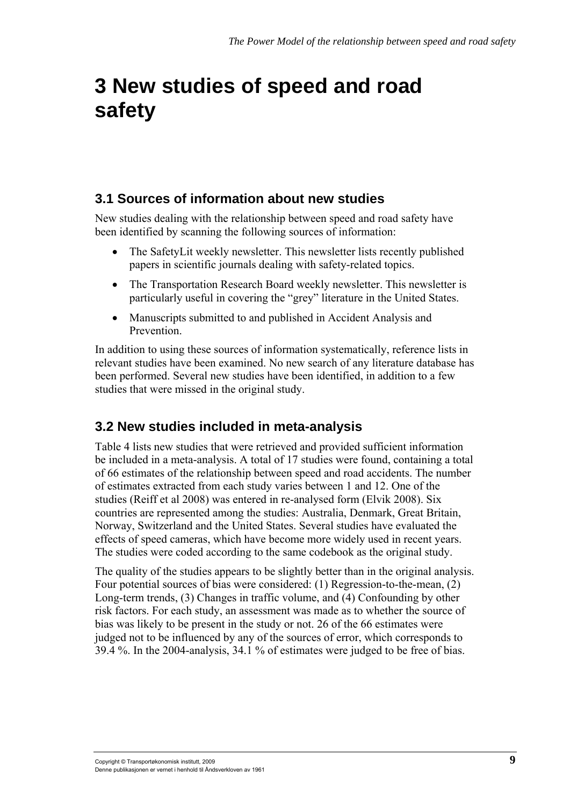## <span id="page-24-1"></span><span id="page-24-0"></span>**3 New studies of speed and road safety**

#### **3.1 Sources of information about new studies**

<span id="page-24-2"></span>New studies dealing with the relationship between speed and road safety have been identified by scanning the following sources of information:

- The SafetyLit weekly newsletter. This newsletter lists recently published papers in scientific journals dealing with safety-related topics.
- The Transportation Research Board weekly newsletter. This newsletter is particularly useful in covering the "grey" literature in the United States.
- Manuscripts submitted to and published in Accident Analysis and Prevention.

In addition to using these sources of information systematically, reference lists in relevant studies have been examined. No new search of any literature database has been performed. Several new studies have been identified, in addition to a few studies that were missed in the original study.

#### <span id="page-24-3"></span>**3.2 New studies included in meta-analysis**

Table 4 lists new studies that were retrieved and provided sufficient information be included in a meta-analysis. A total of 17 studies were found, containing a total of 66 estimates of the relationship between speed and road accidents. The number of estimates extracted from each study varies between 1 and 12. One of the studies (Reiff et al 2008) was entered in re-analysed form (Elvik 2008). Six countries are represented among the studies: Australia, Denmark, Great Britain, Norway, Switzerland and the United States. Several studies have evaluated the effects of speed cameras, which have become more widely used in recent years. The studies were coded according to the same codebook as the original study.

The quality of the studies appears to be slightly better than in the original analysis. Four potential sources of bias were considered: (1) Regression-to-the-mean, (2) Long-term trends, (3) Changes in traffic volume, and (4) Confounding by other risk factors. For each study, an assessment was made as to whether the source of bias was likely to be present in the study or not. 26 of the 66 estimates were judged not to be influenced by any of the sources of error, which corresponds to 39.4 %. In the 2004-analysis, 34.1 % of estimates were judged to be free of bias.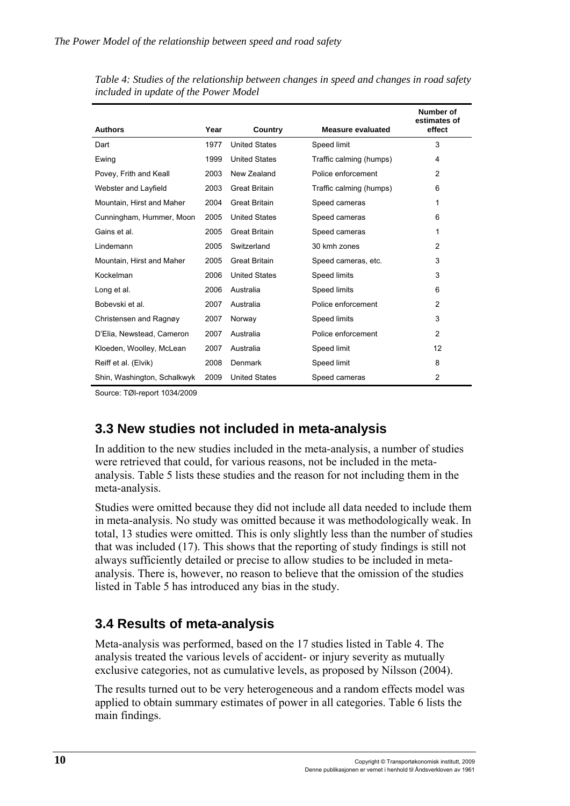|                             |      |                      |                          | Number of<br>estimates of |
|-----------------------------|------|----------------------|--------------------------|---------------------------|
| <b>Authors</b>              | Year | Country              | <b>Measure evaluated</b> | effect                    |
| Dart                        | 1977 | <b>United States</b> | Speed limit              | 3                         |
| Ewing                       | 1999 | <b>United States</b> | Traffic calming (humps)  | 4                         |
| Povey, Frith and Keall      | 2003 | New Zealand          | Police enforcement       | $\overline{2}$            |
| Webster and Layfield        | 2003 | <b>Great Britain</b> | Traffic calming (humps)  | 6                         |
| Mountain, Hirst and Maher   | 2004 | <b>Great Britain</b> | Speed cameras            | 1                         |
| Cunningham, Hummer, Moon    | 2005 | <b>United States</b> | Speed cameras            | 6                         |
| Gains et al.                | 2005 | <b>Great Britain</b> | Speed cameras            | 1                         |
| Lindemann                   | 2005 | Switzerland          | 30 kmh zones             | $\overline{2}$            |
| Mountain, Hirst and Maher   | 2005 | <b>Great Britain</b> | Speed cameras, etc.      | 3                         |
| Kockelman                   | 2006 | <b>United States</b> | Speed limits             | 3                         |
| Long et al.                 | 2006 | Australia            | Speed limits             | 6                         |
| Bobevski et al.             | 2007 | Australia            | Police enforcement       | $\overline{2}$            |
| Christensen and Ragnøy      | 2007 | Norway               | Speed limits             | 3                         |
| D'Elia, Newstead, Cameron   | 2007 | Australia            | Police enforcement       | 2                         |
| Kloeden, Woolley, McLean    | 2007 | Australia            | Speed limit              | 12                        |
| Reiff et al. (Elvik)        | 2008 | Denmark              | Speed limit              | 8                         |
| Shin, Washington, Schalkwyk | 2009 | <b>United States</b> | Speed cameras            | $\overline{2}$            |

<span id="page-25-0"></span>*Table 4: Studies of the relationship between changes in speed and changes in road safety included in update of the Power Model* 

Source: TØI-report 1034/2009

#### <span id="page-25-1"></span>**3.3 New studies not included in meta-analysis**

In addition to the new studies included in the meta-analysis, a number of studies were retrieved that could, for various reasons, not be included in the metaanalysis. Table 5 lists these studies and the reason for not including them in the meta-analysis.

Studies were omitted because they did not include all data needed to include them in meta-analysis. No study was omitted because it was methodologically weak. In total, 13 studies were omitted. This is only slightly less than the number of studies that was included (17). This shows that the reporting of study findings is still not always sufficiently detailed or precise to allow studies to be included in metaanalysis. There is, however, no reason to believe that the omission of the studies listed in Table 5 has introduced any bias in the study.

#### <span id="page-25-2"></span>**3.4 Results of meta-analysis**

Meta-analysis was performed, based on the 17 studies listed in Table 4. The analysis treated the various levels of accident- or injury severity as mutually exclusive categories, not as cumulative levels, as proposed by Nilsson (2004).

The results turned out to be very heterogeneous and a random effects model was applied to obtain summary estimates of power in all categories. Table 6 lists the main findings.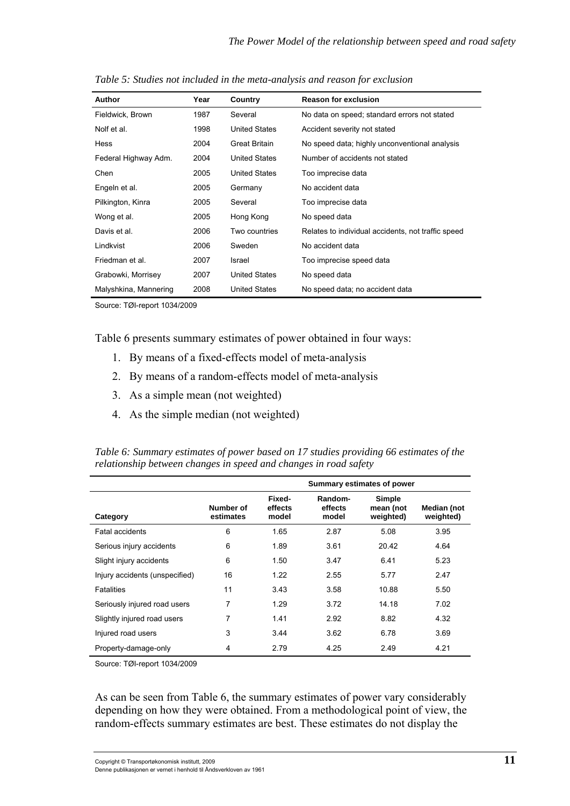| Author                | Year | Country              | <b>Reason for exclusion</b>                        |
|-----------------------|------|----------------------|----------------------------------------------------|
| Fieldwick, Brown      | 1987 | Several              | No data on speed; standard errors not stated       |
| Nolf et al.           | 1998 | <b>United States</b> | Accident severity not stated                       |
| Hess                  | 2004 | Great Britain        | No speed data; highly unconventional analysis      |
| Federal Highway Adm.  | 2004 | <b>United States</b> | Number of accidents not stated                     |
| Chen                  | 2005 | <b>United States</b> | Too imprecise data                                 |
| Engeln et al.         | 2005 | Germany              | No accident data                                   |
| Pilkington, Kinra     | 2005 | Several              | Too imprecise data                                 |
| Wong et al.           | 2005 | Hong Kong            | No speed data                                      |
| Davis et al.          | 2006 | Two countries        | Relates to individual accidents, not traffic speed |
| Lindkvist             | 2006 | Sweden               | No accident data                                   |
| Friedman et al.       | 2007 | Israel               | Too imprecise speed data                           |
| Grabowki, Morrisey    | 2007 | <b>United States</b> | No speed data                                      |
| Malyshkina, Mannering | 2008 | <b>United States</b> | No speed data; no accident data                    |

*Table 5: Studies not included in the meta-analysis and reason for exclusion* 

Source: TØI-report 1034/2009

Table 6 presents summary estimates of power obtained in four ways:

- 1. By means of a fixed-effects model of meta-analysis
- 2. By means of a random-effects model of meta-analysis
- 3. As a simple mean (not weighted)
- 4. As the simple median (not weighted)

|                                |                        | Summary estimates of power |                             |                                         |                          |  |
|--------------------------------|------------------------|----------------------------|-----------------------------|-----------------------------------------|--------------------------|--|
| Category                       | Number of<br>estimates | Fixed-<br>effects<br>model | Random-<br>effects<br>model | <b>Simple</b><br>mean (not<br>weighted) | Median (not<br>weighted) |  |
| <b>Fatal accidents</b>         | 6                      | 1.65                       | 2.87                        | 5.08                                    | 3.95                     |  |
| Serious injury accidents       | 6                      | 1.89                       | 3.61                        | 20.42                                   | 4.64                     |  |
| Slight injury accidents        | 6                      | 1.50                       | 3.47                        | 6.41                                    | 5.23                     |  |
| Injury accidents (unspecified) | 16                     | 1.22                       | 2.55                        | 5.77                                    | 2.47                     |  |
| <b>Fatalities</b>              | 11                     | 3.43                       | 3.58                        | 10.88                                   | 5.50                     |  |
| Seriously injured road users   | 7                      | 1.29                       | 3.72                        | 14.18                                   | 7.02                     |  |
| Slightly injured road users    | 7                      | 1.41                       | 2.92                        | 8.82                                    | 4.32                     |  |
| Injured road users             | 3                      | 3.44                       | 3.62                        | 6.78                                    | 3.69                     |  |
| Property-damage-only           | 4                      | 2.79                       | 4.25                        | 2.49                                    | 4.21                     |  |

*Table 6: Summary estimates of power based on 17 studies providing 66 estimates of the relationship between changes in speed and changes in road safety* 

Source: TØI-report 1034/2009

As can be seen from Table 6, the summary estimates of power vary considerably depending on how they were obtained. From a methodological point of view, the random-effects summary estimates are best. These estimates do not display the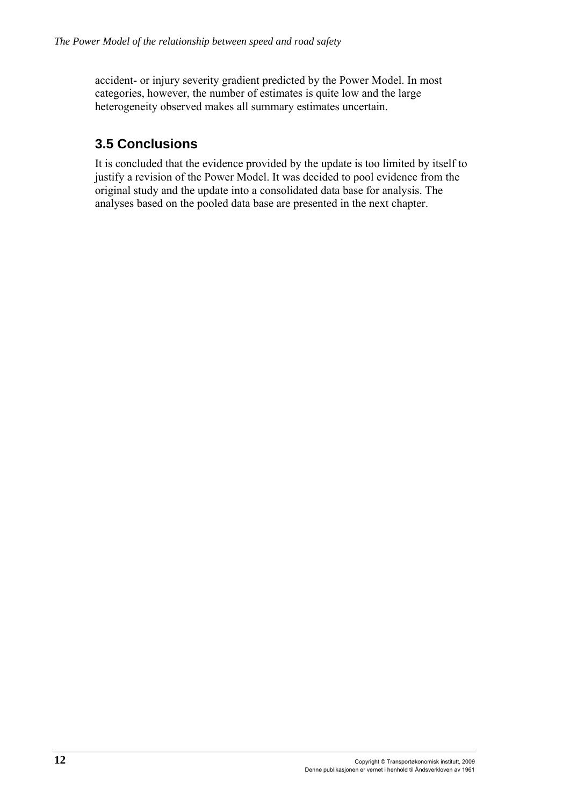<span id="page-27-0"></span>accident- or injury severity gradient predicted by the Power Model. In most categories, however, the number of estimates is quite low and the large heterogeneity observed makes all summary estimates uncertain.

### <span id="page-27-1"></span>**3.5 Conclusions**

It is concluded that the evidence provided by the update is too limited by itself to justify a revision of the Power Model. It was decided to pool evidence from the original study and the update into a consolidated data base for analysis. The analyses based on the pooled data base are presented in the next chapter.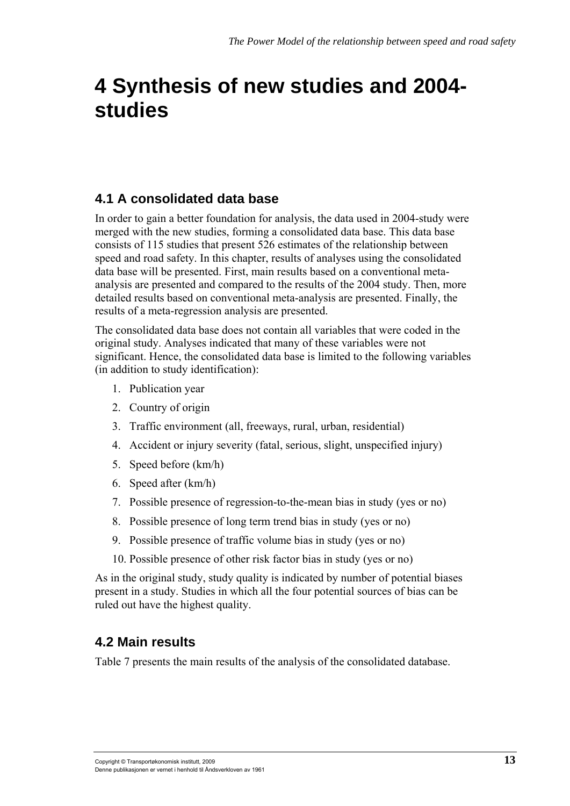## <span id="page-28-1"></span><span id="page-28-0"></span>**4 Synthesis of new studies and 2004 studies**

### **4.1 A consolidated data base**

<span id="page-28-2"></span>In order to gain a better foundation for analysis, the data used in 2004-study were merged with the new studies, forming a consolidated data base. This data base consists of 115 studies that present 526 estimates of the relationship between speed and road safety. In this chapter, results of analyses using the consolidated data base will be presented. First, main results based on a conventional metaanalysis are presented and compared to the results of the 2004 study. Then, more detailed results based on conventional meta-analysis are presented. Finally, the results of a meta-regression analysis are presented.

The consolidated data base does not contain all variables that were coded in the original study. Analyses indicated that many of these variables were not significant. Hence, the consolidated data base is limited to the following variables (in addition to study identification):

- 1. Publication year
- 2. Country of origin
- 3. Traffic environment (all, freeways, rural, urban, residential)
- 4. Accident or injury severity (fatal, serious, slight, unspecified injury)
- 5. Speed before (km/h)
- 6. Speed after (km/h)
- 7. Possible presence of regression-to-the-mean bias in study (yes or no)
- 8. Possible presence of long term trend bias in study (yes or no)
- 9. Possible presence of traffic volume bias in study (yes or no)
- 10. Possible presence of other risk factor bias in study (yes or no)

As in the original study, study quality is indicated by number of potential biases present in a study. Studies in which all the four potential sources of bias can be ruled out have the highest quality.

#### <span id="page-28-3"></span>**4.2 Main results**

Table 7 presents the main results of the analysis of the consolidated database.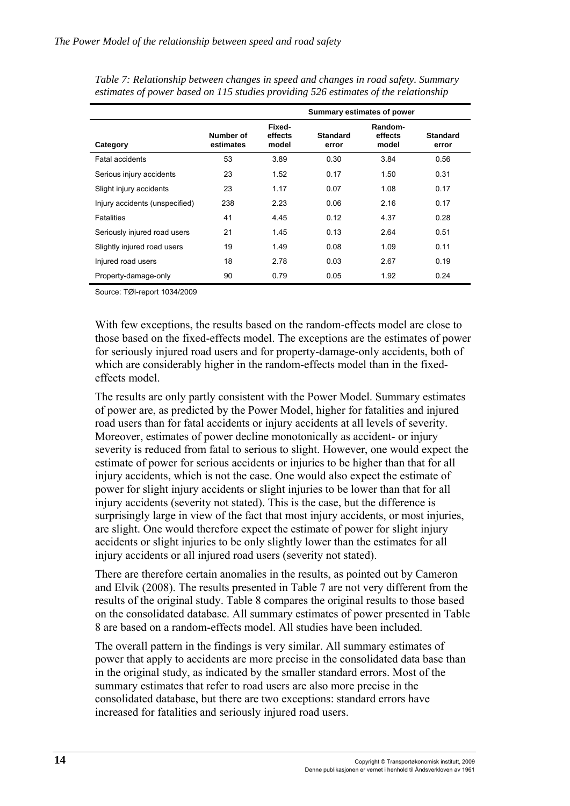|                                |                        | Summary estimates of power |                          |                             |                          |
|--------------------------------|------------------------|----------------------------|--------------------------|-----------------------------|--------------------------|
| Category                       | Number of<br>estimates | Fixed-<br>effects<br>model | <b>Standard</b><br>error | Random-<br>effects<br>model | <b>Standard</b><br>error |
| <b>Fatal accidents</b>         | 53                     | 3.89                       | 0.30                     | 3.84                        | 0.56                     |
| Serious injury accidents       | 23                     | 1.52                       | 0.17                     | 1.50                        | 0.31                     |
| Slight injury accidents        | 23                     | 1.17                       | 0.07                     | 1.08                        | 0.17                     |
| Injury accidents (unspecified) | 238                    | 2.23                       | 0.06                     | 2.16                        | 0.17                     |
| <b>Fatalities</b>              | 41                     | 4.45                       | 0.12                     | 4.37                        | 0.28                     |
| Seriously injured road users   | 21                     | 1.45                       | 0.13                     | 2.64                        | 0.51                     |
| Slightly injured road users    | 19                     | 1.49                       | 0.08                     | 1.09                        | 0.11                     |
| Injured road users             | 18                     | 2.78                       | 0.03                     | 2.67                        | 0.19                     |
| Property-damage-only           | 90                     | 0.79                       | 0.05                     | 1.92                        | 0.24                     |

*Table 7: Relationship between changes in speed and changes in road safety. Summary estimates of power based on 115 studies providing 526 estimates of the relationship* 

Source: TØI-report 1034/2009

With few exceptions, the results based on the random-effects model are close to those based on the fixed-effects model. The exceptions are the estimates of power for seriously injured road users and for property-damage-only accidents, both of which are considerably higher in the random-effects model than in the fixedeffects model.

The results are only partly consistent with the Power Model. Summary estimates of power are, as predicted by the Power Model, higher for fatalities and injured road users than for fatal accidents or injury accidents at all levels of severity. Moreover, estimates of power decline monotonically as accident- or injury severity is reduced from fatal to serious to slight. However, one would expect the estimate of power for serious accidents or injuries to be higher than that for all injury accidents, which is not the case. One would also expect the estimate of power for slight injury accidents or slight injuries to be lower than that for all injury accidents (severity not stated). This is the case, but the difference is surprisingly large in view of the fact that most injury accidents, or most injuries, are slight. One would therefore expect the estimate of power for slight injury accidents or slight injuries to be only slightly lower than the estimates for all injury accidents or all injured road users (severity not stated).

There are therefore certain anomalies in the results, as pointed out by Cameron and Elvik (2008). The results presented in Table 7 are not very different from the results of the original study. Table 8 compares the original results to those based on the consolidated database. All summary estimates of power presented in Table 8 are based on a random-effects model. All studies have been included.

The overall pattern in the findings is very similar. All summary estimates of power that apply to accidents are more precise in the consolidated data base than in the original study, as indicated by the smaller standard errors. Most of the summary estimates that refer to road users are also more precise in the consolidated database, but there are two exceptions: standard errors have increased for fatalities and seriously injured road users.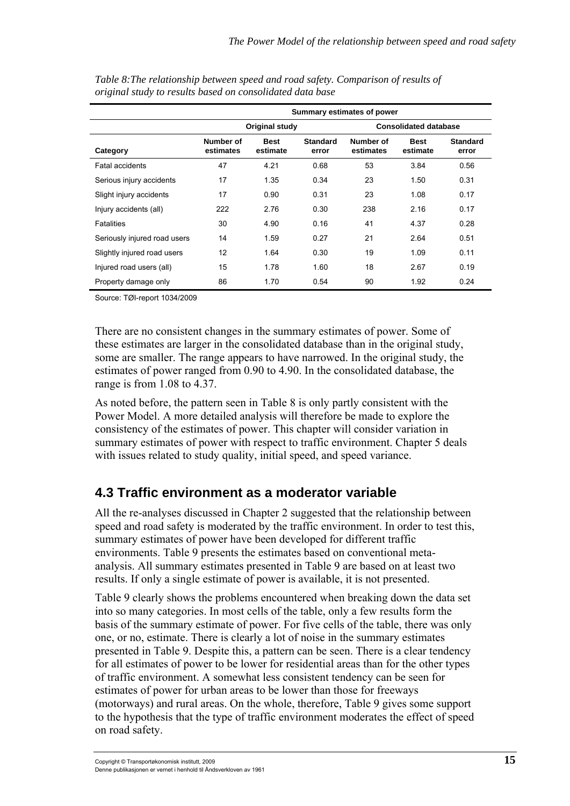|                              | Summary estimates of power |                         |                          |                              |                         |                          |  |
|------------------------------|----------------------------|-------------------------|--------------------------|------------------------------|-------------------------|--------------------------|--|
|                              | Original study             |                         |                          | <b>Consolidated database</b> |                         |                          |  |
| Category                     | Number of<br>estimates     | <b>Best</b><br>estimate | <b>Standard</b><br>error | Number of<br>estimates       | <b>Best</b><br>estimate | <b>Standard</b><br>error |  |
| <b>Fatal accidents</b>       | 47                         | 4.21                    | 0.68                     | 53                           | 3.84                    | 0.56                     |  |
| Serious injury accidents     | 17                         | 1.35                    | 0.34                     | 23                           | 1.50                    | 0.31                     |  |
| Slight injury accidents      | 17                         | 0.90                    | 0.31                     | 23                           | 1.08                    | 0.17                     |  |
| Injury accidents (all)       | 222                        | 2.76                    | 0.30                     | 238                          | 2.16                    | 0.17                     |  |
| <b>Fatalities</b>            | 30                         | 4.90                    | 0.16                     | 41                           | 4.37                    | 0.28                     |  |
| Seriously injured road users | 14                         | 1.59                    | 0.27                     | 21                           | 2.64                    | 0.51                     |  |
| Slightly injured road users  | 12                         | 1.64                    | 0.30                     | 19                           | 1.09                    | 0.11                     |  |
| Injured road users (all)     | 15                         | 1.78                    | 1.60                     | 18                           | 2.67                    | 0.19                     |  |
| Property damage only         | 86                         | 1.70                    | 0.54                     | 90                           | 1.92                    | 0.24                     |  |

<span id="page-30-0"></span>*Table 8:The relationship between speed and road safety. Comparison of results of original study to results based on consolidated data base* 

Source: TØI-report 1034/2009

There are no consistent changes in the summary estimates of power. Some of these estimates are larger in the consolidated database than in the original study, some are smaller. The range appears to have narrowed. In the original study, the estimates of power ranged from 0.90 to 4.90. In the consolidated database, the range is from 1.08 to 4.37.

As noted before, the pattern seen in Table 8 is only partly consistent with the Power Model. A more detailed analysis will therefore be made to explore the consistency of the estimates of power. This chapter will consider variation in summary estimates of power with respect to traffic environment. Chapter 5 deals with issues related to study quality, initial speed, and speed variance.

#### <span id="page-30-1"></span>**4.3 Traffic environment as a moderator variable**

All the re-analyses discussed in Chapter 2 suggested that the relationship between speed and road safety is moderated by the traffic environment. In order to test this, summary estimates of power have been developed for different traffic environments. Table 9 presents the estimates based on conventional metaanalysis. All summary estimates presented in Table 9 are based on at least two results. If only a single estimate of power is available, it is not presented.

Table 9 clearly shows the problems encountered when breaking down the data set into so many categories. In most cells of the table, only a few results form the basis of the summary estimate of power. For five cells of the table, there was only one, or no, estimate. There is clearly a lot of noise in the summary estimates presented in Table 9. Despite this, a pattern can be seen. There is a clear tendency for all estimates of power to be lower for residential areas than for the other types of traffic environment. A somewhat less consistent tendency can be seen for estimates of power for urban areas to be lower than those for freeways (motorways) and rural areas. On the whole, therefore, Table 9 gives some support to the hypothesis that the type of traffic environment moderates the effect of speed on road safety.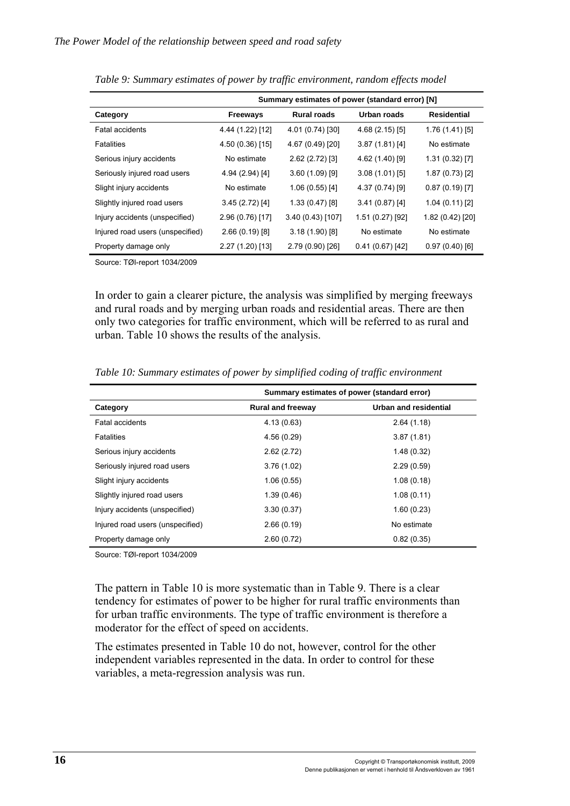|                                  | Summary estimates of power (standard error) [N] |                    |                 |                  |  |
|----------------------------------|-------------------------------------------------|--------------------|-----------------|------------------|--|
| Category                         | <b>Freeways</b>                                 | <b>Rural roads</b> | Urban roads     | Residential      |  |
| <b>Fatal accidents</b>           | 4.44 (1.22) [12]                                | 4.01 (0.74) [30]   | 4.68 (2.15) [5] | 1.76(1.41)[5]    |  |
| Fatalities                       | 4.50 (0.36) [15]                                | 4.67 (0.49) [20]   | 3.87(1.81)[4]   | No estimate      |  |
| Serious injury accidents         | No estimate                                     | 2.62(2.72)[3]      | 4.62 (1.40) [9] | 1.31(0.32)[7]    |  |
| Seriously injured road users     | 4.94 (2.94) [4]                                 | $3.60(1.09)$ [9]   | 3.08(1.01)[5]   | 1.87(0.73)[2]    |  |
| Slight injury accidents          | No estimate                                     | 1.06(0.55)[4]      | 4.37 (0.74) [9] | 0.87(0.19)[7]    |  |
| Slightly injured road users      | 3.45(2.72)[4]                                   | 1.33(0.47)[8]      | 3.41(0.87)[4]   | 1.04(0.11)[2]    |  |
| Injury accidents (unspecified)   | 2.96 (0.76) [17]                                | 3.40 (0.43) [107]  | 1.51(0.27)[92]  | 1.82 (0.42) [20] |  |
| Injured road users (unspecified) | 2.66(0.19)[8]                                   | 3.18(1.90)[8]      | No estimate     | No estimate      |  |
| Property damage only             | 2.27 (1.20) [13]                                | 2.79 (0.90) [26]   | 0.41(0.67)[42]  | 0.97(0.40)[6]    |  |
|                                  |                                                 |                    |                 |                  |  |

|  |  |  | Table 9: Summary estimates of power by traffic environment, random effects model |  |
|--|--|--|----------------------------------------------------------------------------------|--|
|--|--|--|----------------------------------------------------------------------------------|--|

Source: TØI-report 1034/2009

In order to gain a clearer picture, the analysis was simplified by merging freeways and rural roads and by merging urban roads and residential areas. There are then only two categories for traffic environment, which will be referred to as rural and urban. Table 10 shows the results of the analysis.

|                                  | Summary estimates of power (standard error) |                       |  |  |
|----------------------------------|---------------------------------------------|-----------------------|--|--|
| Category                         | <b>Rural and freeway</b>                    | Urban and residential |  |  |
| Fatal accidents                  | 4.13(0.63)                                  | 2.64(1.18)            |  |  |
| <b>Fatalities</b>                | 4.56 (0.29)                                 | 3.87(1.81)            |  |  |
| Serious injury accidents         | 2.62(2.72)                                  | 1.48(0.32)            |  |  |
| Seriously injured road users     | 3.76(1.02)                                  | 2.29(0.59)            |  |  |
| Slight injury accidents          | 1.06(0.55)                                  | 1.08(0.18)            |  |  |
| Slightly injured road users      | 1.39(0.46)                                  | 1.08(0.11)            |  |  |
| Injury accidents (unspecified)   | 3.30(0.37)                                  | 1.60(0.23)            |  |  |
| Injured road users (unspecified) | 2.66(0.19)                                  | No estimate           |  |  |
| Property damage only             | 2.60(0.72)                                  | 0.82(0.35)            |  |  |

*Table 10: Summary estimates of power by simplified coding of traffic environment* 

Source: TØI-report 1034/2009

The pattern in Table 10 is more systematic than in Table 9. There is a clear tendency for estimates of power to be higher for rural traffic environments than for urban traffic environments. The type of traffic environment is therefore a moderator for the effect of speed on accidents.

The estimates presented in Table 10 do not, however, control for the other independent variables represented in the data. In order to control for these variables, a meta-regression analysis was run.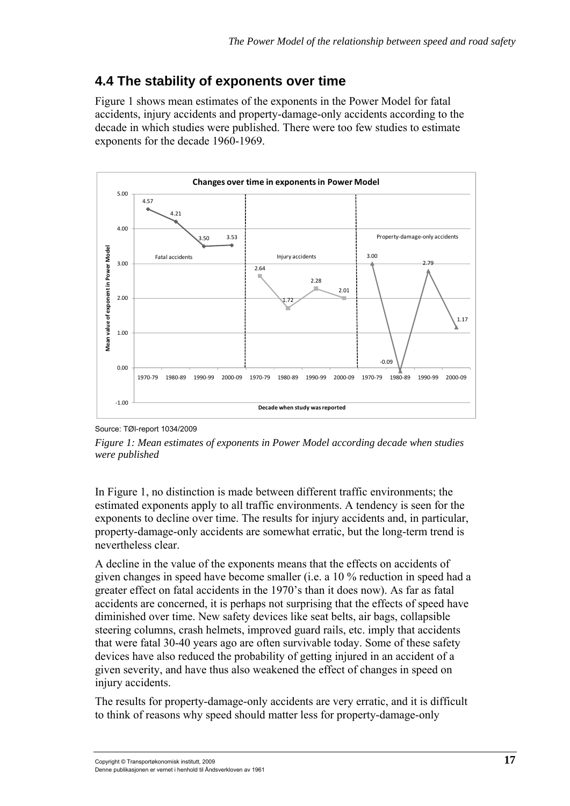### <span id="page-32-1"></span><span id="page-32-0"></span>**4.4 The stability of exponents over time**

Figure 1 shows mean estimates of the exponents in the Power Model for fatal accidents, injury accidents and property-damage-only accidents according to the decade in which studies were published. There were too few studies to estimate exponents for the decade 1960-1969.



Source: TØI-report 1034/2009

*Figure 1: Mean estimates of exponents in Power Model according decade when studies were published* 

In Figure 1, no distinction is made between different traffic environments; the estimated exponents apply to all traffic environments. A tendency is seen for the exponents to decline over time. The results for injury accidents and, in particular, property-damage-only accidents are somewhat erratic, but the long-term trend is nevertheless clear.

A decline in the value of the exponents means that the effects on accidents of given changes in speed have become smaller (i.e. a 10 % reduction in speed had a greater effect on fatal accidents in the 1970's than it does now). As far as fatal accidents are concerned, it is perhaps not surprising that the effects of speed have diminished over time. New safety devices like seat belts, air bags, collapsible steering columns, crash helmets, improved guard rails, etc. imply that accidents that were fatal 30-40 years ago are often survivable today. Some of these safety devices have also reduced the probability of getting injured in an accident of a given severity, and have thus also weakened the effect of changes in speed on injury accidents.

The results for property-damage-only accidents are very erratic, and it is difficult to think of reasons why speed should matter less for property-damage-only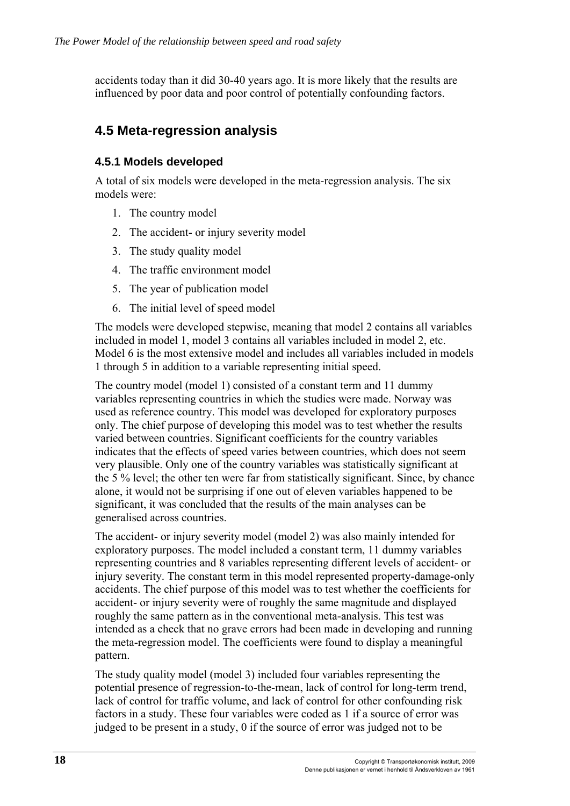<span id="page-33-0"></span>accidents today than it did 30-40 years ago. It is more likely that the results are influenced by poor data and poor control of potentially confounding factors.

#### <span id="page-33-1"></span>**4.5 Meta-regression analysis**

#### <span id="page-33-2"></span>**4.5.1 Models developed**

A total of six models were developed in the meta-regression analysis. The six models were:

- 1. The country model
- 2. The accident- or injury severity model
- 3. The study quality model
- 4. The traffic environment model
- 5. The year of publication model
- 6. The initial level of speed model

The models were developed stepwise, meaning that model 2 contains all variables included in model 1, model 3 contains all variables included in model 2, etc. Model 6 is the most extensive model and includes all variables included in models 1 through 5 in addition to a variable representing initial speed.

The country model (model 1) consisted of a constant term and 11 dummy variables representing countries in which the studies were made. Norway was used as reference country. This model was developed for exploratory purposes only. The chief purpose of developing this model was to test whether the results varied between countries. Significant coefficients for the country variables indicates that the effects of speed varies between countries, which does not seem very plausible. Only one of the country variables was statistically significant at the 5 % level; the other ten were far from statistically significant. Since, by chance alone, it would not be surprising if one out of eleven variables happened to be significant, it was concluded that the results of the main analyses can be generalised across countries.

The accident- or injury severity model (model 2) was also mainly intended for exploratory purposes. The model included a constant term, 11 dummy variables representing countries and 8 variables representing different levels of accident- or injury severity. The constant term in this model represented property-damage-only accidents. The chief purpose of this model was to test whether the coefficients for accident- or injury severity were of roughly the same magnitude and displayed roughly the same pattern as in the conventional meta-analysis. This test was intended as a check that no grave errors had been made in developing and running the meta-regression model. The coefficients were found to display a meaningful pattern.

The study quality model (model 3) included four variables representing the potential presence of regression-to-the-mean, lack of control for long-term trend, lack of control for traffic volume, and lack of control for other confounding risk factors in a study. These four variables were coded as 1 if a source of error was judged to be present in a study, 0 if the source of error was judged not to be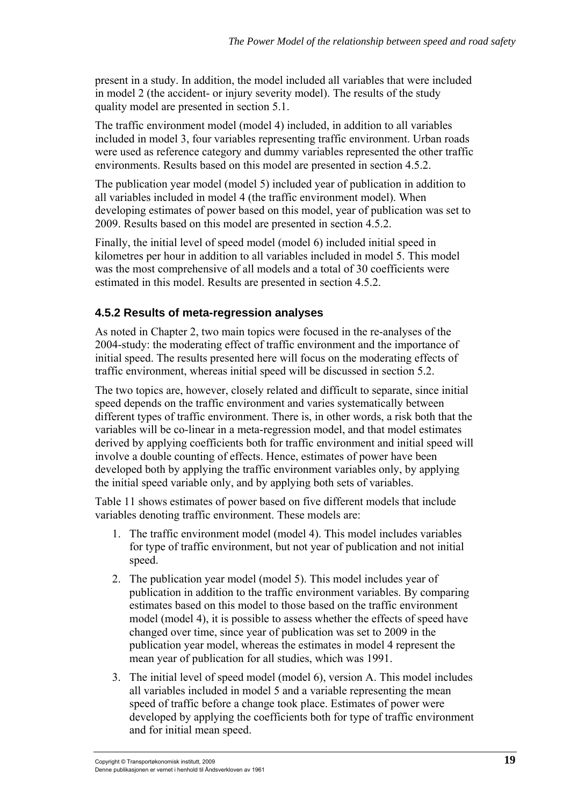<span id="page-34-0"></span>present in a study. In addition, the model included all variables that were included in model 2 (the accident- or injury severity model). The results of the study quality model are presented in section 5.1.

The traffic environment model (model 4) included, in addition to all variables included in model 3, four variables representing traffic environment. Urban roads were used as reference category and dummy variables represented the other traffic environments. Results based on this model are presented in section 4.5.2.

The publication year model (model 5) included year of publication in addition to all variables included in model 4 (the traffic environment model). When developing estimates of power based on this model, year of publication was set to 2009. Results based on this model are presented in section 4.5.2.

Finally, the initial level of speed model (model 6) included initial speed in kilometres per hour in addition to all variables included in model 5. This model was the most comprehensive of all models and a total of 30 coefficients were estimated in this model. Results are presented in section 4.5.2.

#### <span id="page-34-1"></span>**4.5.2 Results of meta-regression analyses**

As noted in Chapter 2, two main topics were focused in the re-analyses of the 2004-study: the moderating effect of traffic environment and the importance of initial speed. The results presented here will focus on the moderating effects of traffic environment, whereas initial speed will be discussed in section 5.2.

The two topics are, however, closely related and difficult to separate, since initial speed depends on the traffic environment and varies systematically between different types of traffic environment. There is, in other words, a risk both that the variables will be co-linear in a meta-regression model, and that model estimates derived by applying coefficients both for traffic environment and initial speed will involve a double counting of effects. Hence, estimates of power have been developed both by applying the traffic environment variables only, by applying the initial speed variable only, and by applying both sets of variables.

Table 11 shows estimates of power based on five different models that include variables denoting traffic environment. These models are:

- 1. The traffic environment model (model 4). This model includes variables for type of traffic environment, but not year of publication and not initial speed.
- 2. The publication year model (model 5). This model includes year of publication in addition to the traffic environment variables. By comparing estimates based on this model to those based on the traffic environment model (model 4), it is possible to assess whether the effects of speed have changed over time, since year of publication was set to 2009 in the publication year model, whereas the estimates in model 4 represent the mean year of publication for all studies, which was 1991.
- 3. The initial level of speed model (model 6), version A. This model includes all variables included in model 5 and a variable representing the mean speed of traffic before a change took place. Estimates of power were developed by applying the coefficients both for type of traffic environment and for initial mean speed.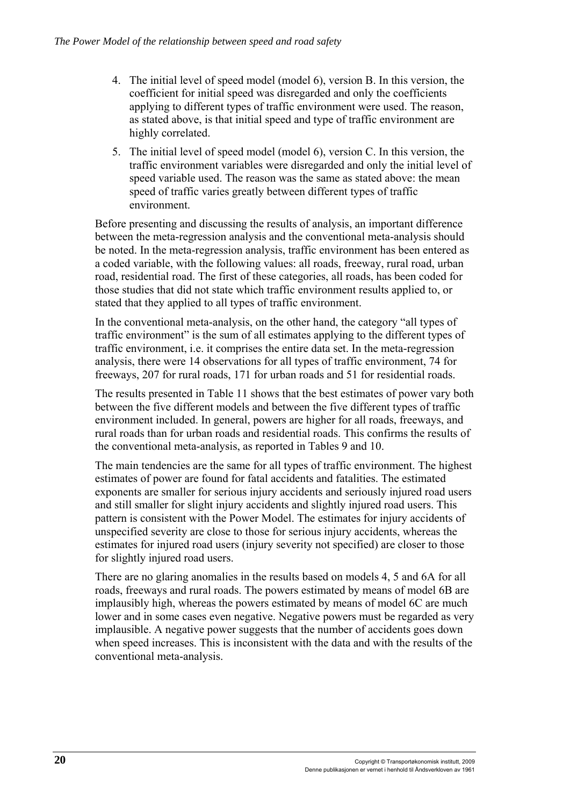- 4. The initial level of speed model (model 6), version B. In this version, the coefficient for initial speed was disregarded and only the coefficients applying to different types of traffic environment were used. The reason, as stated above, is that initial speed and type of traffic environment are highly correlated.
- 5. The initial level of speed model (model 6), version C. In this version, the traffic environment variables were disregarded and only the initial level of speed variable used. The reason was the same as stated above: the mean speed of traffic varies greatly between different types of traffic environment.

Before presenting and discussing the results of analysis, an important difference between the meta-regression analysis and the conventional meta-analysis should be noted. In the meta-regression analysis, traffic environment has been entered as a coded variable, with the following values: all roads, freeway, rural road, urban road, residential road. The first of these categories, all roads, has been coded for those studies that did not state which traffic environment results applied to, or stated that they applied to all types of traffic environment.

In the conventional meta-analysis, on the other hand, the category "all types of traffic environment" is the sum of all estimates applying to the different types of traffic environment, i.e. it comprises the entire data set. In the meta-regression analysis, there were 14 observations for all types of traffic environment, 74 for freeways, 207 for rural roads, 171 for urban roads and 51 for residential roads.

The results presented in Table 11 shows that the best estimates of power vary both between the five different models and between the five different types of traffic environment included. In general, powers are higher for all roads, freeways, and rural roads than for urban roads and residential roads. This confirms the results of the conventional meta-analysis, as reported in Tables 9 and 10.

The main tendencies are the same for all types of traffic environment. The highest estimates of power are found for fatal accidents and fatalities. The estimated exponents are smaller for serious injury accidents and seriously injured road users and still smaller for slight injury accidents and slightly injured road users. This pattern is consistent with the Power Model. The estimates for injury accidents of unspecified severity are close to those for serious injury accidents, whereas the estimates for injured road users (injury severity not specified) are closer to those for slightly injured road users.

There are no glaring anomalies in the results based on models 4, 5 and 6A for all roads, freeways and rural roads. The powers estimated by means of model 6B are implausibly high, whereas the powers estimated by means of model 6C are much lower and in some cases even negative. Negative powers must be regarded as very implausible. A negative power suggests that the number of accidents goes down when speed increases. This is inconsistent with the data and with the results of the conventional meta-analysis.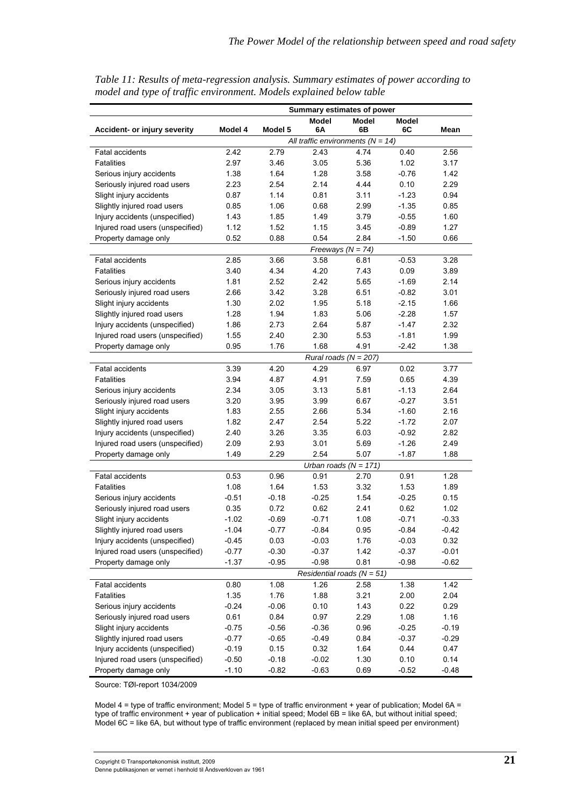|                                  | Summary estimates of power     |         |                                     |                           |         |         |
|----------------------------------|--------------------------------|---------|-------------------------------------|---------------------------|---------|---------|
|                                  |                                |         | <b>Model</b>                        | Model                     | Model   |         |
| Accident- or injury severity     | Model 4                        | Model 5 | 6A                                  | 6B                        | 6C      | Mean    |
|                                  |                                |         | All traffic environments $(N = 14)$ |                           |         |         |
| <b>Fatal accidents</b>           | 2.42                           | 2.79    | 2.43                                | 4.74                      | 0.40    | 2.56    |
| <b>Fatalities</b>                | 2.97                           | 3.46    | 3.05                                | 5.36                      | 1.02    | 3.17    |
| Serious injury accidents         | 1.38                           | 1.64    | 1.28                                | 3.58                      | $-0.76$ | 1.42    |
| Seriously injured road users     | 2.23                           | 2.54    | 2.14                                | 4.44                      | 0.10    | 2.29    |
| Slight injury accidents          | 0.87                           | 1.14    | 0.81                                | 3.11                      | $-1.23$ | 0.94    |
| Slightly injured road users      | 0.85                           | 1.06    | 0.68                                | 2.99                      | $-1.35$ | 0.85    |
| Injury accidents (unspecified)   | 1.43                           | 1.85    | 1.49                                | 3.79                      | $-0.55$ | 1.60    |
| Injured road users (unspecified) | 1.12                           | 1.52    | 1.15                                | 3.45                      | $-0.89$ | 1.27    |
| Property damage only             | 0.52                           | 0.88    | 0.54                                | 2.84                      | $-1.50$ | 0.66    |
|                                  |                                |         |                                     | Freeways $(N = 74)$       |         |         |
| <b>Fatal accidents</b>           | 2.85                           | 3.66    | 3.58                                | 6.81                      | $-0.53$ | 3.28    |
| <b>Fatalities</b>                | 3.40                           | 4.34    | 4.20                                | 7.43                      | 0.09    | 3.89    |
| Serious injury accidents         | 1.81                           | 2.52    | 2.42                                | 5.65                      | $-1.69$ | 2.14    |
| Seriously injured road users     | 2.66                           | 3.42    | 3.28                                | 6.51                      | $-0.82$ | 3.01    |
| Slight injury accidents          | 1.30                           | 2.02    | 1.95                                | 5.18                      | $-2.15$ | 1.66    |
| Slightly injured road users      | 1.28                           | 1.94    | 1.83                                | 5.06                      | $-2.28$ | 1.57    |
| Injury accidents (unspecified)   | 1.86                           | 2.73    | 2.64                                | 5.87                      | $-1.47$ | 2.32    |
| Injured road users (unspecified) | 1.55                           | 2.40    | 2.30                                | 5.53                      | $-1.81$ | 1.99    |
| Property damage only             | 0.95                           | 1.76    | 1.68                                | 4.91                      | $-2.42$ | 1.38    |
|                                  | Rural roads ( $N = 207$ )      |         |                                     |                           |         |         |
| <b>Fatal accidents</b>           | 3.39                           | 4.20    | 4.29                                | 6.97                      | 0.02    | 3.77    |
| <b>Fatalities</b>                | 3.94                           | 4.87    | 4.91                                | 7.59                      | 0.65    | 4.39    |
| Serious injury accidents         | 2.34                           | 3.05    | 3.13                                | 5.81                      | $-1.13$ | 2.64    |
| Seriously injured road users     | 3.20                           | 3.95    | 3.99                                | 6.67                      | $-0.27$ | 3.51    |
| Slight injury accidents          | 1.83                           | 2.55    | 2.66                                | 5.34                      | $-1.60$ | 2.16    |
| Slightly injured road users      | 1.82                           | 2.47    | 2.54                                | 5.22                      | $-1.72$ | 2.07    |
| Injury accidents (unspecified)   | 2.40                           | 3.26    | 3.35                                | 6.03                      | $-0.92$ | 2.82    |
| Injured road users (unspecified) | 2.09                           | 2.93    | 3.01                                | 5.69                      | $-1.26$ | 2.49    |
| Property damage only             | 1.49                           | 2.29    | 2.54                                | 5.07                      | $-1.87$ | 1.88    |
|                                  |                                |         |                                     | Urban roads ( $N = 171$ ) |         |         |
| <b>Fatal accidents</b>           | 0.53                           | 0.96    | 0.91                                | 2.70                      | 0.91    | 1.28    |
| <b>Fatalities</b>                | 1.08                           | 1.64    | 1.53                                | 3.32                      | 1.53    | 1.89    |
| Serious injury accidents         | $-0.51$                        | $-0.18$ | $-0.25$                             | 1.54                      | $-0.25$ | 0.15    |
| Seriously injured road users     | 0.35                           | 0.72    | 0.62                                | 2.41                      | 0.62    | 1.02    |
| Slight injury accidents          | $-1.02$                        | $-0.69$ | $-0.71$                             | 1.08                      | $-0.71$ | $-0.33$ |
| Slightly injured road users      | $-1.04$                        | $-0.77$ | $-0.84$                             | $0.95\,$                  | $-0.84$ | $-0.42$ |
| Injury accidents (unspecified)   | $-0.45$                        | 0.03    | $-0.03$                             | 1.76                      | $-0.03$ | 0.32    |
| Injured road users (unspecified) | $-0.77$                        | $-0.30$ | $-0.37$                             | 1.42                      | $-0.37$ | $-0.01$ |
| Property damage only             | $-1.37$                        | $-0.95$ | $-0.98$                             | 0.81                      | $-0.98$ | $-0.62$ |
|                                  | Residential roads ( $N = 51$ ) |         |                                     |                           |         |         |
| <b>Fatal accidents</b>           | 0.80                           | 1.08    | 1.26                                | 2.58                      | 1.38    | 1.42    |
| <b>Fatalities</b>                | 1.35                           | 1.76    | 1.88                                | 3.21                      | 2.00    | 2.04    |
| Serious injury accidents         | $-0.24$                        | $-0.06$ | 0.10                                | 1.43                      | 0.22    | 0.29    |
| Seriously injured road users     | 0.61                           | 0.84    | 0.97                                | 2.29                      | 1.08    | 1.16    |
| Slight injury accidents          | $-0.75$                        | $-0.56$ | $-0.36$                             | 0.96                      | $-0.25$ | $-0.19$ |
| Slightly injured road users      | $-0.77$                        | $-0.65$ | $-0.49$                             | 0.84                      | $-0.37$ | $-0.29$ |
| Injury accidents (unspecified)   | $-0.19$                        | 0.15    | 0.32                                | 1.64                      | 0.44    | 0.47    |
| Injured road users (unspecified) | $-0.50$                        | $-0.18$ | $-0.02$                             | 1.30                      | 0.10    | 0.14    |
| Property damage only             | $-1.10$                        | $-0.82$ | $-0.63$                             | 0.69                      | $-0.52$ | $-0.48$ |

*Table 11: Results of meta-regression analysis. Summary estimates of power according to model and type of traffic environment. Models explained below table* 

Source: TØI-report 1034/2009

Model 4 = type of traffic environment; Model 5 = type of traffic environment + year of publication; Model 6A = type of traffic environment + year of publication + initial speed; Model 6B = like 6A, but without initial speed; Model 6C = like 6A, but without type of traffic environment (replaced by mean initial speed per environment)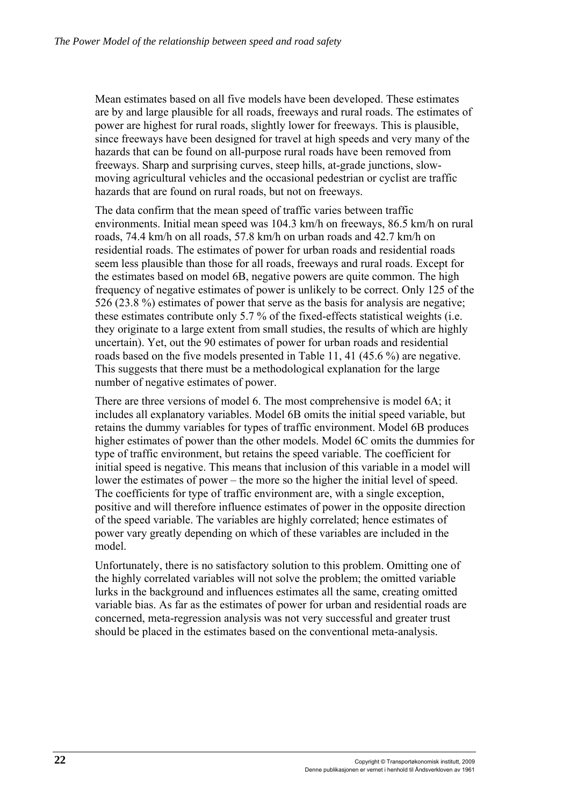Mean estimates based on all five models have been developed. These estimates are by and large plausible for all roads, freeways and rural roads. The estimates of power are highest for rural roads, slightly lower for freeways. This is plausible, since freeways have been designed for travel at high speeds and very many of the hazards that can be found on all-purpose rural roads have been removed from freeways. Sharp and surprising curves, steep hills, at-grade junctions, slowmoving agricultural vehicles and the occasional pedestrian or cyclist are traffic hazards that are found on rural roads, but not on freeways.

The data confirm that the mean speed of traffic varies between traffic environments. Initial mean speed was 104.3 km/h on freeways, 86.5 km/h on rural roads, 74.4 km/h on all roads, 57.8 km/h on urban roads and 42.7 km/h on residential roads. The estimates of power for urban roads and residential roads seem less plausible than those for all roads, freeways and rural roads. Except for the estimates based on model 6B, negative powers are quite common. The high frequency of negative estimates of power is unlikely to be correct. Only 125 of the 526 (23.8 %) estimates of power that serve as the basis for analysis are negative; these estimates contribute only 5.7 % of the fixed-effects statistical weights (i.e. they originate to a large extent from small studies, the results of which are highly uncertain). Yet, out the 90 estimates of power for urban roads and residential roads based on the five models presented in Table 11, 41 (45.6 %) are negative. This suggests that there must be a methodological explanation for the large number of negative estimates of power.

There are three versions of model 6. The most comprehensive is model 6A; it includes all explanatory variables. Model 6B omits the initial speed variable, but retains the dummy variables for types of traffic environment. Model 6B produces higher estimates of power than the other models. Model 6C omits the dummies for type of traffic environment, but retains the speed variable. The coefficient for initial speed is negative. This means that inclusion of this variable in a model will lower the estimates of power – the more so the higher the initial level of speed. The coefficients for type of traffic environment are, with a single exception, positive and will therefore influence estimates of power in the opposite direction of the speed variable. The variables are highly correlated; hence estimates of power vary greatly depending on which of these variables are included in the model.

Unfortunately, there is no satisfactory solution to this problem. Omitting one of the highly correlated variables will not solve the problem; the omitted variable lurks in the background and influences estimates all the same, creating omitted variable bias. As far as the estimates of power for urban and residential roads are concerned, meta-regression analysis was not very successful and greater trust should be placed in the estimates based on the conventional meta-analysis.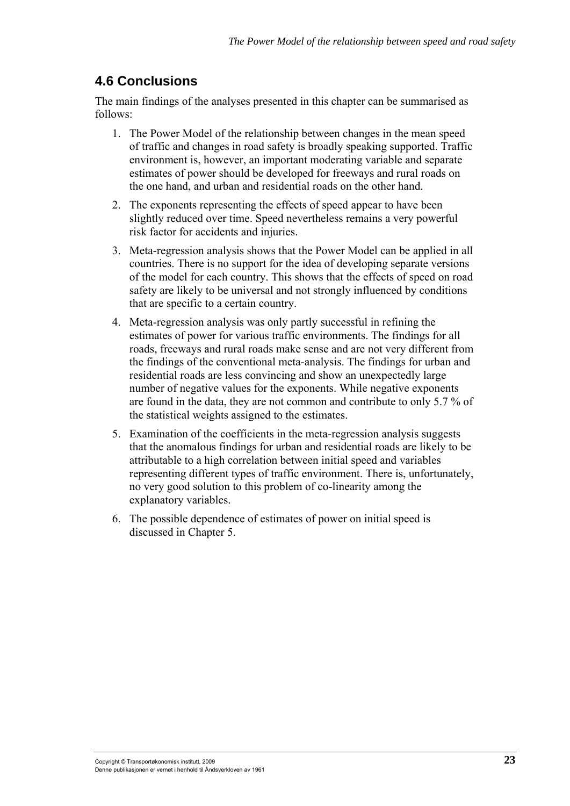# **4.6 Conclusions**

The main findings of the analyses presented in this chapter can be summarised as follows:

- 1. The Power Model of the relationship between changes in the mean speed of traffic and changes in road safety is broadly speaking supported. Traffic environment is, however, an important moderating variable and separate estimates of power should be developed for freeways and rural roads on the one hand, and urban and residential roads on the other hand.
- 2. The exponents representing the effects of speed appear to have been slightly reduced over time. Speed nevertheless remains a very powerful risk factor for accidents and injuries.
- 3. Meta-regression analysis shows that the Power Model can be applied in all countries. There is no support for the idea of developing separate versions of the model for each country. This shows that the effects of speed on road safety are likely to be universal and not strongly influenced by conditions that are specific to a certain country.
- 4. Meta-regression analysis was only partly successful in refining the estimates of power for various traffic environments. The findings for all roads, freeways and rural roads make sense and are not very different from the findings of the conventional meta-analysis. The findings for urban and residential roads are less convincing and show an unexpectedly large number of negative values for the exponents. While negative exponents are found in the data, they are not common and contribute to only 5.7 % of the statistical weights assigned to the estimates.
- 5. Examination of the coefficients in the meta-regression analysis suggests that the anomalous findings for urban and residential roads are likely to be attributable to a high correlation between initial speed and variables representing different types of traffic environment. There is, unfortunately, no very good solution to this problem of co-linearity among the explanatory variables.
- 6. The possible dependence of estimates of power on initial speed is discussed in Chapter 5.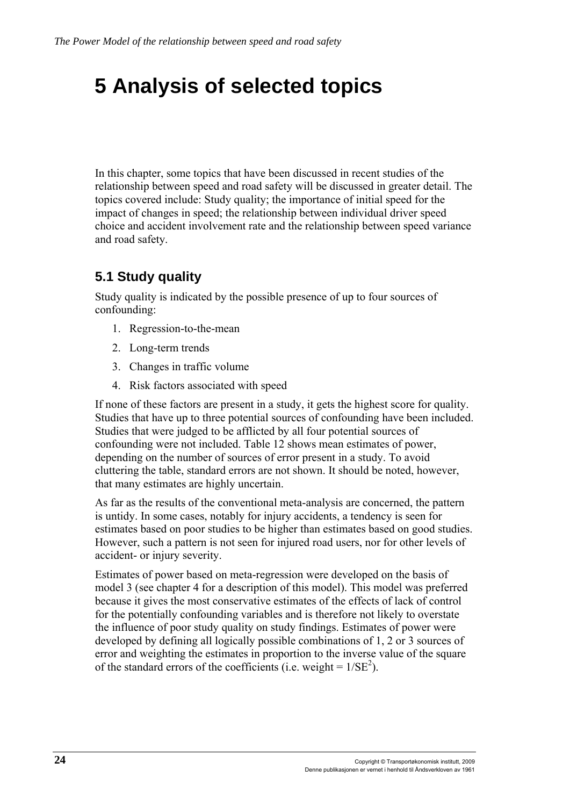# **5 Analysis of selected topics**

In this chapter, some topics that have been discussed in recent studies of the relationship between speed and road safety will be discussed in greater detail. The topics covered include: Study quality; the importance of initial speed for the impact of changes in speed; the relationship between individual driver speed choice and accident involvement rate and the relationship between speed variance and road safety.

# **5.1 Study quality**

Study quality is indicated by the possible presence of up to four sources of confounding:

- 1. Regression-to-the-mean
- 2. Long-term trends
- 3. Changes in traffic volume
- 4. Risk factors associated with speed

If none of these factors are present in a study, it gets the highest score for quality. Studies that have up to three potential sources of confounding have been included. Studies that were judged to be afflicted by all four potential sources of confounding were not included. Table 12 shows mean estimates of power, depending on the number of sources of error present in a study. To avoid cluttering the table, standard errors are not shown. It should be noted, however, that many estimates are highly uncertain.

As far as the results of the conventional meta-analysis are concerned, the pattern is untidy. In some cases, notably for injury accidents, a tendency is seen for estimates based on poor studies to be higher than estimates based on good studies. However, such a pattern is not seen for injured road users, nor for other levels of accident- or injury severity.

Estimates of power based on meta-regression were developed on the basis of model 3 (see chapter 4 for a description of this model). This model was preferred because it gives the most conservative estimates of the effects of lack of control for the potentially confounding variables and is therefore not likely to overstate the influence of poor study quality on study findings. Estimates of power were developed by defining all logically possible combinations of 1, 2 or 3 sources of error and weighting the estimates in proportion to the inverse value of the square of the standard errors of the coefficients (i.e. weight =  $1/SE^2$ ).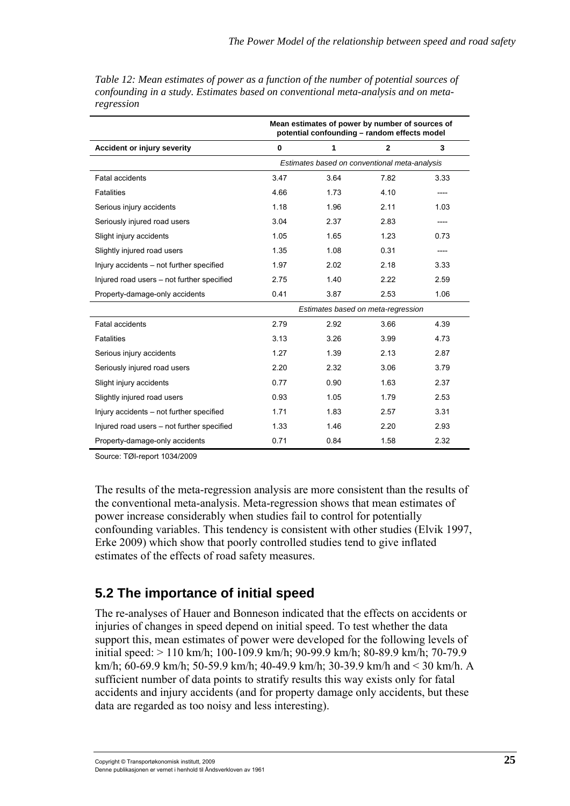|                                            | Mean estimates of power by number of sources of<br>potential confounding - random effects model |      |              |      |
|--------------------------------------------|-------------------------------------------------------------------------------------------------|------|--------------|------|
| <b>Accident or injury severity</b>         | $\bf{0}$                                                                                        | 1    | $\mathbf{2}$ | 3    |
|                                            | Estimates based on conventional meta-analysis                                                   |      |              |      |
| Fatal accidents                            | 3.47                                                                                            | 3.64 | 7.82         | 3.33 |
| <b>Fatalities</b>                          | 4.66                                                                                            | 1.73 | 4.10         |      |
| Serious injury accidents                   | 1.18                                                                                            | 1.96 | 2.11         | 1.03 |
| Seriously injured road users               | 3.04                                                                                            | 2.37 | 2.83         |      |
| Slight injury accidents                    | 1.05                                                                                            | 1.65 | 1.23         | 0.73 |
| Slightly injured road users                | 1.35                                                                                            | 1.08 | 0.31         |      |
| Injury accidents - not further specified   | 1.97                                                                                            | 2.02 | 2.18         | 3.33 |
| Injured road users - not further specified | 2.75                                                                                            | 1.40 | 2.22         | 2.59 |
| Property-damage-only accidents             | 0.41                                                                                            | 3.87 | 2.53         | 1.06 |
|                                            | Estimates based on meta-regression                                                              |      |              |      |
| Fatal accidents                            | 2.79                                                                                            | 2.92 | 3.66         | 4.39 |
| <b>Fatalities</b>                          | 3.13                                                                                            | 3.26 | 3.99         | 4.73 |
| Serious injury accidents                   | 1.27                                                                                            | 1.39 | 2.13         | 287  |
| Seriously injured road users               | 2.20                                                                                            | 2.32 | 3.06         | 3.79 |
| Slight injury accidents                    | 0.77                                                                                            | 0.90 | 1.63         | 2.37 |
| Slightly injured road users                | 0.93                                                                                            | 1.05 | 1.79         | 2.53 |
| Injury accidents – not further specified   | 1.71                                                                                            | 1.83 | 2.57         | 3.31 |
| Injured road users - not further specified | 1.33                                                                                            | 1.46 | 2.20         | 2.93 |
| Property-damage-only accidents             | 0.71                                                                                            | 0.84 | 1.58         | 2.32 |

*Table 12: Mean estimates of power as a function of the number of potential sources of confounding in a study. Estimates based on conventional meta-analysis and on metaregression* 

Source: TØI-report 1034/2009

The results of the meta-regression analysis are more consistent than the results of the conventional meta-analysis. Meta-regression shows that mean estimates of power increase considerably when studies fail to control for potentially confounding variables. This tendency is consistent with other studies (Elvik 1997, Erke 2009) which show that poorly controlled studies tend to give inflated estimates of the effects of road safety measures.

## **5.2 The importance of initial speed**

The re-analyses of Hauer and Bonneson indicated that the effects on accidents or injuries of changes in speed depend on initial speed. To test whether the data support this, mean estimates of power were developed for the following levels of initial speed: > 110 km/h; 100-109.9 km/h; 90-99.9 km/h; 80-89.9 km/h; 70-79.9 km/h; 60-69.9 km/h; 50-59.9 km/h; 40-49.9 km/h; 30-39.9 km/h and < 30 km/h. A sufficient number of data points to stratify results this way exists only for fatal accidents and injury accidents (and for property damage only accidents, but these data are regarded as too noisy and less interesting).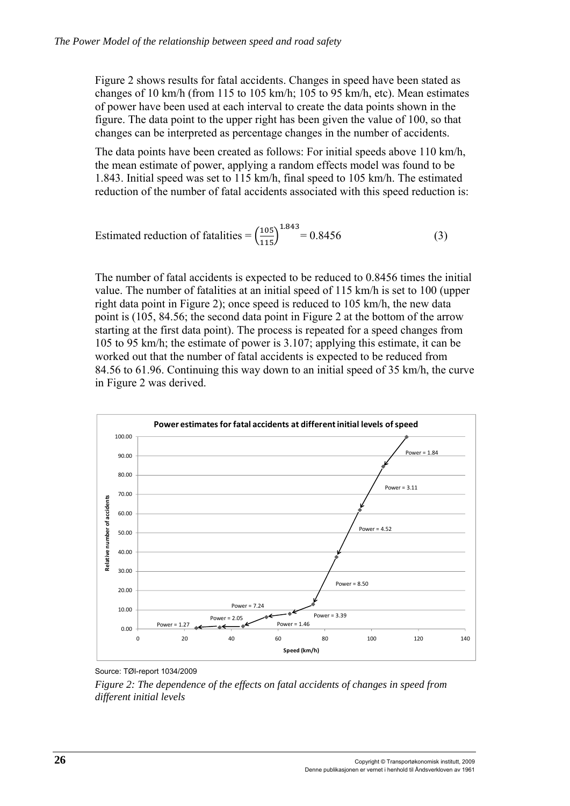Figure 2 shows results for fatal accidents. Changes in speed have been stated as changes of 10 km/h (from 115 to 105 km/h; 105 to 95 km/h, etc). Mean estimates of power have been used at each interval to create the data points shown in the figure. The data point to the upper right has been given the value of 100, so that changes can be interpreted as percentage changes in the number of accidents.

The data points have been created as follows: For initial speeds above 110 km/h, the mean estimate of power, applying a random effects model was found to be 1.843. Initial speed was set to 115 km/h, final speed to 105 km/h. The estimated reduction of the number of fatal accidents associated with this speed reduction is:

$$
Estimated reduction of fatalities = \left(\frac{105}{115}\right)^{1.843} = 0.8456\tag{3}
$$

The number of fatal accidents is expected to be reduced to 0.8456 times the initial value. The number of fatalities at an initial speed of 115 km/h is set to 100 (upper right data point in Figure 2); once speed is reduced to 105 km/h, the new data point is (105, 84.56; the second data point in Figure 2 at the bottom of the arrow starting at the first data point). The process is repeated for a speed changes from 105 to 95 km/h; the estimate of power is 3.107; applying this estimate, it can be worked out that the number of fatal accidents is expected to be reduced from 84.56 to 61.96. Continuing this way down to an initial speed of 35 km/h, the curve in Figure 2 was derived.



Source: TØI-report 1034/2009

*Figure 2: The dependence of the effects on fatal accidents of changes in speed from different initial levels*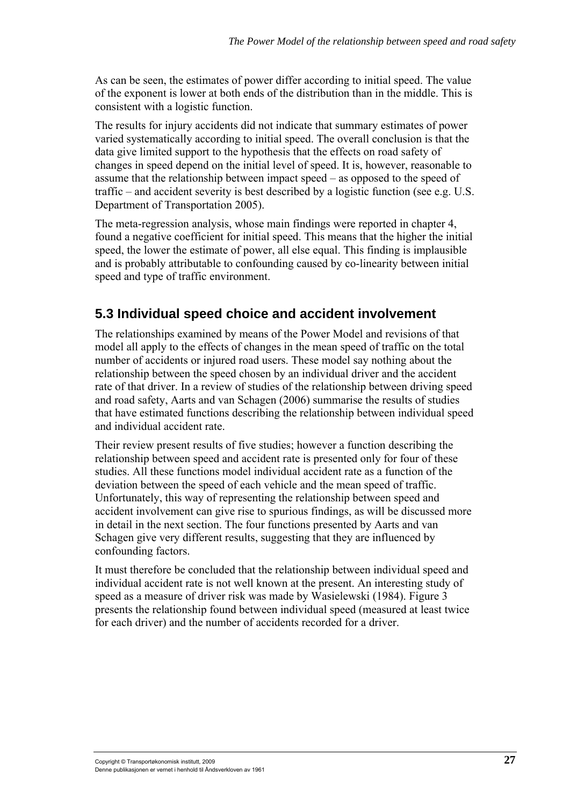As can be seen, the estimates of power differ according to initial speed. The value of the exponent is lower at both ends of the distribution than in the middle. This is consistent with a logistic function.

The results for injury accidents did not indicate that summary estimates of power varied systematically according to initial speed. The overall conclusion is that the data give limited support to the hypothesis that the effects on road safety of changes in speed depend on the initial level of speed. It is, however, reasonable to assume that the relationship between impact speed – as opposed to the speed of traffic – and accident severity is best described by a logistic function (see e.g. U.S. Department of Transportation 2005).

The meta-regression analysis, whose main findings were reported in chapter 4, found a negative coefficient for initial speed. This means that the higher the initial speed, the lower the estimate of power, all else equal. This finding is implausible and is probably attributable to confounding caused by co-linearity between initial speed and type of traffic environment.

# **5.3 Individual speed choice and accident involvement**

The relationships examined by means of the Power Model and revisions of that model all apply to the effects of changes in the mean speed of traffic on the total number of accidents or injured road users. These model say nothing about the relationship between the speed chosen by an individual driver and the accident rate of that driver. In a review of studies of the relationship between driving speed and road safety, Aarts and van Schagen (2006) summarise the results of studies that have estimated functions describing the relationship between individual speed and individual accident rate.

Their review present results of five studies; however a function describing the relationship between speed and accident rate is presented only for four of these studies. All these functions model individual accident rate as a function of the deviation between the speed of each vehicle and the mean speed of traffic. Unfortunately, this way of representing the relationship between speed and accident involvement can give rise to spurious findings, as will be discussed more in detail in the next section. The four functions presented by Aarts and van Schagen give very different results, suggesting that they are influenced by confounding factors.

It must therefore be concluded that the relationship between individual speed and individual accident rate is not well known at the present. An interesting study of speed as a measure of driver risk was made by Wasielewski (1984). Figure 3 presents the relationship found between individual speed (measured at least twice for each driver) and the number of accidents recorded for a driver.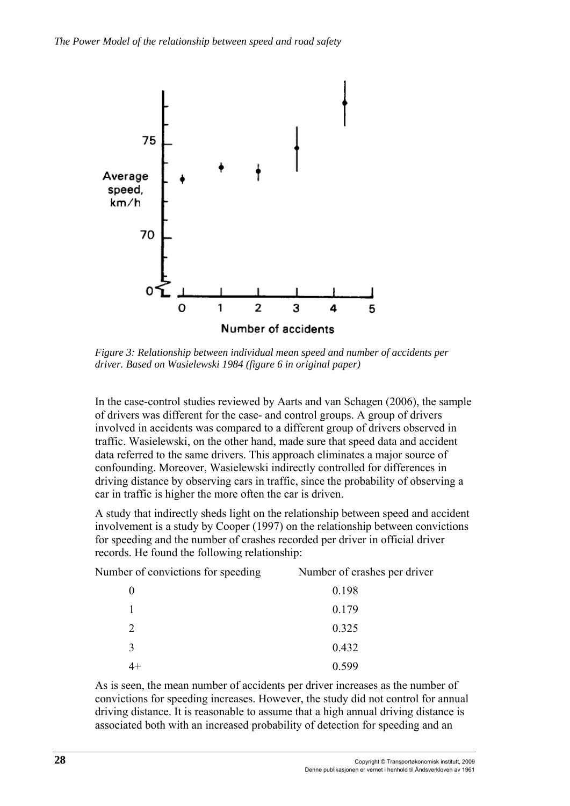

*Figure 3: Relationship between individual mean speed and number of accidents per driver. Based on Wasielewski 1984 (figure 6 in original paper)* 

In the case-control studies reviewed by Aarts and van Schagen (2006), the sample of drivers was different for the case- and control groups. A group of drivers involved in accidents was compared to a different group of drivers observed in traffic. Wasielewski, on the other hand, made sure that speed data and accident data referred to the same drivers. This approach eliminates a major source of confounding. Moreover, Wasielewski indirectly controlled for differences in driving distance by observing cars in traffic, since the probability of observing a car in traffic is higher the more often the car is driven.

A study that indirectly sheds light on the relationship between speed and accident involvement is a study by Cooper (1997) on the relationship between convictions for speeding and the number of crashes recorded per driver in official driver records. He found the following relationship:

| Number of convictions for speeding | Number of crashes per driver |
|------------------------------------|------------------------------|
|                                    | 0.198                        |
|                                    | 0.179                        |
| 2                                  | 0.325                        |
| $\mathbf{3}$                       | 0.432                        |
|                                    | 0.599                        |

As is seen, the mean number of accidents per driver increases as the number of convictions for speeding increases. However, the study did not control for annual driving distance. It is reasonable to assume that a high annual driving distance is associated both with an increased probability of detection for speeding and an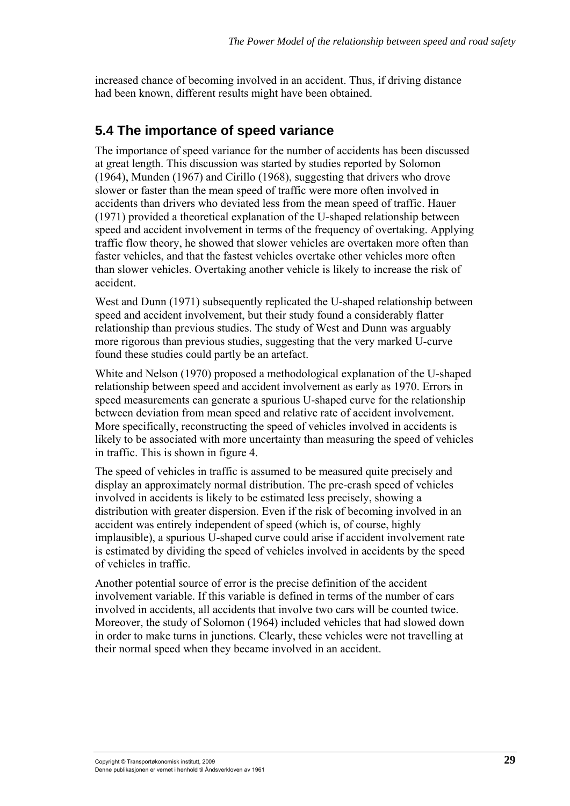increased chance of becoming involved in an accident. Thus, if driving distance had been known, different results might have been obtained.

### **5.4 The importance of speed variance**

The importance of speed variance for the number of accidents has been discussed at great length. This discussion was started by studies reported by Solomon (1964), Munden (1967) and Cirillo (1968), suggesting that drivers who drove slower or faster than the mean speed of traffic were more often involved in accidents than drivers who deviated less from the mean speed of traffic. Hauer (1971) provided a theoretical explanation of the U-shaped relationship between speed and accident involvement in terms of the frequency of overtaking. Applying traffic flow theory, he showed that slower vehicles are overtaken more often than faster vehicles, and that the fastest vehicles overtake other vehicles more often than slower vehicles. Overtaking another vehicle is likely to increase the risk of accident.

West and Dunn (1971) subsequently replicated the U-shaped relationship between speed and accident involvement, but their study found a considerably flatter relationship than previous studies. The study of West and Dunn was arguably more rigorous than previous studies, suggesting that the very marked U-curve found these studies could partly be an artefact.

White and Nelson (1970) proposed a methodological explanation of the U-shaped relationship between speed and accident involvement as early as 1970. Errors in speed measurements can generate a spurious U-shaped curve for the relationship between deviation from mean speed and relative rate of accident involvement. More specifically, reconstructing the speed of vehicles involved in accidents is likely to be associated with more uncertainty than measuring the speed of vehicles in traffic. This is shown in figure 4.

The speed of vehicles in traffic is assumed to be measured quite precisely and display an approximately normal distribution. The pre-crash speed of vehicles involved in accidents is likely to be estimated less precisely, showing a distribution with greater dispersion. Even if the risk of becoming involved in an accident was entirely independent of speed (which is, of course, highly implausible), a spurious U-shaped curve could arise if accident involvement rate is estimated by dividing the speed of vehicles involved in accidents by the speed of vehicles in traffic.

Another potential source of error is the precise definition of the accident involvement variable. If this variable is defined in terms of the number of cars involved in accidents, all accidents that involve two cars will be counted twice. Moreover, the study of Solomon (1964) included vehicles that had slowed down in order to make turns in junctions. Clearly, these vehicles were not travelling at their normal speed when they became involved in an accident.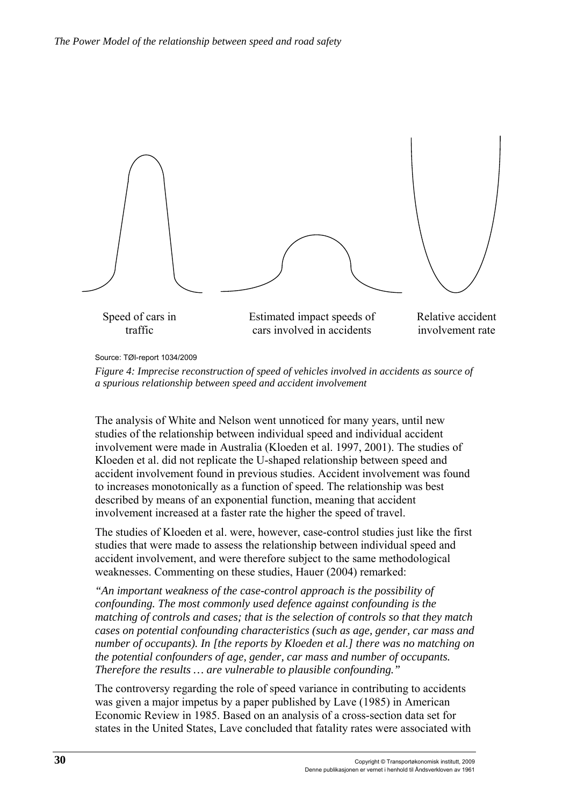

Source: TØI-report 1034/2009

*Figure 4: Imprecise reconstruction of speed of vehicles involved in accidents as source of a spurious relationship between speed and accident involvement* 

The analysis of White and Nelson went unnoticed for many years, until new studies of the relationship between individual speed and individual accident involvement were made in Australia (Kloeden et al. 1997, 2001). The studies of Kloeden et al. did not replicate the U-shaped relationship between speed and accident involvement found in previous studies. Accident involvement was found to increases monotonically as a function of speed. The relationship was best described by means of an exponential function, meaning that accident involvement increased at a faster rate the higher the speed of travel.

The studies of Kloeden et al. were, however, case-control studies just like the first studies that were made to assess the relationship between individual speed and accident involvement, and were therefore subject to the same methodological weaknesses. Commenting on these studies, Hauer (2004) remarked:

*"An important weakness of the case-control approach is the possibility of confounding. The most commonly used defence against confounding is the matching of controls and cases; that is the selection of controls so that they match cases on potential confounding characteristics (such as age, gender, car mass and number of occupants). In [the reports by Kloeden et al.] there was no matching on the potential confounders of age, gender, car mass and number of occupants. Therefore the results … are vulnerable to plausible confounding."* 

The controversy regarding the role of speed variance in contributing to accidents was given a major impetus by a paper published by Lave (1985) in American Economic Review in 1985. Based on an analysis of a cross-section data set for states in the United States, Lave concluded that fatality rates were associated with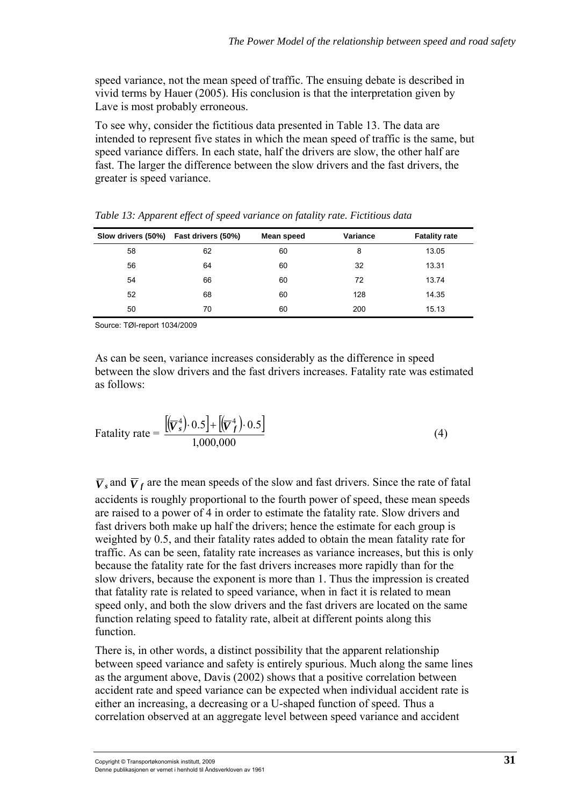speed variance, not the mean speed of traffic. The ensuing debate is described in vivid terms by Hauer (2005). His conclusion is that the interpretation given by Lave is most probably erroneous.

To see why, consider the fictitious data presented in Table 13. The data are intended to represent five states in which the mean speed of traffic is the same, but speed variance differs. In each state, half the drivers are slow, the other half are fast. The larger the difference between the slow drivers and the fast drivers, the greater is speed variance.

| Slow drivers (50%) Fast drivers (50%) |    | Mean speed | Variance | <b>Fatality rate</b> |
|---------------------------------------|----|------------|----------|----------------------|
| 58                                    | 62 | 60         | 8        | 13.05                |
| 56                                    | 64 | 60         | 32       | 13.31                |
| 54                                    | 66 | 60         | 72       | 13.74                |
| 52                                    | 68 | 60         | 128      | 14.35                |
| 50                                    | 70 | 60         | 200      | 15.13                |

*Table 13: Apparent effect of speed variance on fatality rate. Fictitious data* 

Source: TØI-report 1034/2009

As can be seen, variance increases considerably as the difference in speed between the slow drivers and the fast drivers increases. Fatality rate was estimated as follows:

$$
\text{Fatality rate} = \frac{\left[\left(\overline{V}_s^4\right) \cdot 0.5\right] + \left[\left(\overline{V}_f^4\right) \cdot 0.5\right]}{1,000,000} \tag{4}
$$

 $\overline{V}_s$  and  $\overline{V}_f$  are the mean speeds of the slow and fast drivers. Since the rate of fatal accidents is roughly proportional to the fourth power of speed, these mean speeds are raised to a power of 4 in order to estimate the fatality rate. Slow drivers and fast drivers both make up half the drivers; hence the estimate for each group is weighted by 0.5, and their fatality rates added to obtain the mean fatality rate for traffic. As can be seen, fatality rate increases as variance increases, but this is only because the fatality rate for the fast drivers increases more rapidly than for the slow drivers, because the exponent is more than 1. Thus the impression is created that fatality rate is related to speed variance, when in fact it is related to mean speed only, and both the slow drivers and the fast drivers are located on the same function relating speed to fatality rate, albeit at different points along this function.

There is, in other words, a distinct possibility that the apparent relationship between speed variance and safety is entirely spurious. Much along the same lines as the argument above, Davis (2002) shows that a positive correlation between accident rate and speed variance can be expected when individual accident rate is either an increasing, a decreasing or a U-shaped function of speed. Thus a correlation observed at an aggregate level between speed variance and accident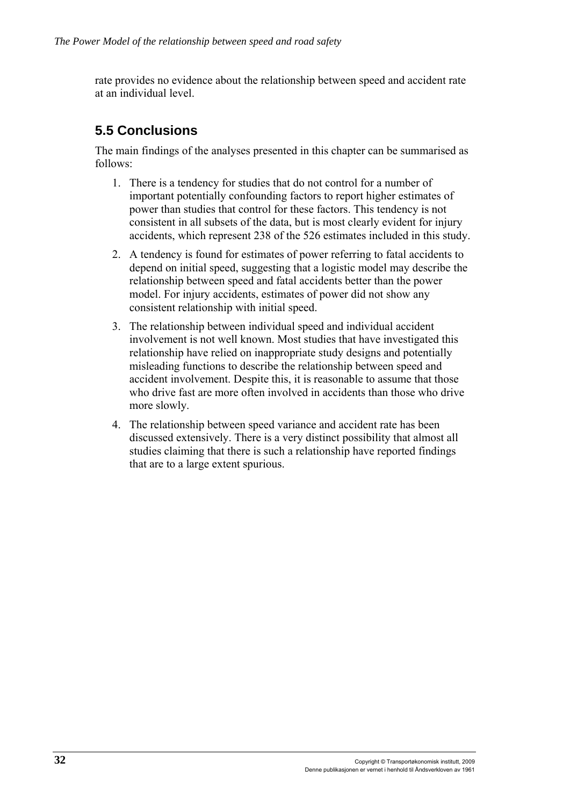rate provides no evidence about the relationship between speed and accident rate at an individual level.

## **5.5 Conclusions**

The main findings of the analyses presented in this chapter can be summarised as follows:

- 1. There is a tendency for studies that do not control for a number of important potentially confounding factors to report higher estimates of power than studies that control for these factors. This tendency is not consistent in all subsets of the data, but is most clearly evident for injury accidents, which represent 238 of the 526 estimates included in this study.
- 2. A tendency is found for estimates of power referring to fatal accidents to depend on initial speed, suggesting that a logistic model may describe the relationship between speed and fatal accidents better than the power model. For injury accidents, estimates of power did not show any consistent relationship with initial speed.
- 3. The relationship between individual speed and individual accident involvement is not well known. Most studies that have investigated this relationship have relied on inappropriate study designs and potentially misleading functions to describe the relationship between speed and accident involvement. Despite this, it is reasonable to assume that those who drive fast are more often involved in accidents than those who drive more slowly.
- 4. The relationship between speed variance and accident rate has been discussed extensively. There is a very distinct possibility that almost all studies claiming that there is such a relationship have reported findings that are to a large extent spurious.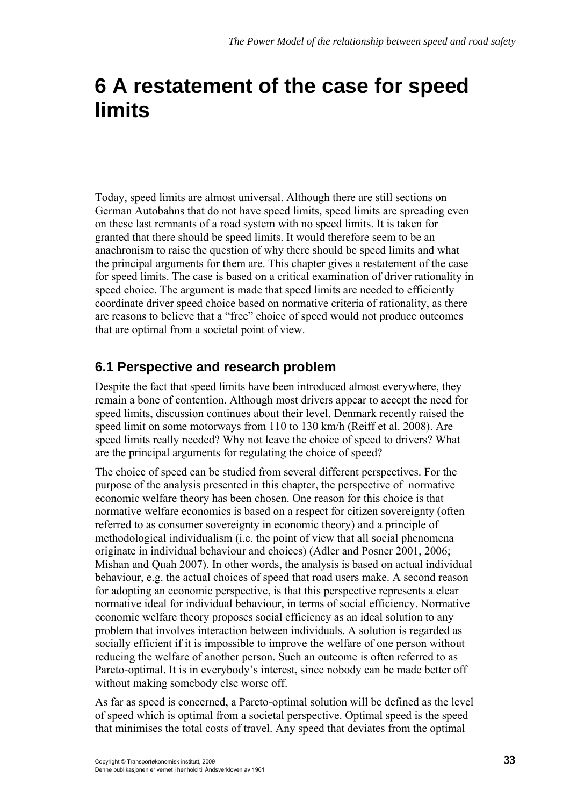# **6 A restatement of the case for speed limits**

Today, speed limits are almost universal. Although there are still sections on German Autobahns that do not have speed limits, speed limits are spreading even on these last remnants of a road system with no speed limits. It is taken for granted that there should be speed limits. It would therefore seem to be an anachronism to raise the question of why there should be speed limits and what the principal arguments for them are. This chapter gives a restatement of the case for speed limits. The case is based on a critical examination of driver rationality in speed choice. The argument is made that speed limits are needed to efficiently coordinate driver speed choice based on normative criteria of rationality, as there are reasons to believe that a "free" choice of speed would not produce outcomes that are optimal from a societal point of view.

# **6.1 Perspective and research problem**

Despite the fact that speed limits have been introduced almost everywhere, they remain a bone of contention. Although most drivers appear to accept the need for speed limits, discussion continues about their level. Denmark recently raised the speed limit on some motorways from 110 to 130 km/h (Reiff et al. 2008). Are speed limits really needed? Why not leave the choice of speed to drivers? What are the principal arguments for regulating the choice of speed?

The choice of speed can be studied from several different perspectives. For the purpose of the analysis presented in this chapter, the perspective of normative economic welfare theory has been chosen. One reason for this choice is that normative welfare economics is based on a respect for citizen sovereignty (often referred to as consumer sovereignty in economic theory) and a principle of methodological individualism (i.e. the point of view that all social phenomena originate in individual behaviour and choices) (Adler and Posner 2001, 2006; Mishan and Quah 2007). In other words, the analysis is based on actual individual behaviour, e.g. the actual choices of speed that road users make. A second reason for adopting an economic perspective, is that this perspective represents a clear normative ideal for individual behaviour, in terms of social efficiency. Normative economic welfare theory proposes social efficiency as an ideal solution to any problem that involves interaction between individuals. A solution is regarded as socially efficient if it is impossible to improve the welfare of one person without reducing the welfare of another person. Such an outcome is often referred to as Pareto-optimal. It is in everybody's interest, since nobody can be made better off without making somebody else worse off.

As far as speed is concerned, a Pareto-optimal solution will be defined as the level of speed which is optimal from a societal perspective. Optimal speed is the speed that minimises the total costs of travel. Any speed that deviates from the optimal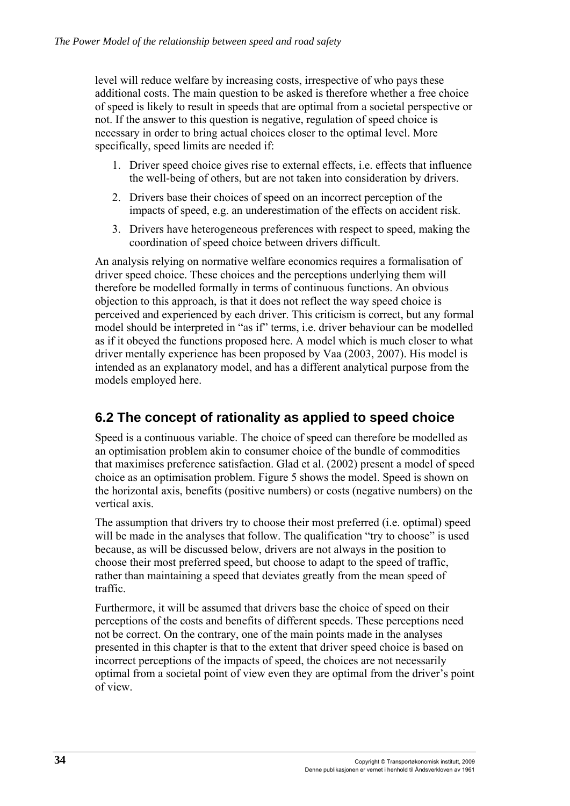level will reduce welfare by increasing costs, irrespective of who pays these additional costs. The main question to be asked is therefore whether a free choice of speed is likely to result in speeds that are optimal from a societal perspective or not. If the answer to this question is negative, regulation of speed choice is necessary in order to bring actual choices closer to the optimal level. More specifically, speed limits are needed if:

- 1. Driver speed choice gives rise to external effects, i.e. effects that influence the well-being of others, but are not taken into consideration by drivers.
- 2. Drivers base their choices of speed on an incorrect perception of the impacts of speed, e.g. an underestimation of the effects on accident risk.
- 3. Drivers have heterogeneous preferences with respect to speed, making the coordination of speed choice between drivers difficult.

An analysis relying on normative welfare economics requires a formalisation of driver speed choice. These choices and the perceptions underlying them will therefore be modelled formally in terms of continuous functions. An obvious objection to this approach, is that it does not reflect the way speed choice is perceived and experienced by each driver. This criticism is correct, but any formal model should be interpreted in "as if" terms, i.e. driver behaviour can be modelled as if it obeyed the functions proposed here. A model which is much closer to what driver mentally experience has been proposed by Vaa (2003, 2007). His model is intended as an explanatory model, and has a different analytical purpose from the models employed here.

## **6.2 The concept of rationality as applied to speed choice**

Speed is a continuous variable. The choice of speed can therefore be modelled as an optimisation problem akin to consumer choice of the bundle of commodities that maximises preference satisfaction. Glad et al. (2002) present a model of speed choice as an optimisation problem. Figure 5 shows the model. Speed is shown on the horizontal axis, benefits (positive numbers) or costs (negative numbers) on the vertical axis.

The assumption that drivers try to choose their most preferred (i.e. optimal) speed will be made in the analyses that follow. The qualification "try to choose" is used because, as will be discussed below, drivers are not always in the position to choose their most preferred speed, but choose to adapt to the speed of traffic, rather than maintaining a speed that deviates greatly from the mean speed of traffic.

Furthermore, it will be assumed that drivers base the choice of speed on their perceptions of the costs and benefits of different speeds. These perceptions need not be correct. On the contrary, one of the main points made in the analyses presented in this chapter is that to the extent that driver speed choice is based on incorrect perceptions of the impacts of speed, the choices are not necessarily optimal from a societal point of view even they are optimal from the driver's point of view.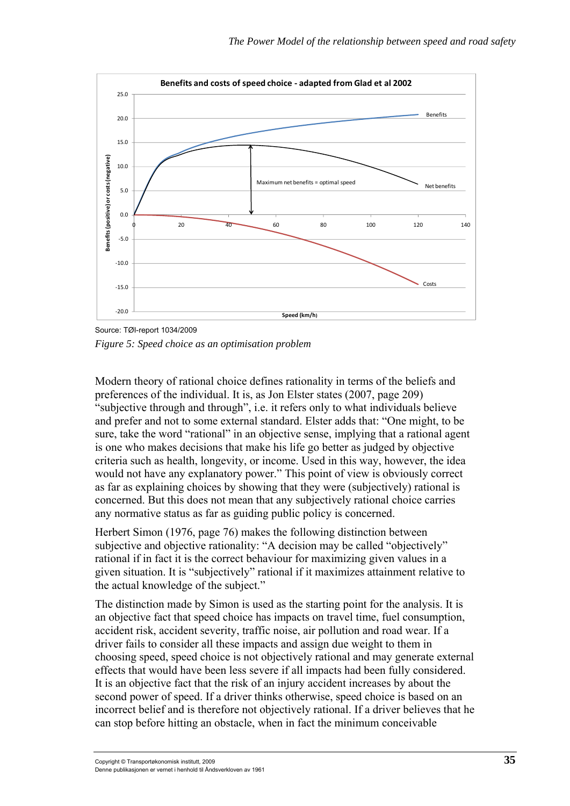

Source: TØI-report 1034/2009 *Figure 5: Speed choice as an optimisation problem* 

Modern theory of rational choice defines rationality in terms of the beliefs and preferences of the individual. It is, as Jon Elster states (2007, page 209) "subjective through and through", i.e. it refers only to what individuals believe and prefer and not to some external standard. Elster adds that: "One might, to be sure, take the word "rational" in an objective sense, implying that a rational agent is one who makes decisions that make his life go better as judged by objective criteria such as health, longevity, or income. Used in this way, however, the idea would not have any explanatory power." This point of view is obviously correct as far as explaining choices by showing that they were (subjectively) rational is concerned. But this does not mean that any subjectively rational choice carries any normative status as far as guiding public policy is concerned.

Herbert Simon (1976, page 76) makes the following distinction between subjective and objective rationality: "A decision may be called "objectively" rational if in fact it is the correct behaviour for maximizing given values in a given situation. It is "subjectively" rational if it maximizes attainment relative to the actual knowledge of the subject."

The distinction made by Simon is used as the starting point for the analysis. It is an objective fact that speed choice has impacts on travel time, fuel consumption, accident risk, accident severity, traffic noise, air pollution and road wear. If a driver fails to consider all these impacts and assign due weight to them in choosing speed, speed choice is not objectively rational and may generate external effects that would have been less severe if all impacts had been fully considered. It is an objective fact that the risk of an injury accident increases by about the second power of speed. If a driver thinks otherwise, speed choice is based on an incorrect belief and is therefore not objectively rational. If a driver believes that he can stop before hitting an obstacle, when in fact the minimum conceivable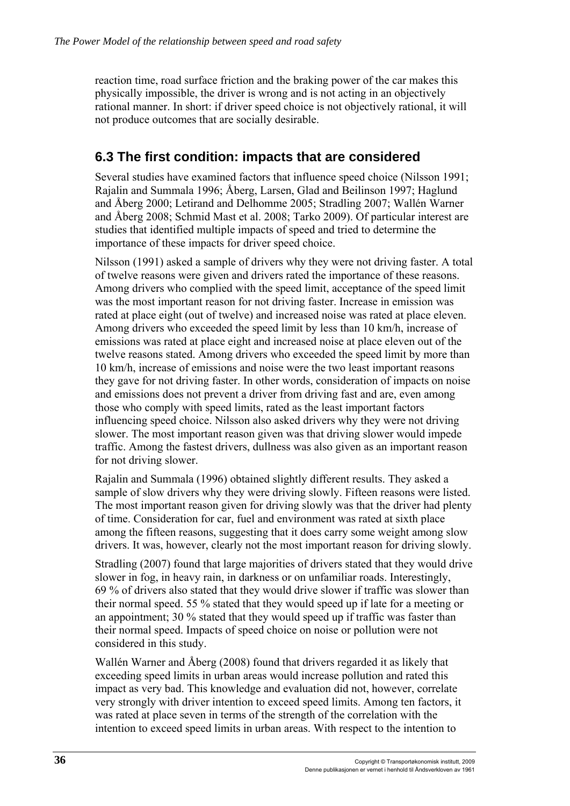reaction time, road surface friction and the braking power of the car makes this physically impossible, the driver is wrong and is not acting in an objectively rational manner. In short: if driver speed choice is not objectively rational, it will not produce outcomes that are socially desirable.

## **6.3 The first condition: impacts that are considered**

Several studies have examined factors that influence speed choice (Nilsson 1991; Rajalin and Summala 1996; Åberg, Larsen, Glad and Beilinson 1997; Haglund and Åberg 2000; Letirand and Delhomme 2005; Stradling 2007; Wallén Warner and Åberg 2008; Schmid Mast et al. 2008; Tarko 2009). Of particular interest are studies that identified multiple impacts of speed and tried to determine the importance of these impacts for driver speed choice.

Nilsson (1991) asked a sample of drivers why they were not driving faster. A total of twelve reasons were given and drivers rated the importance of these reasons. Among drivers who complied with the speed limit, acceptance of the speed limit was the most important reason for not driving faster. Increase in emission was rated at place eight (out of twelve) and increased noise was rated at place eleven. Among drivers who exceeded the speed limit by less than 10 km/h, increase of emissions was rated at place eight and increased noise at place eleven out of the twelve reasons stated. Among drivers who exceeded the speed limit by more than 10 km/h, increase of emissions and noise were the two least important reasons they gave for not driving faster. In other words, consideration of impacts on noise and emissions does not prevent a driver from driving fast and are, even among those who comply with speed limits, rated as the least important factors influencing speed choice. Nilsson also asked drivers why they were not driving slower. The most important reason given was that driving slower would impede traffic. Among the fastest drivers, dullness was also given as an important reason for not driving slower.

Rajalin and Summala (1996) obtained slightly different results. They asked a sample of slow drivers why they were driving slowly. Fifteen reasons were listed. The most important reason given for driving slowly was that the driver had plenty of time. Consideration for car, fuel and environment was rated at sixth place among the fifteen reasons, suggesting that it does carry some weight among slow drivers. It was, however, clearly not the most important reason for driving slowly.

Stradling (2007) found that large majorities of drivers stated that they would drive slower in fog, in heavy rain, in darkness or on unfamiliar roads. Interestingly, 69 % of drivers also stated that they would drive slower if traffic was slower than their normal speed. 55 % stated that they would speed up if late for a meeting or an appointment; 30 % stated that they would speed up if traffic was faster than their normal speed. Impacts of speed choice on noise or pollution were not considered in this study.

Wallén Warner and Åberg (2008) found that drivers regarded it as likely that exceeding speed limits in urban areas would increase pollution and rated this impact as very bad. This knowledge and evaluation did not, however, correlate very strongly with driver intention to exceed speed limits. Among ten factors, it was rated at place seven in terms of the strength of the correlation with the intention to exceed speed limits in urban areas. With respect to the intention to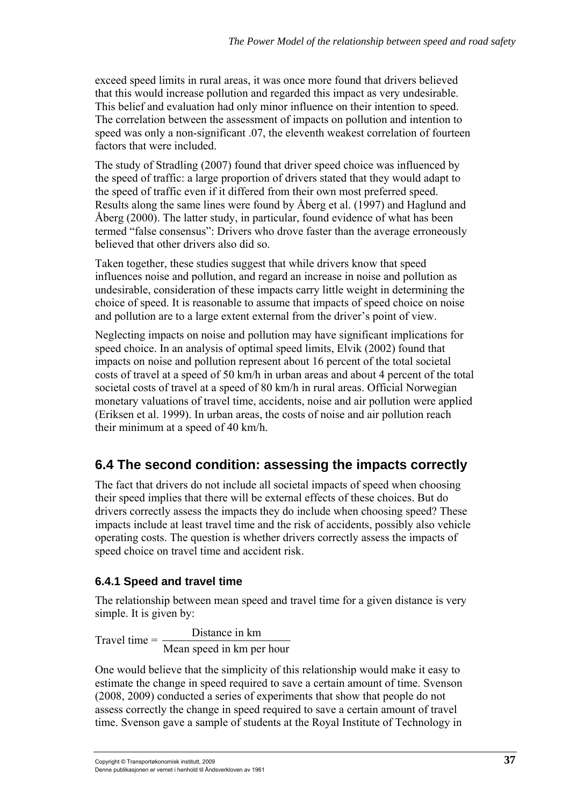exceed speed limits in rural areas, it was once more found that drivers believed that this would increase pollution and regarded this impact as very undesirable. This belief and evaluation had only minor influence on their intention to speed. The correlation between the assessment of impacts on pollution and intention to speed was only a non-significant .07, the eleventh weakest correlation of fourteen factors that were included.

The study of Stradling (2007) found that driver speed choice was influenced by the speed of traffic: a large proportion of drivers stated that they would adapt to the speed of traffic even if it differed from their own most preferred speed. Results along the same lines were found by Åberg et al. (1997) and Haglund and Åberg (2000). The latter study, in particular, found evidence of what has been termed "false consensus": Drivers who drove faster than the average erroneously believed that other drivers also did so.

Taken together, these studies suggest that while drivers know that speed influences noise and pollution, and regard an increase in noise and pollution as undesirable, consideration of these impacts carry little weight in determining the choice of speed. It is reasonable to assume that impacts of speed choice on noise and pollution are to a large extent external from the driver's point of view.

Neglecting impacts on noise and pollution may have significant implications for speed choice. In an analysis of optimal speed limits, Elvik (2002) found that impacts on noise and pollution represent about 16 percent of the total societal costs of travel at a speed of 50 km/h in urban areas and about 4 percent of the total societal costs of travel at a speed of 80 km/h in rural areas. Official Norwegian monetary valuations of travel time, accidents, noise and air pollution were applied (Eriksen et al. 1999). In urban areas, the costs of noise and air pollution reach their minimum at a speed of 40 km/h.

# **6.4 The second condition: assessing the impacts correctly**

The fact that drivers do not include all societal impacts of speed when choosing their speed implies that there will be external effects of these choices. But do drivers correctly assess the impacts they do include when choosing speed? These impacts include at least travel time and the risk of accidents, possibly also vehicle operating costs. The question is whether drivers correctly assess the impacts of speed choice on travel time and accident risk.

### **6.4.1 Speed and travel time**

The relationship between mean speed and travel time for a given distance is very simple. It is given by:

Travel time  $=$   $\frac{\text{Distance in km}}{\text{Area of km}}$ Mean speed in km per hour

One would believe that the simplicity of this relationship would make it easy to estimate the change in speed required to save a certain amount of time. Svenson (2008, 2009) conducted a series of experiments that show that people do not assess correctly the change in speed required to save a certain amount of travel time. Svenson gave a sample of students at the Royal Institute of Technology in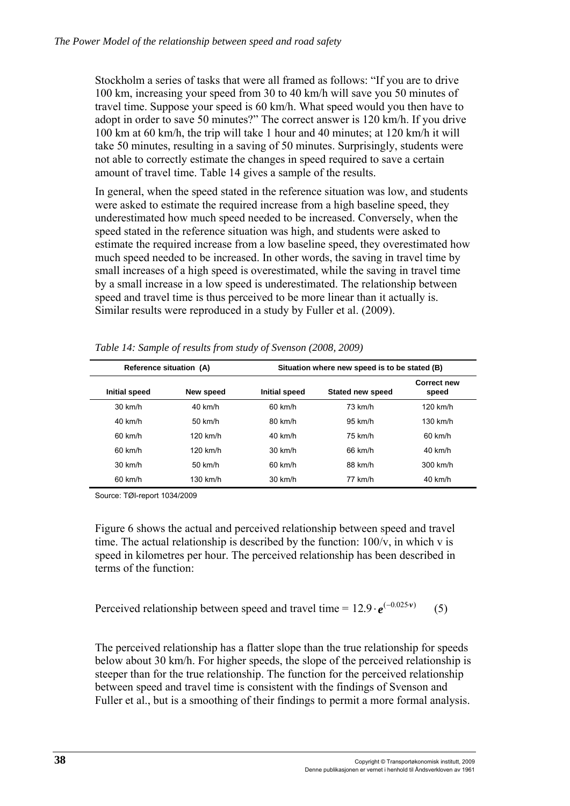Stockholm a series of tasks that were all framed as follows: "If you are to drive 100 km, increasing your speed from 30 to 40 km/h will save you 50 minutes of travel time. Suppose your speed is 60 km/h. What speed would you then have to adopt in order to save 50 minutes?" The correct answer is 120 km/h. If you drive 100 km at 60 km/h, the trip will take 1 hour and 40 minutes; at 120 km/h it will take 50 minutes, resulting in a saving of 50 minutes. Surprisingly, students were not able to correctly estimate the changes in speed required to save a certain amount of travel time. Table 14 gives a sample of the results.

In general, when the speed stated in the reference situation was low, and students were asked to estimate the required increase from a high baseline speed, they underestimated how much speed needed to be increased. Conversely, when the speed stated in the reference situation was high, and students were asked to estimate the required increase from a low baseline speed, they overestimated how much speed needed to be increased. In other words, the saving in travel time by small increases of a high speed is overestimated, while the saving in travel time by a small increase in a low speed is underestimated. The relationship between speed and travel time is thus perceived to be more linear than it actually is. Similar results were reproduced in a study by Fuller et al. (2009).

| Reference situation (A) |            | Situation where new speed is to be stated (B) |                         |                             |  |
|-------------------------|------------|-----------------------------------------------|-------------------------|-----------------------------|--|
| Initial speed           | New speed  | Initial speed                                 | <b>Stated new speed</b> | <b>Correct new</b><br>speed |  |
| $30 \text{ km/h}$       | $40$ km/h  | $60$ km/h                                     | $73 \text{ km/h}$       | $120$ km/h                  |  |
| $40$ km/h               | $50$ km/h  | $80 \text{ km/h}$                             | $95 \; \text{km/h}$     | $130$ km/h                  |  |
| $60$ km/h               | $120$ km/h | $40$ km/h                                     | 75 km/h                 | $60$ km/h                   |  |
| $60$ km/h               | $120$ km/h | $30 \text{ km/h}$                             | 66 km/h                 | $40$ km/h                   |  |
| $30 \text{ km/h}$       | $50$ km/h  | $60$ km/h                                     | 88 km/h                 | 300 km/h                    |  |
| 60 km/h                 | 130 km/h   | 30 km/h                                       | 77 km/h                 | 40 km/h                     |  |

*Table 14: Sample of results from study of Svenson (2008, 2009)* 

Source: TØI-report 1034/2009

Figure 6 shows the actual and perceived relationship between speed and travel time. The actual relationship is described by the function:  $100/v$ , in which v is speed in kilometres per hour. The perceived relationship has been described in terms of the function:

Perceived relationship between speed and travel time =  $12.9 \cdot e^{(-0.025 \cdot v)}$  (5)

The perceived relationship has a flatter slope than the true relationship for speeds below about 30 km/h. For higher speeds, the slope of the perceived relationship is steeper than for the true relationship. The function for the perceived relationship between speed and travel time is consistent with the findings of Svenson and Fuller et al., but is a smoothing of their findings to permit a more formal analysis.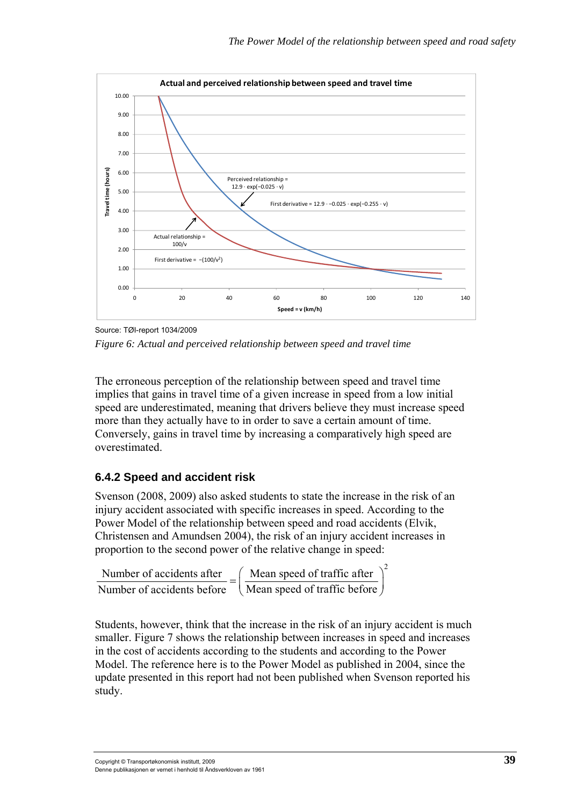

Source: TØI-report 1034/2009 *Figure 6: Actual and perceived relationship between speed and travel time* 

The erroneous perception of the relationship between speed and travel time implies that gains in travel time of a given increase in speed from a low initial speed are underestimated, meaning that drivers believe they must increase speed more than they actually have to in order to save a certain amount of time. Conversely, gains in travel time by increasing a comparatively high speed are overestimated.

#### **6.4.2 Speed and accident risk**

Svenson (2008, 2009) also asked students to state the increase in the risk of an injury accident associated with specific increases in speed. According to the Power Model of the relationship between speed and road accidents (Elvik, Christensen and Amundsen 2004), the risk of an injury accident increases in proportion to the second power of the relative change in speed:

Number of accidents after  $\left($  Mean speed of traffic after  $\right)^2$ Number of accidents after<br>Number of accidents before  $=$   $\left(\frac{\text{Mean speed of traffic after}}{\text{Mean speed of traffic before}}\right)$ 

Students, however, think that the increase in the risk of an injury accident is much smaller. Figure 7 shows the relationship between increases in speed and increases in the cost of accidents according to the students and according to the Power Model. The reference here is to the Power Model as published in 2004, since the update presented in this report had not been published when Svenson reported his study.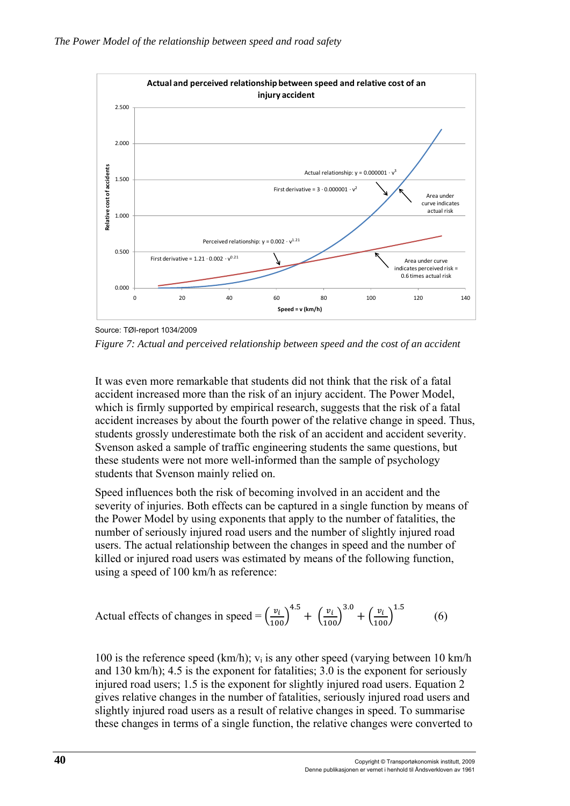

Source: TØI-report 1034/2009 *Figure 7: Actual and perceived relationship between speed and the cost of an accident* 

It was even more remarkable that students did not think that the risk of a fatal accident increased more than the risk of an injury accident. The Power Model, which is firmly supported by empirical research, suggests that the risk of a fatal accident increases by about the fourth power of the relative change in speed. Thus, students grossly underestimate both the risk of an accident and accident severity. Svenson asked a sample of traffic engineering students the same questions, but these students were not more well-informed than the sample of psychology students that Svenson mainly relied on.

Speed influences both the risk of becoming involved in an accident and the severity of injuries. Both effects can be captured in a single function by means of the Power Model by using exponents that apply to the number of fatalities, the number of seriously injured road users and the number of slightly injured road users. The actual relationship between the changes in speed and the number of killed or injured road users was estimated by means of the following function, using a speed of 100 km/h as reference:

Actual effects of changes in speed = 
$$
\left(\frac{v_i}{100}\right)^{4.5} + \left(\frac{v_i}{100}\right)^{3.0} + \left(\frac{v_i}{100}\right)^{1.5}
$$
 (6)

100 is the reference speed (km/h);  $v_i$  is any other speed (varying between 10 km/h and 130 km/h); 4.5 is the exponent for fatalities; 3.0 is the exponent for seriously injured road users; 1.5 is the exponent for slightly injured road users. Equation 2 gives relative changes in the number of fatalities, seriously injured road users and slightly injured road users as a result of relative changes in speed. To summarise these changes in terms of a single function, the relative changes were converted to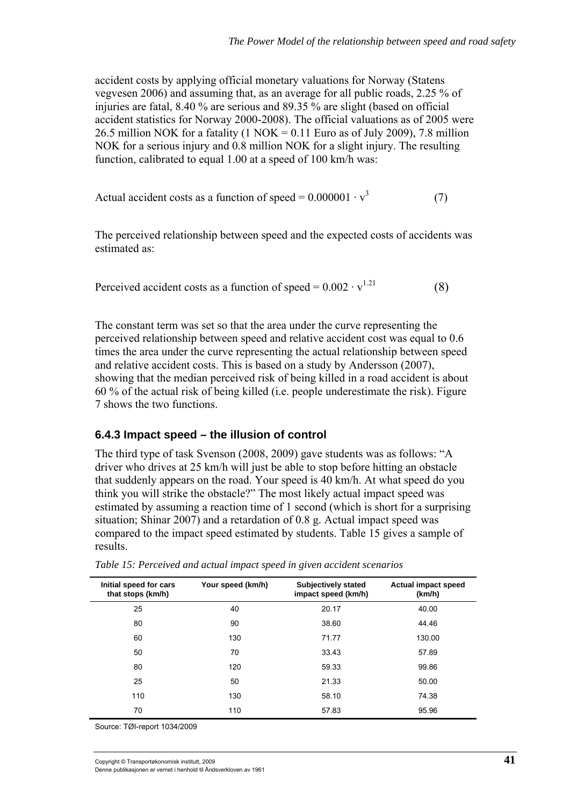accident costs by applying official monetary valuations for Norway (Statens vegvesen 2006) and assuming that, as an average for all public roads, 2.25 % of injuries are fatal, 8.40 % are serious and 89.35 % are slight (based on official accident statistics for Norway 2000-2008). The official valuations as of 2005 were 26.5 million NOK for a fatality (1 NOK =  $0.11$  Euro as of July 2009), 7.8 million NOK for a serious injury and 0.8 million NOK for a slight injury. The resulting function, calibrated to equal 1.00 at a speed of 100 km/h was:

Actual accident costs as a function of speed =  $0.000001 \cdot v^3$ (7)

The perceived relationship between speed and the expected costs of accidents was estimated as:

Perceived accident costs as a function of speed =  $0.002 \cdot v^{1.21}$  (8)

The constant term was set so that the area under the curve representing the perceived relationship between speed and relative accident cost was equal to 0.6 times the area under the curve representing the actual relationship between speed and relative accident costs. This is based on a study by Andersson (2007), showing that the median perceived risk of being killed in a road accident is about 60 % of the actual risk of being killed (i.e. people underestimate the risk). Figure 7 shows the two functions.

#### **6.4.3 Impact speed – the illusion of control**

The third type of task Svenson (2008, 2009) gave students was as follows: "A driver who drives at 25 km/h will just be able to stop before hitting an obstacle that suddenly appears on the road. Your speed is 40 km/h. At what speed do you think you will strike the obstacle?" The most likely actual impact speed was estimated by assuming a reaction time of 1 second (which is short for a surprising situation; Shinar 2007) and a retardation of 0.8 g. Actual impact speed was compared to the impact speed estimated by students. Table 15 gives a sample of results.

| Initial speed for cars<br>that stops (km/h) | Your speed (km/h) | <b>Subjectively stated</b><br>impact speed (km/h) | <b>Actual impact speed</b><br>(km/h) |
|---------------------------------------------|-------------------|---------------------------------------------------|--------------------------------------|
| 25                                          | 40                | 20.17                                             | 40.00                                |
| 80                                          | 90                | 38.60                                             | 44.46                                |
| 60                                          | 130               | 71.77                                             | 130.00                               |
| 50                                          | 70                | 33.43                                             | 57.89                                |
| 80                                          | 120               | 59.33                                             | 99.86                                |
| 25                                          | 50                | 21.33                                             | 50.00                                |
| 110                                         | 130               | 58.10                                             | 74.38                                |
| 70                                          | 110               | 57.83                                             | 95.96                                |

*Table 15: Perceived and actual impact speed in given accident scenarios* 

Source: TØI-report 1034/2009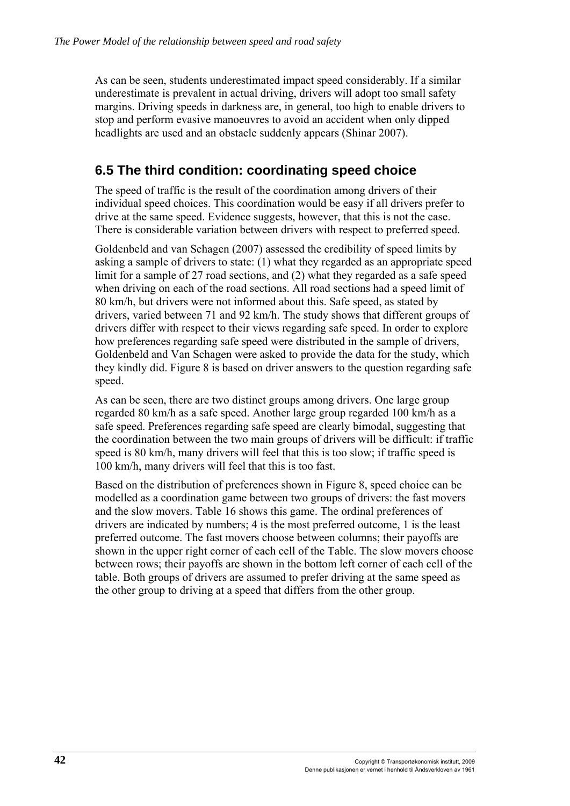As can be seen, students underestimated impact speed considerably. If a similar underestimate is prevalent in actual driving, drivers will adopt too small safety margins. Driving speeds in darkness are, in general, too high to enable drivers to stop and perform evasive manoeuvres to avoid an accident when only dipped headlights are used and an obstacle suddenly appears (Shinar 2007).

# **6.5 The third condition: coordinating speed choice**

The speed of traffic is the result of the coordination among drivers of their individual speed choices. This coordination would be easy if all drivers prefer to drive at the same speed. Evidence suggests, however, that this is not the case. There is considerable variation between drivers with respect to preferred speed.

Goldenbeld and van Schagen (2007) assessed the credibility of speed limits by asking a sample of drivers to state: (1) what they regarded as an appropriate speed limit for a sample of 27 road sections, and (2) what they regarded as a safe speed when driving on each of the road sections. All road sections had a speed limit of 80 km/h, but drivers were not informed about this. Safe speed, as stated by drivers, varied between 71 and 92 km/h. The study shows that different groups of drivers differ with respect to their views regarding safe speed. In order to explore how preferences regarding safe speed were distributed in the sample of drivers, Goldenbeld and Van Schagen were asked to provide the data for the study, which they kindly did. Figure 8 is based on driver answers to the question regarding safe speed.

As can be seen, there are two distinct groups among drivers. One large group regarded 80 km/h as a safe speed. Another large group regarded 100 km/h as a safe speed. Preferences regarding safe speed are clearly bimodal, suggesting that the coordination between the two main groups of drivers will be difficult: if traffic speed is 80 km/h, many drivers will feel that this is too slow; if traffic speed is 100 km/h, many drivers will feel that this is too fast.

Based on the distribution of preferences shown in Figure 8, speed choice can be modelled as a coordination game between two groups of drivers: the fast movers and the slow movers. Table 16 shows this game. The ordinal preferences of drivers are indicated by numbers; 4 is the most preferred outcome, 1 is the least preferred outcome. The fast movers choose between columns; their payoffs are shown in the upper right corner of each cell of the Table. The slow movers choose between rows; their payoffs are shown in the bottom left corner of each cell of the table. Both groups of drivers are assumed to prefer driving at the same speed as the other group to driving at a speed that differs from the other group.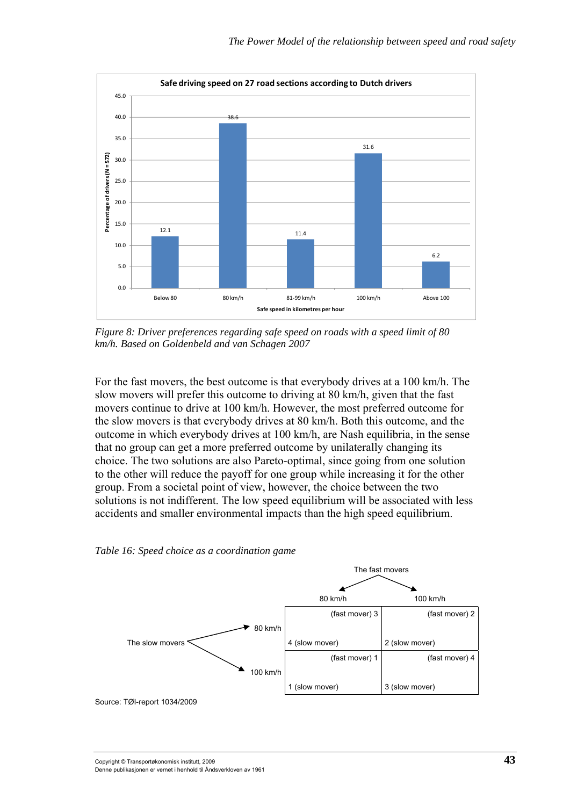

*Figure 8: Driver preferences regarding safe speed on roads with a speed limit of 80 km/h. Based on Goldenbeld and van Schagen 2007* 

For the fast movers, the best outcome is that everybody drives at a 100 km/h. The slow movers will prefer this outcome to driving at 80 km/h, given that the fast movers continue to drive at 100 km/h. However, the most preferred outcome for the slow movers is that everybody drives at 80 km/h. Both this outcome, and the outcome in which everybody drives at 100 km/h, are Nash equilibria, in the sense that no group can get a more preferred outcome by unilaterally changing its choice. The two solutions are also Pareto-optimal, since going from one solution to the other will reduce the payoff for one group while increasing it for the other group. From a societal point of view, however, the choice between the two solutions is not indifferent. The low speed equilibrium will be associated with less accidents and smaller environmental impacts than the high speed equilibrium.

*Table 16: Speed choice as a coordination game* 

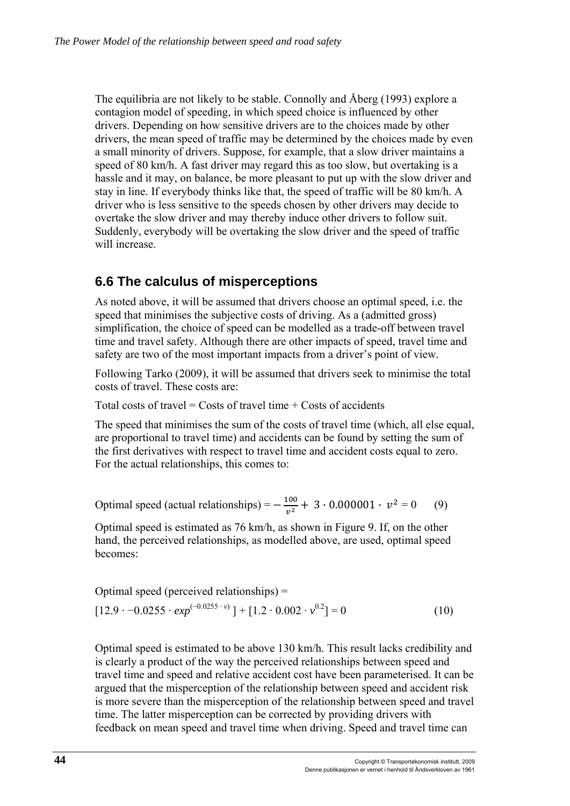The equilibria are not likely to be stable. Connolly and Åberg (1993) explore a contagion model of speeding, in which speed choice is influenced by other drivers. Depending on how sensitive drivers are to the choices made by other drivers, the mean speed of traffic may be determined by the choices made by even a small minority of drivers. Suppose, for example, that a slow driver maintains a speed of 80 km/h. A fast driver may regard this as too slow, but overtaking is a hassle and it may, on balance, be more pleasant to put up with the slow driver and stay in line. If everybody thinks like that, the speed of traffic will be 80 km/h. A driver who is less sensitive to the speeds chosen by other drivers may decide to overtake the slow driver and may thereby induce other drivers to follow suit. Suddenly, everybody will be overtaking the slow driver and the speed of traffic will increase.

## **6.6 The calculus of misperceptions**

As noted above, it will be assumed that drivers choose an optimal speed, i.e. the speed that minimises the subjective costs of driving. As a (admitted gross) simplification, the choice of speed can be modelled as a trade-off between travel time and travel safety. Although there are other impacts of speed, travel time and safety are two of the most important impacts from a driver's point of view.

Following Tarko (2009), it will be assumed that drivers seek to minimise the total costs of travel. These costs are:

Total costs of travel = Costs of travel time  $+$  Costs of accidents

The speed that minimises the sum of the costs of travel time (which, all else equal, are proportional to travel time) and accidents can be found by setting the sum of the first derivatives with respect to travel time and accident costs equal to zero. For the actual relationships, this comes to:

Optimal speed (actual relationships) =  $-\frac{100}{v^2}$  + 3 · 0.000001 ·  $v^2$  = 0 (9)

Optimal speed is estimated as 76 km/h, as shown in Figure 9. If, on the other hand, the perceived relationships, as modelled above, are used, optimal speed becomes:

Optimal speed (perceived relationships) =

$$
[12.9 \cdot -0.0255 \cdot exp^{(-0.0255 \cdot v)}] + [1.2 \cdot 0.002 \cdot v^{0.2}] = 0
$$
 (10)

Optimal speed is estimated to be above 130 km/h. This result lacks credibility and is clearly a product of the way the perceived relationships between speed and travel time and speed and relative accident cost have been parameterised. It can be argued that the misperception of the relationship between speed and accident risk is more severe than the misperception of the relationship between speed and travel time. The latter misperception can be corrected by providing drivers with feedback on mean speed and travel time when driving. Speed and travel time can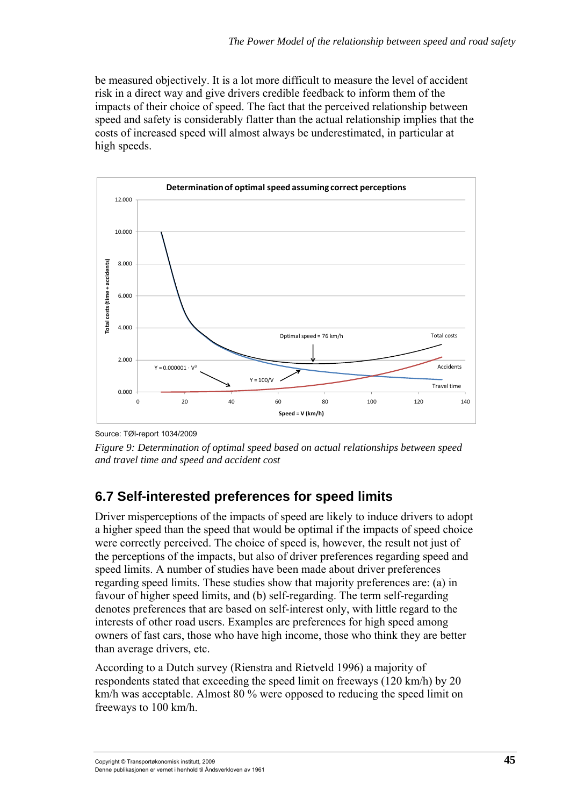be measured objectively. It is a lot more difficult to measure the level of accident risk in a direct way and give drivers credible feedback to inform them of the impacts of their choice of speed. The fact that the perceived relationship between speed and safety is considerably flatter than the actual relationship implies that the costs of increased speed will almost always be underestimated, in particular at high speeds.



Source: TØI-report 1034/2009

*Figure 9: Determination of optimal speed based on actual relationships between speed and travel time and speed and accident cost* 

# **6.7 Self-interested preferences for speed limits**

Driver misperceptions of the impacts of speed are likely to induce drivers to adopt a higher speed than the speed that would be optimal if the impacts of speed choice were correctly perceived. The choice of speed is, however, the result not just of the perceptions of the impacts, but also of driver preferences regarding speed and speed limits. A number of studies have been made about driver preferences regarding speed limits. These studies show that majority preferences are: (a) in favour of higher speed limits, and (b) self-regarding. The term self-regarding denotes preferences that are based on self-interest only, with little regard to the interests of other road users. Examples are preferences for high speed among owners of fast cars, those who have high income, those who think they are better than average drivers, etc.

According to a Dutch survey (Rienstra and Rietveld 1996) a majority of respondents stated that exceeding the speed limit on freeways (120 km/h) by 20 km/h was acceptable. Almost 80 % were opposed to reducing the speed limit on freeways to 100 km/h.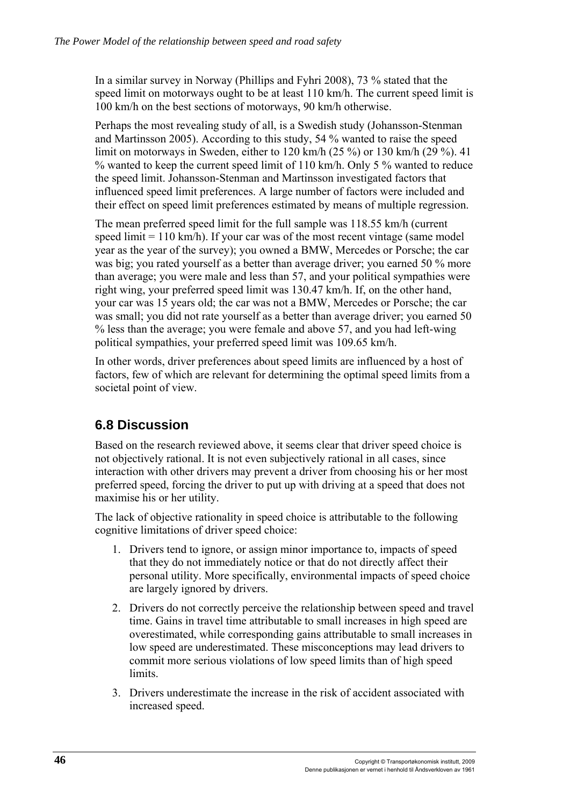In a similar survey in Norway (Phillips and Fyhri 2008), 73 % stated that the speed limit on motorways ought to be at least 110 km/h. The current speed limit is 100 km/h on the best sections of motorways, 90 km/h otherwise.

Perhaps the most revealing study of all, is a Swedish study (Johansson-Stenman and Martinsson 2005). According to this study, 54 % wanted to raise the speed limit on motorways in Sweden, either to 120 km/h (25 %) or 130 km/h (29 %). 41 % wanted to keep the current speed limit of 110 km/h. Only 5 % wanted to reduce the speed limit. Johansson-Stenman and Martinsson investigated factors that influenced speed limit preferences. A large number of factors were included and their effect on speed limit preferences estimated by means of multiple regression.

The mean preferred speed limit for the full sample was 118.55 km/h (current speed  $\lim_{h \to 0}$  if your car was of the most recent vintage (same model year as the year of the survey); you owned a BMW, Mercedes or Porsche; the car was big; you rated yourself as a better than average driver; you earned 50 % more than average; you were male and less than 57, and your political sympathies were right wing, your preferred speed limit was 130.47 km/h. If, on the other hand, your car was 15 years old; the car was not a BMW, Mercedes or Porsche; the car was small; you did not rate yourself as a better than average driver; you earned 50 % less than the average; you were female and above 57, and you had left-wing political sympathies, your preferred speed limit was 109.65 km/h.

In other words, driver preferences about speed limits are influenced by a host of factors, few of which are relevant for determining the optimal speed limits from a societal point of view.

## **6.8 Discussion**

Based on the research reviewed above, it seems clear that driver speed choice is not objectively rational. It is not even subjectively rational in all cases, since interaction with other drivers may prevent a driver from choosing his or her most preferred speed, forcing the driver to put up with driving at a speed that does not maximise his or her utility.

The lack of objective rationality in speed choice is attributable to the following cognitive limitations of driver speed choice:

- 1. Drivers tend to ignore, or assign minor importance to, impacts of speed that they do not immediately notice or that do not directly affect their personal utility. More specifically, environmental impacts of speed choice are largely ignored by drivers.
- 2. Drivers do not correctly perceive the relationship between speed and travel time. Gains in travel time attributable to small increases in high speed are overestimated, while corresponding gains attributable to small increases in low speed are underestimated. These misconceptions may lead drivers to commit more serious violations of low speed limits than of high speed limits.
- 3. Drivers underestimate the increase in the risk of accident associated with increased speed.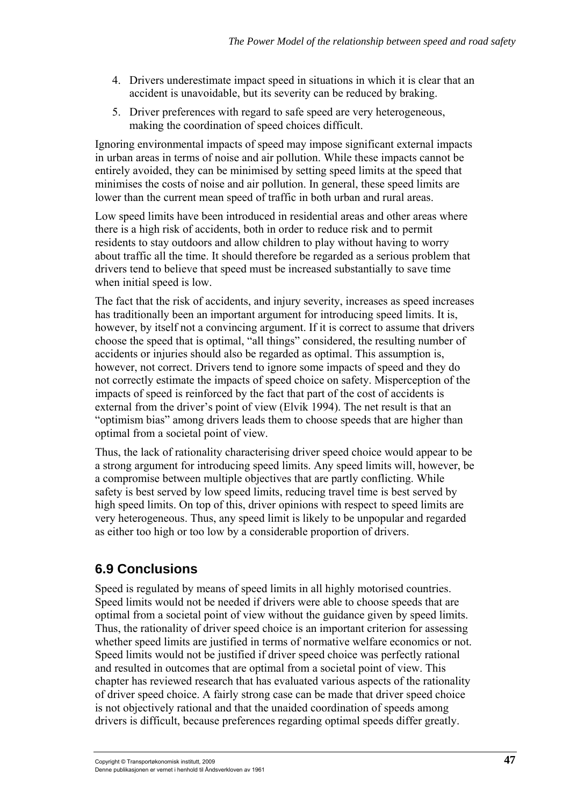- 4. Drivers underestimate impact speed in situations in which it is clear that an accident is unavoidable, but its severity can be reduced by braking.
- 5. Driver preferences with regard to safe speed are very heterogeneous, making the coordination of speed choices difficult.

Ignoring environmental impacts of speed may impose significant external impacts in urban areas in terms of noise and air pollution. While these impacts cannot be entirely avoided, they can be minimised by setting speed limits at the speed that minimises the costs of noise and air pollution. In general, these speed limits are lower than the current mean speed of traffic in both urban and rural areas.

Low speed limits have been introduced in residential areas and other areas where there is a high risk of accidents, both in order to reduce risk and to permit residents to stay outdoors and allow children to play without having to worry about traffic all the time. It should therefore be regarded as a serious problem that drivers tend to believe that speed must be increased substantially to save time when initial speed is low.

The fact that the risk of accidents, and injury severity, increases as speed increases has traditionally been an important argument for introducing speed limits. It is, however, by itself not a convincing argument. If it is correct to assume that drivers choose the speed that is optimal, "all things" considered, the resulting number of accidents or injuries should also be regarded as optimal. This assumption is, however, not correct. Drivers tend to ignore some impacts of speed and they do not correctly estimate the impacts of speed choice on safety. Misperception of the impacts of speed is reinforced by the fact that part of the cost of accidents is external from the driver's point of view (Elvik 1994). The net result is that an "optimism bias" among drivers leads them to choose speeds that are higher than optimal from a societal point of view.

Thus, the lack of rationality characterising driver speed choice would appear to be a strong argument for introducing speed limits. Any speed limits will, however, be a compromise between multiple objectives that are partly conflicting. While safety is best served by low speed limits, reducing travel time is best served by high speed limits. On top of this, driver opinions with respect to speed limits are very heterogeneous. Thus, any speed limit is likely to be unpopular and regarded as either too high or too low by a considerable proportion of drivers.

# **6.9 Conclusions**

Speed is regulated by means of speed limits in all highly motorised countries. Speed limits would not be needed if drivers were able to choose speeds that are optimal from a societal point of view without the guidance given by speed limits. Thus, the rationality of driver speed choice is an important criterion for assessing whether speed limits are justified in terms of normative welfare economics or not. Speed limits would not be justified if driver speed choice was perfectly rational and resulted in outcomes that are optimal from a societal point of view. This chapter has reviewed research that has evaluated various aspects of the rationality of driver speed choice. A fairly strong case can be made that driver speed choice is not objectively rational and that the unaided coordination of speeds among drivers is difficult, because preferences regarding optimal speeds differ greatly.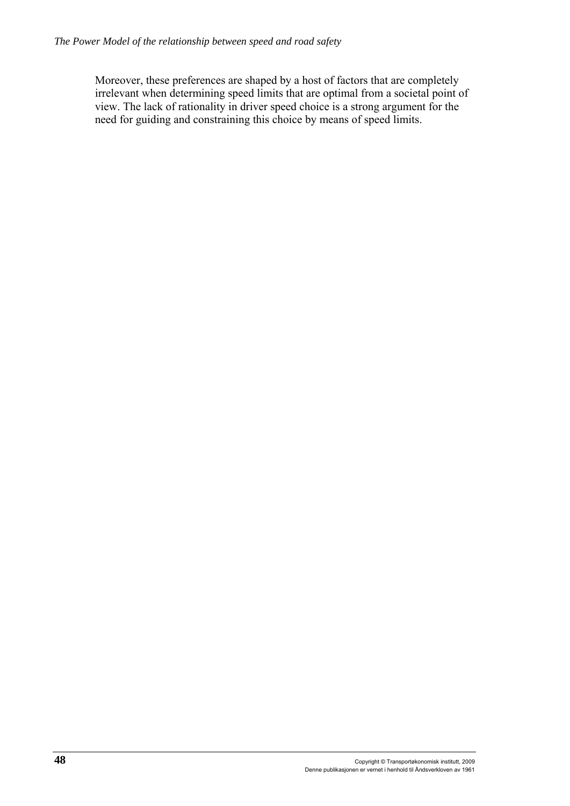Moreover, these preferences are shaped by a host of factors that are completely irrelevant when determining speed limits that are optimal from a societal point of view. The lack of rationality in driver speed choice is a strong argument for the need for guiding and constraining this choice by means of speed limits.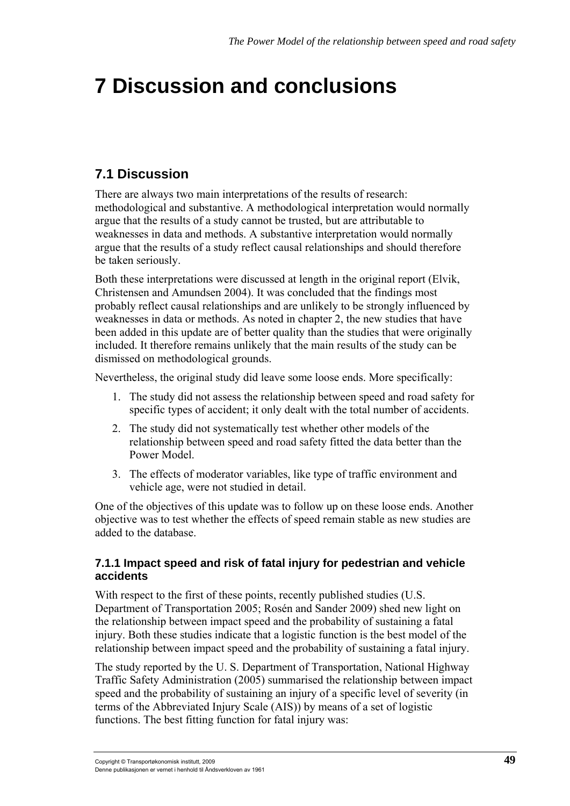# **7 Discussion and conclusions**

# **7.1 Discussion**

There are always two main interpretations of the results of research: methodological and substantive. A methodological interpretation would normally argue that the results of a study cannot be trusted, but are attributable to weaknesses in data and methods. A substantive interpretation would normally argue that the results of a study reflect causal relationships and should therefore be taken seriously.

Both these interpretations were discussed at length in the original report (Elvik, Christensen and Amundsen 2004). It was concluded that the findings most probably reflect causal relationships and are unlikely to be strongly influenced by weaknesses in data or methods. As noted in chapter 2, the new studies that have been added in this update are of better quality than the studies that were originally included. It therefore remains unlikely that the main results of the study can be dismissed on methodological grounds.

Nevertheless, the original study did leave some loose ends. More specifically:

- 1. The study did not assess the relationship between speed and road safety for specific types of accident; it only dealt with the total number of accidents.
- 2. The study did not systematically test whether other models of the relationship between speed and road safety fitted the data better than the Power Model.
- 3. The effects of moderator variables, like type of traffic environment and vehicle age, were not studied in detail.

One of the objectives of this update was to follow up on these loose ends. Another objective was to test whether the effects of speed remain stable as new studies are added to the database.

#### **7.1.1 Impact speed and risk of fatal injury for pedestrian and vehicle accidents**

With respect to the first of these points, recently published studies (U.S. Department of Transportation 2005; Rosén and Sander 2009) shed new light on the relationship between impact speed and the probability of sustaining a fatal injury. Both these studies indicate that a logistic function is the best model of the relationship between impact speed and the probability of sustaining a fatal injury.

The study reported by the U. S. Department of Transportation, National Highway Traffic Safety Administration (2005) summarised the relationship between impact speed and the probability of sustaining an injury of a specific level of severity (in terms of the Abbreviated Injury Scale (AIS)) by means of a set of logistic functions. The best fitting function for fatal injury was: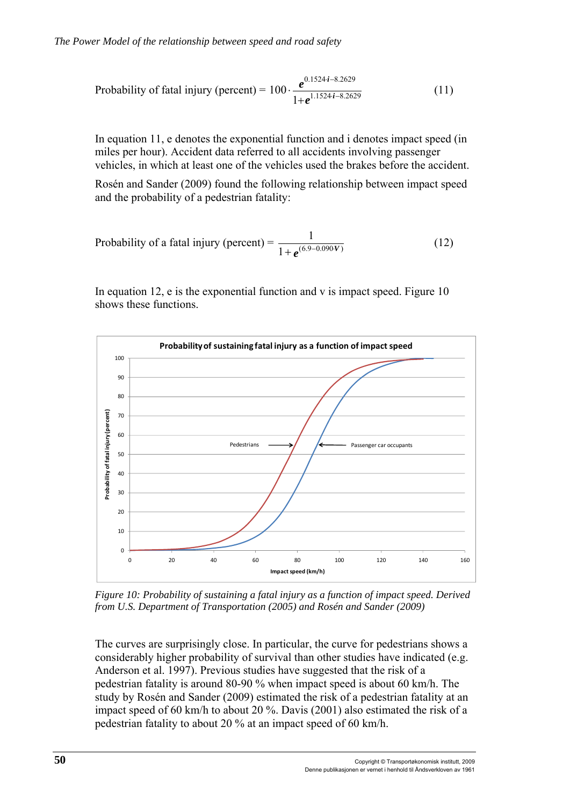Probability of fatal injury (percent) = 
$$
100 \cdot \frac{e^{0.1524 \cdot i - 8.2629}}{1 + e^{1.1524 \cdot i - 8.2629}}
$$
 (11)

In equation 11, e denotes the exponential function and i denotes impact speed (in miles per hour). Accident data referred to all accidents involving passenger vehicles, in which at least one of the vehicles used the brakes before the accident.

Rosén and Sander (2009) found the following relationship between impact speed and the probability of a pedestrian fatality:

Probability of a fatal injury (percent) = 
$$
\frac{1}{1 + e^{(6.9 - 0.090V)}}
$$
(12)

In equation 12,  $e$  is the exponential function and  $v$  is impact speed. Figure 10 shows these functions.



*Figure 10: Probability of sustaining a fatal injury as a function of impact speed. Derived from U.S. Department of Transportation (2005) and Rosén and Sander (2009)* 

The curves are surprisingly close. In particular, the curve for pedestrians shows a considerably higher probability of survival than other studies have indicated (e.g. Anderson et al. 1997). Previous studies have suggested that the risk of a pedestrian fatality is around 80-90 % when impact speed is about 60 km/h. The study by Rosén and Sander (2009) estimated the risk of a pedestrian fatality at an impact speed of 60 km/h to about 20 %. Davis (2001) also estimated the risk of a pedestrian fatality to about 20 % at an impact speed of 60 km/h.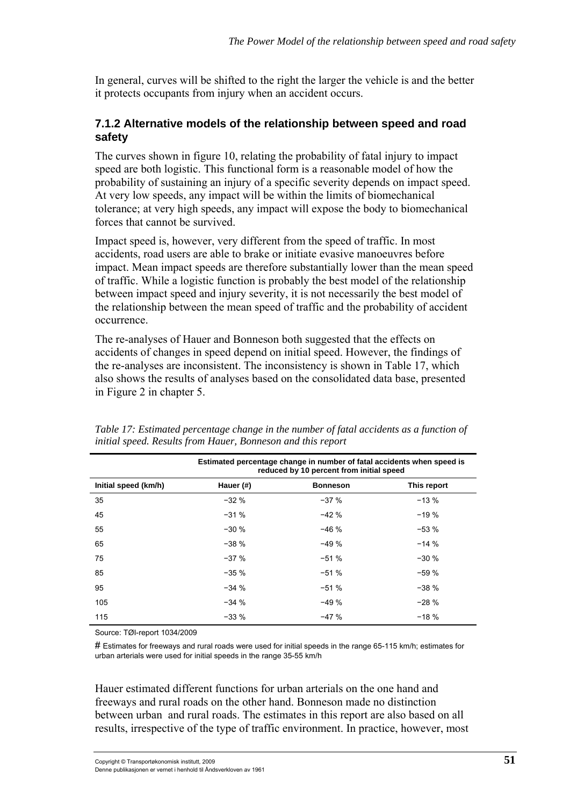In general, curves will be shifted to the right the larger the vehicle is and the better it protects occupants from injury when an accident occurs.

#### **7.1.2 Alternative models of the relationship between speed and road safety**

The curves shown in figure 10, relating the probability of fatal injury to impact speed are both logistic. This functional form is a reasonable model of how the probability of sustaining an injury of a specific severity depends on impact speed. At very low speeds, any impact will be within the limits of biomechanical tolerance; at very high speeds, any impact will expose the body to biomechanical forces that cannot be survived.

Impact speed is, however, very different from the speed of traffic. In most accidents, road users are able to brake or initiate evasive manoeuvres before impact. Mean impact speeds are therefore substantially lower than the mean speed of traffic. While a logistic function is probably the best model of the relationship between impact speed and injury severity, it is not necessarily the best model of the relationship between the mean speed of traffic and the probability of accident occurrence.

The re-analyses of Hauer and Bonneson both suggested that the effects on accidents of changes in speed depend on initial speed. However, the findings of the re-analyses are inconsistent. The inconsistency is shown in Table 17, which also shows the results of analyses based on the consolidated data base, presented in Figure 2 in chapter 5.

|                      | Estimated percentage change in number of fatal accidents when speed is<br>reduced by 10 percent from initial speed |                 |             |  |
|----------------------|--------------------------------------------------------------------------------------------------------------------|-----------------|-------------|--|
| Initial speed (km/h) | Hauer (#)                                                                                                          | <b>Bonneson</b> | This report |  |
| 35                   | $-32%$                                                                                                             | $-37%$          | $-13%$      |  |
| 45                   | $-31%$                                                                                                             | $-42%$          | $-19%$      |  |
| 55                   | $-30%$                                                                                                             | $-46%$          | $-53%$      |  |
| 65                   | $-38%$                                                                                                             | $-49%$          | $-14%$      |  |
| 75                   | $-37%$                                                                                                             | $-51%$          | $-30%$      |  |
| 85                   | $-35%$                                                                                                             | $-51%$          | $-59%$      |  |
| 95                   | $-34%$                                                                                                             | $-51%$          | $-38%$      |  |
| 105                  | $-34%$                                                                                                             | $-49%$          | $-28%$      |  |
| 115                  | $-33%$                                                                                                             | $-47%$          | $-18%$      |  |

*Table 17: Estimated percentage change in the number of fatal accidents as a function of initial speed. Results from Hauer, Bonneson and this report* 

Source: TØI-report 1034/2009

# Estimates for freeways and rural roads were used for initial speeds in the range 65-115 km/h; estimates for urban arterials were used for initial speeds in the range 35-55 km/h

Hauer estimated different functions for urban arterials on the one hand and freeways and rural roads on the other hand. Bonneson made no distinction between urban and rural roads. The estimates in this report are also based on all results, irrespective of the type of traffic environment. In practice, however, most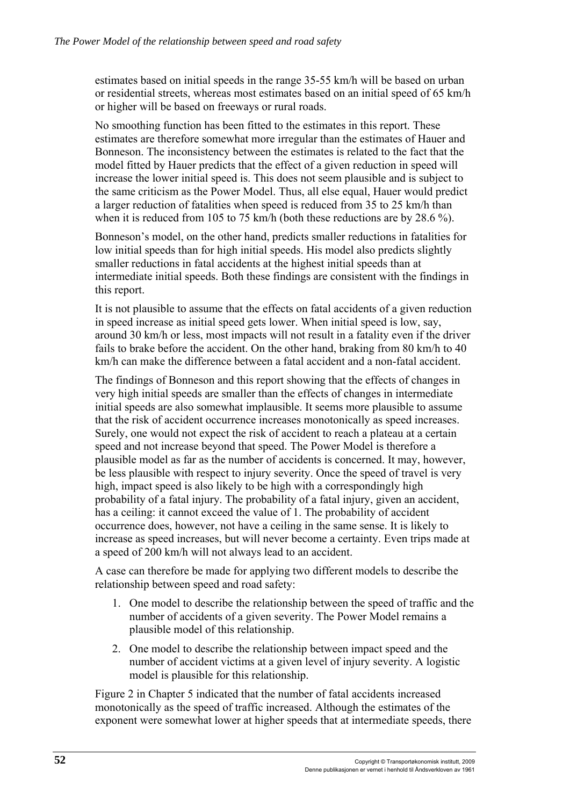estimates based on initial speeds in the range 35-55 km/h will be based on urban or residential streets, whereas most estimates based on an initial speed of 65 km/h or higher will be based on freeways or rural roads.

No smoothing function has been fitted to the estimates in this report. These estimates are therefore somewhat more irregular than the estimates of Hauer and Bonneson. The inconsistency between the estimates is related to the fact that the model fitted by Hauer predicts that the effect of a given reduction in speed will increase the lower initial speed is. This does not seem plausible and is subject to the same criticism as the Power Model. Thus, all else equal, Hauer would predict a larger reduction of fatalities when speed is reduced from 35 to 25 km/h than when it is reduced from 105 to 75 km/h (both these reductions are by 28.6 %).

Bonneson's model, on the other hand, predicts smaller reductions in fatalities for low initial speeds than for high initial speeds. His model also predicts slightly smaller reductions in fatal accidents at the highest initial speeds than at intermediate initial speeds. Both these findings are consistent with the findings in this report.

It is not plausible to assume that the effects on fatal accidents of a given reduction in speed increase as initial speed gets lower. When initial speed is low, say, around 30 km/h or less, most impacts will not result in a fatality even if the driver fails to brake before the accident. On the other hand, braking from 80 km/h to 40 km/h can make the difference between a fatal accident and a non-fatal accident.

The findings of Bonneson and this report showing that the effects of changes in very high initial speeds are smaller than the effects of changes in intermediate initial speeds are also somewhat implausible. It seems more plausible to assume that the risk of accident occurrence increases monotonically as speed increases. Surely, one would not expect the risk of accident to reach a plateau at a certain speed and not increase beyond that speed. The Power Model is therefore a plausible model as far as the number of accidents is concerned. It may, however, be less plausible with respect to injury severity. Once the speed of travel is very high, impact speed is also likely to be high with a correspondingly high probability of a fatal injury. The probability of a fatal injury, given an accident, has a ceiling: it cannot exceed the value of 1. The probability of accident occurrence does, however, not have a ceiling in the same sense. It is likely to increase as speed increases, but will never become a certainty. Even trips made at a speed of 200 km/h will not always lead to an accident.

A case can therefore be made for applying two different models to describe the relationship between speed and road safety:

- 1. One model to describe the relationship between the speed of traffic and the number of accidents of a given severity. The Power Model remains a plausible model of this relationship.
- 2. One model to describe the relationship between impact speed and the number of accident victims at a given level of injury severity. A logistic model is plausible for this relationship.

Figure 2 in Chapter 5 indicated that the number of fatal accidents increased monotonically as the speed of traffic increased. Although the estimates of the exponent were somewhat lower at higher speeds that at intermediate speeds, there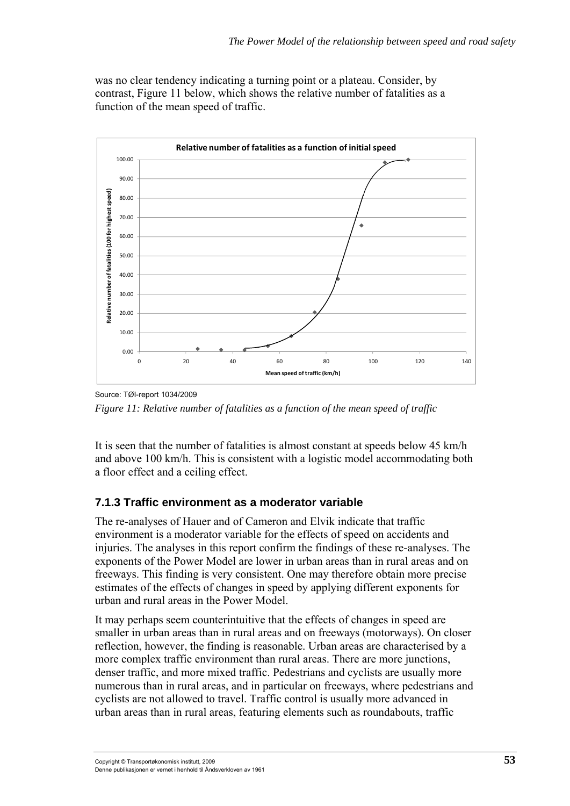was no clear tendency indicating a turning point or a plateau. Consider, by contrast, Figure 11 below, which shows the relative number of fatalities as a function of the mean speed of traffic.



Source: TØI-report 1034/2009 *Figure 11: Relative number of fatalities as a function of the mean speed of traffic* 

It is seen that the number of fatalities is almost constant at speeds below 45 km/h and above 100 km/h. This is consistent with a logistic model accommodating both a floor effect and a ceiling effect.

#### **7.1.3 Traffic environment as a moderator variable**

The re-analyses of Hauer and of Cameron and Elvik indicate that traffic environment is a moderator variable for the effects of speed on accidents and injuries. The analyses in this report confirm the findings of these re-analyses. The exponents of the Power Model are lower in urban areas than in rural areas and on freeways. This finding is very consistent. One may therefore obtain more precise estimates of the effects of changes in speed by applying different exponents for urban and rural areas in the Power Model.

It may perhaps seem counterintuitive that the effects of changes in speed are smaller in urban areas than in rural areas and on freeways (motorways). On closer reflection, however, the finding is reasonable. Urban areas are characterised by a more complex traffic environment than rural areas. There are more junctions, denser traffic, and more mixed traffic. Pedestrians and cyclists are usually more numerous than in rural areas, and in particular on freeways, where pedestrians and cyclists are not allowed to travel. Traffic control is usually more advanced in urban areas than in rural areas, featuring elements such as roundabouts, traffic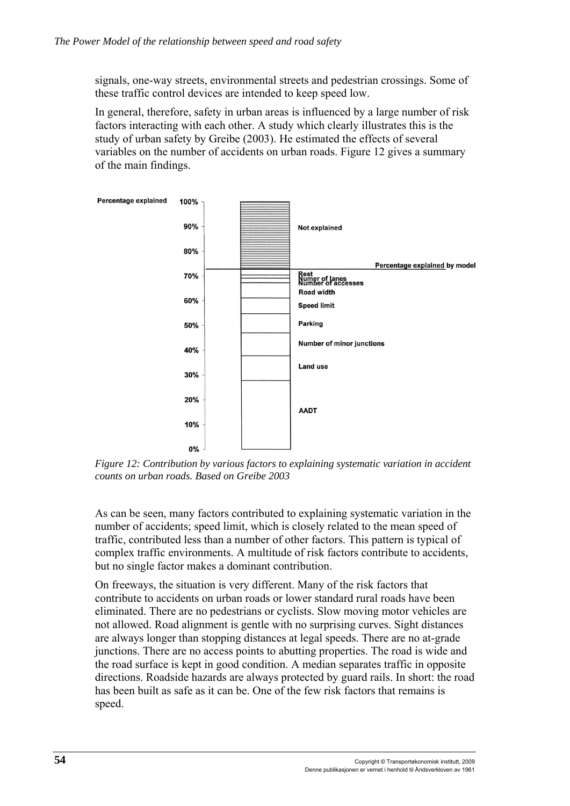signals, one-way streets, environmental streets and pedestrian crossings. Some of these traffic control devices are intended to keep speed low.

In general, therefore, safety in urban areas is influenced by a large number of risk factors interacting with each other. A study which clearly illustrates this is the study of urban safety by Greibe (2003). He estimated the effects of several variables on the number of accidents on urban roads. Figure 12 gives a summary of the main findings.



*Figure 12: Contribution by various factors to explaining systematic variation in accident counts on urban roads. Based on Greibe 2003* 

As can be seen, many factors contributed to explaining systematic variation in the number of accidents; speed limit, which is closely related to the mean speed of traffic, contributed less than a number of other factors. This pattern is typical of complex traffic environments. A multitude of risk factors contribute to accidents, but no single factor makes a dominant contribution.

On freeways, the situation is very different. Many of the risk factors that contribute to accidents on urban roads or lower standard rural roads have been eliminated. There are no pedestrians or cyclists. Slow moving motor vehicles are not allowed. Road alignment is gentle with no surprising curves. Sight distances are always longer than stopping distances at legal speeds. There are no at-grade junctions. There are no access points to abutting properties. The road is wide and the road surface is kept in good condition. A median separates traffic in opposite directions. Roadside hazards are always protected by guard rails. In short: the road has been built as safe as it can be. One of the few risk factors that remains is speed.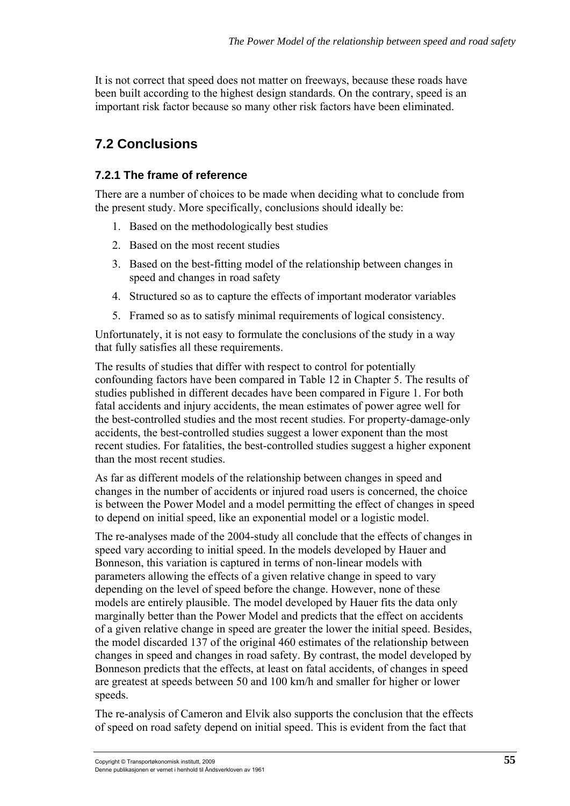It is not correct that speed does not matter on freeways, because these roads have been built according to the highest design standards. On the contrary, speed is an important risk factor because so many other risk factors have been eliminated.

# **7.2 Conclusions**

#### **7.2.1 The frame of reference**

There are a number of choices to be made when deciding what to conclude from the present study. More specifically, conclusions should ideally be:

- 1. Based on the methodologically best studies
- 2. Based on the most recent studies
- 3. Based on the best-fitting model of the relationship between changes in speed and changes in road safety
- 4. Structured so as to capture the effects of important moderator variables
- 5. Framed so as to satisfy minimal requirements of logical consistency.

Unfortunately, it is not easy to formulate the conclusions of the study in a way that fully satisfies all these requirements.

The results of studies that differ with respect to control for potentially confounding factors have been compared in Table 12 in Chapter 5. The results of studies published in different decades have been compared in Figure 1. For both fatal accidents and injury accidents, the mean estimates of power agree well for the best-controlled studies and the most recent studies. For property-damage-only accidents, the best-controlled studies suggest a lower exponent than the most recent studies. For fatalities, the best-controlled studies suggest a higher exponent than the most recent studies.

As far as different models of the relationship between changes in speed and changes in the number of accidents or injured road users is concerned, the choice is between the Power Model and a model permitting the effect of changes in speed to depend on initial speed, like an exponential model or a logistic model.

The re-analyses made of the 2004-study all conclude that the effects of changes in speed vary according to initial speed. In the models developed by Hauer and Bonneson, this variation is captured in terms of non-linear models with parameters allowing the effects of a given relative change in speed to vary depending on the level of speed before the change. However, none of these models are entirely plausible. The model developed by Hauer fits the data only marginally better than the Power Model and predicts that the effect on accidents of a given relative change in speed are greater the lower the initial speed. Besides, the model discarded 137 of the original 460 estimates of the relationship between changes in speed and changes in road safety. By contrast, the model developed by Bonneson predicts that the effects, at least on fatal accidents, of changes in speed are greatest at speeds between 50 and 100 km/h and smaller for higher or lower speeds.

The re-analysis of Cameron and Elvik also supports the conclusion that the effects of speed on road safety depend on initial speed. This is evident from the fact that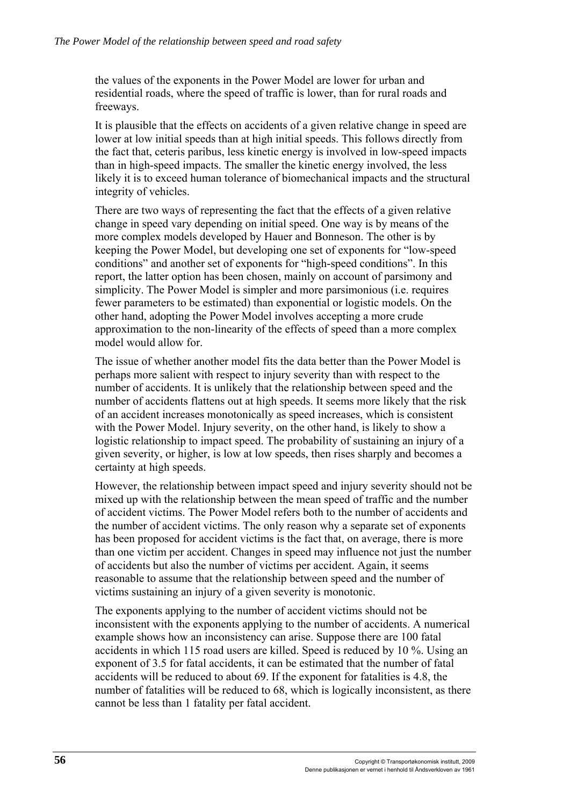the values of the exponents in the Power Model are lower for urban and residential roads, where the speed of traffic is lower, than for rural roads and freeways.

It is plausible that the effects on accidents of a given relative change in speed are lower at low initial speeds than at high initial speeds. This follows directly from the fact that, ceteris paribus, less kinetic energy is involved in low-speed impacts than in high-speed impacts. The smaller the kinetic energy involved, the less likely it is to exceed human tolerance of biomechanical impacts and the structural integrity of vehicles.

There are two ways of representing the fact that the effects of a given relative change in speed vary depending on initial speed. One way is by means of the more complex models developed by Hauer and Bonneson. The other is by keeping the Power Model, but developing one set of exponents for "low-speed conditions" and another set of exponents for "high-speed conditions". In this report, the latter option has been chosen, mainly on account of parsimony and simplicity. The Power Model is simpler and more parsimonious *(i.e. requires*) fewer parameters to be estimated) than exponential or logistic models. On the other hand, adopting the Power Model involves accepting a more crude approximation to the non-linearity of the effects of speed than a more complex model would allow for.

The issue of whether another model fits the data better than the Power Model is perhaps more salient with respect to injury severity than with respect to the number of accidents. It is unlikely that the relationship between speed and the number of accidents flattens out at high speeds. It seems more likely that the risk of an accident increases monotonically as speed increases, which is consistent with the Power Model. Injury severity, on the other hand, is likely to show a logistic relationship to impact speed. The probability of sustaining an injury of a given severity, or higher, is low at low speeds, then rises sharply and becomes a certainty at high speeds.

However, the relationship between impact speed and injury severity should not be mixed up with the relationship between the mean speed of traffic and the number of accident victims. The Power Model refers both to the number of accidents and the number of accident victims. The only reason why a separate set of exponents has been proposed for accident victims is the fact that, on average, there is more than one victim per accident. Changes in speed may influence not just the number of accidents but also the number of victims per accident. Again, it seems reasonable to assume that the relationship between speed and the number of victims sustaining an injury of a given severity is monotonic.

The exponents applying to the number of accident victims should not be inconsistent with the exponents applying to the number of accidents. A numerical example shows how an inconsistency can arise. Suppose there are 100 fatal accidents in which 115 road users are killed. Speed is reduced by 10 %. Using an exponent of 3.5 for fatal accidents, it can be estimated that the number of fatal accidents will be reduced to about 69. If the exponent for fatalities is 4.8, the number of fatalities will be reduced to 68, which is logically inconsistent, as there cannot be less than 1 fatality per fatal accident.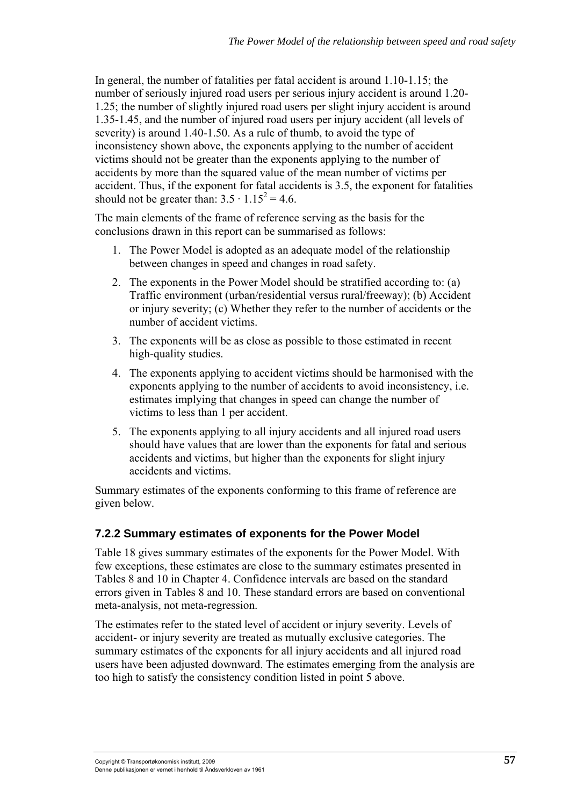In general, the number of fatalities per fatal accident is around 1.10-1.15; the number of seriously injured road users per serious injury accident is around 1.20- 1.25; the number of slightly injured road users per slight injury accident is around 1.35-1.45, and the number of injured road users per injury accident (all levels of severity) is around 1.40-1.50. As a rule of thumb, to avoid the type of inconsistency shown above, the exponents applying to the number of accident victims should not be greater than the exponents applying to the number of accidents by more than the squared value of the mean number of victims per accident. Thus, if the exponent for fatal accidents is 3.5, the exponent for fatalities should not be greater than:  $3.5 \cdot 1.15^2 = 4.6$ .

The main elements of the frame of reference serving as the basis for the conclusions drawn in this report can be summarised as follows:

- 1. The Power Model is adopted as an adequate model of the relationship between changes in speed and changes in road safety.
- 2. The exponents in the Power Model should be stratified according to: (a) Traffic environment (urban/residential versus rural/freeway); (b) Accident or injury severity; (c) Whether they refer to the number of accidents or the number of accident victims.
- 3. The exponents will be as close as possible to those estimated in recent high-quality studies.
- 4. The exponents applying to accident victims should be harmonised with the exponents applying to the number of accidents to avoid inconsistency, i.e. estimates implying that changes in speed can change the number of victims to less than 1 per accident.
- 5. The exponents applying to all injury accidents and all injured road users should have values that are lower than the exponents for fatal and serious accidents and victims, but higher than the exponents for slight injury accidents and victims.

Summary estimates of the exponents conforming to this frame of reference are given below.

## **7.2.2 Summary estimates of exponents for the Power Model**

Table 18 gives summary estimates of the exponents for the Power Model. With few exceptions, these estimates are close to the summary estimates presented in Tables 8 and 10 in Chapter 4. Confidence intervals are based on the standard errors given in Tables 8 and 10. These standard errors are based on conventional meta-analysis, not meta-regression.

The estimates refer to the stated level of accident or injury severity. Levels of accident- or injury severity are treated as mutually exclusive categories. The summary estimates of the exponents for all injury accidents and all injured road users have been adjusted downward. The estimates emerging from the analysis are too high to satisfy the consistency condition listed in point 5 above.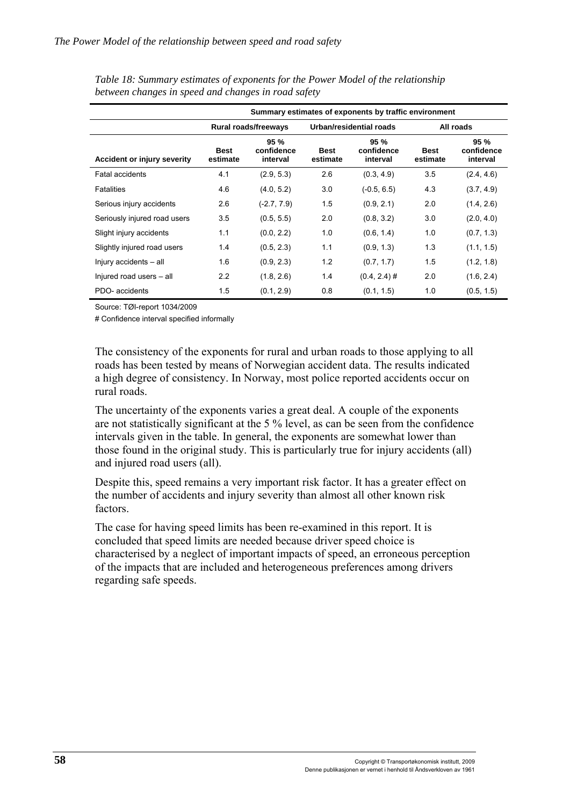|                                    | Summary estimates of exponents by traffic environment |                               |                         |                                |                         |                               |
|------------------------------------|-------------------------------------------------------|-------------------------------|-------------------------|--------------------------------|-------------------------|-------------------------------|
|                                    | <b>Rural roads/freeways</b>                           |                               | Urban/residential roads |                                | All roads               |                               |
| <b>Accident or injury severity</b> | <b>Best</b><br>estimate                               | 95%<br>confidence<br>interval | <b>Best</b><br>estimate | 95 %<br>confidence<br>interval | <b>Best</b><br>estimate | 95%<br>confidence<br>interval |
| Fatal accidents                    | 4.1                                                   | (2.9, 5.3)                    | 2.6                     | (0.3, 4.9)                     | 3.5                     | (2.4, 4.6)                    |
| <b>Fatalities</b>                  | 4.6                                                   | (4.0, 5.2)                    | 3.0                     | $(-0.5, 6.5)$                  | 4.3                     | (3.7, 4.9)                    |
| Serious injury accidents           | 2.6                                                   | $(-2.7, 7.9)$                 | 1.5                     | (0.9, 2.1)                     | 2.0                     | (1.4, 2.6)                    |
| Seriously injured road users       | 3.5                                                   | (0.5, 5.5)                    | 2.0                     | (0.8, 3.2)                     | 3.0                     | (2.0, 4.0)                    |
| Slight injury accidents            | 1.1                                                   | (0.0, 2.2)                    | 1.0                     | (0.6, 1.4)                     | 1.0                     | (0.7, 1.3)                    |
| Slightly injured road users        | 1.4                                                   | (0.5, 2.3)                    | 1.1                     | (0.9, 1.3)                     | 1.3                     | (1.1, 1.5)                    |
| Injury accidents - all             | 1.6                                                   | (0.9, 2.3)                    | 1.2                     | (0.7, 1.7)                     | 1.5                     | (1.2, 1.8)                    |
| Injured road users - all           | 2.2                                                   | (1.8, 2.6)                    | 1.4                     | $(0.4, 2.4)$ #                 | 2.0                     | (1.6, 2.4)                    |
| PDO- accidents                     | 1.5                                                   | (0.1, 2.9)                    | 0.8                     | (0.1, 1.5)                     | 1.0                     | (0.5, 1.5)                    |

*Table 18: Summary estimates of exponents for the Power Model of the relationship between changes in speed and changes in road safety* 

Source: TØI-report 1034/2009

# Confidence interval specified informally

The consistency of the exponents for rural and urban roads to those applying to all roads has been tested by means of Norwegian accident data. The results indicated a high degree of consistency. In Norway, most police reported accidents occur on rural roads.

The uncertainty of the exponents varies a great deal. A couple of the exponents are not statistically significant at the 5 % level, as can be seen from the confidence intervals given in the table. In general, the exponents are somewhat lower than those found in the original study. This is particularly true for injury accidents (all) and injured road users (all).

Despite this, speed remains a very important risk factor. It has a greater effect on the number of accidents and injury severity than almost all other known risk factors.

The case for having speed limits has been re-examined in this report. It is concluded that speed limits are needed because driver speed choice is characterised by a neglect of important impacts of speed, an erroneous perception of the impacts that are included and heterogeneous preferences among drivers regarding safe speeds.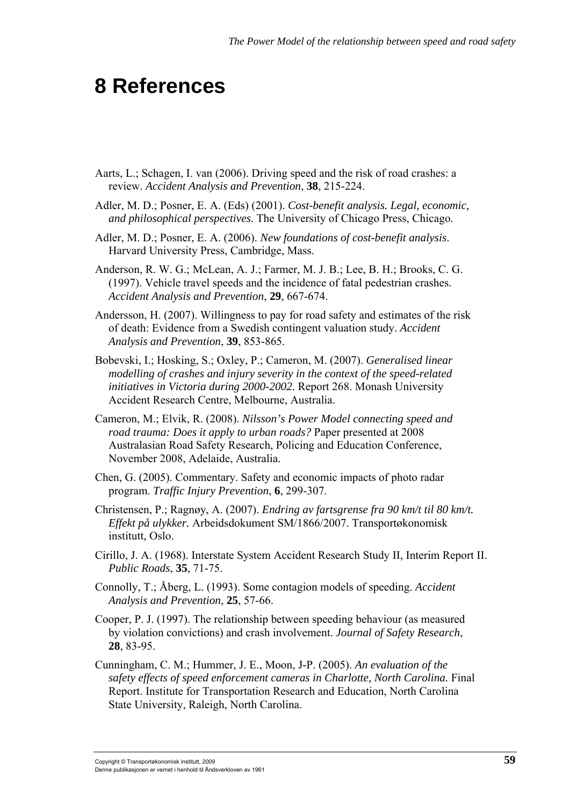## **8 References**

- Aarts, L.; Schagen, I. van (2006). Driving speed and the risk of road crashes: a review. *Accident Analysis and Prevention*, **38**, 215-224.
- Adler, M. D.; Posner, E. A. (Eds) (2001). *Cost-benefit analysis. Legal, economic, and philosophical perspectives*. The University of Chicago Press, Chicago.
- Adler, M. D.; Posner, E. A. (2006). *New foundations of cost-benefit analysis*. Harvard University Press, Cambridge, Mass.
- Anderson, R. W. G.; McLean, A. J.; Farmer, M. J. B.; Lee, B. H.; Brooks, C. G. (1997). Vehicle travel speeds and the incidence of fatal pedestrian crashes. *Accident Analysis and Prevention*, **29**, 667-674.
- Andersson, H. (2007). Willingness to pay for road safety and estimates of the risk of death: Evidence from a Swedish contingent valuation study. *Accident Analysis and Prevention*, **39**, 853-865.
- Bobevski, I.; Hosking, S.; Oxley, P.; Cameron, M. (2007). *Generalised linear modelling of crashes and injury severity in the context of the speed-related initiatives in Victoria during 2000-2002.* Report 268. Monash University Accident Research Centre, Melbourne, Australia.
- Cameron, M.; Elvik, R. (2008). *Nilsson's Power Model connecting speed and road trauma: Does it apply to urban roads?* Paper presented at 2008 Australasian Road Safety Research, Policing and Education Conference, November 2008, Adelaide, Australia.
- Chen, G. (2005). Commentary. Safety and economic impacts of photo radar program. *Traffic Injury Prevention*, **6**, 299-307.
- Christensen, P.; Ragnøy, A. (2007). *Endring av fartsgrense fra 90 km/t til 80 km/t. Effekt på ulykker.* Arbeidsdokument SM/1866/2007. Transportøkonomisk institutt, Oslo.
- Cirillo, J. A. (1968). Interstate System Accident Research Study II, Interim Report II. *Public Roads*, **35**, 71-75.
- Connolly, T.; Åberg, L. (1993). Some contagion models of speeding. *Accident Analysis and Prevention*, **25**, 57-66.
- Cooper, P. J. (1997). The relationship between speeding behaviour (as measured by violation convictions) and crash involvement. *Journal of Safety Research*, **28**, 83-95.
- Cunningham, C. M.; Hummer, J. E., Moon, J-P. (2005). *An evaluation of the safety effects of speed enforcement cameras in Charlotte, North Carolina.* Final Report. Institute for Transportation Research and Education, North Carolina State University, Raleigh, North Carolina.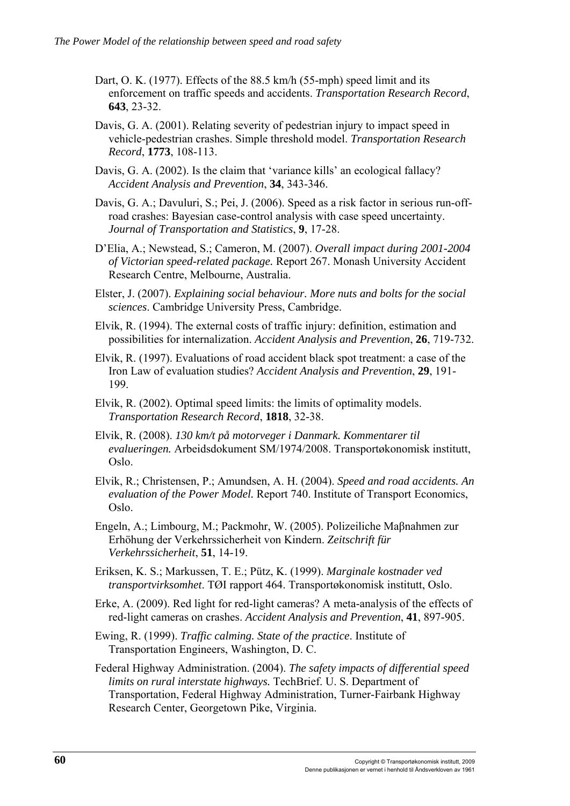- Dart, O. K. (1977). Effects of the 88.5 km/h (55-mph) speed limit and its enforcement on traffic speeds and accidents. *Transportation Research Record*, **643**, 23-32.
- Davis, G. A. (2001). Relating severity of pedestrian injury to impact speed in vehicle-pedestrian crashes. Simple threshold model. *Transportation Research Record*, **1773**, 108-113.
- Davis, G. A. (2002). Is the claim that 'variance kills' an ecological fallacy? *Accident Analysis and Prevention*, **34**, 343-346.
- Davis, G. A.; Davuluri, S.; Pei, J. (2006). Speed as a risk factor in serious run-offroad crashes: Bayesian case-control analysis with case speed uncertainty. *Journal of Transportation and Statistics*, **9**, 17-28.
- D'Elia, A.; Newstead, S.; Cameron, M. (2007). *Overall impact during 2001-2004 of Victorian speed-related package.* Report 267. Monash University Accident Research Centre, Melbourne, Australia.
- Elster, J. (2007). *Explaining social behaviour. More nuts and bolts for the social sciences*. Cambridge University Press, Cambridge.
- Elvik, R. (1994). The external costs of traffic injury: definition, estimation and possibilities for internalization. *Accident Analysis and Prevention*, **26**, 719-732.
- Elvik, R. (1997). Evaluations of road accident black spot treatment: a case of the Iron Law of evaluation studies? *Accident Analysis and Prevention*, **29**, 191- 199.
- Elvik, R. (2002). Optimal speed limits: the limits of optimality models. *Transportation Research Record*, **1818**, 32-38.
- Elvik, R. (2008). *130 km/t på motorveger i Danmark. Kommentarer til evalueringen.* Arbeidsdokument SM/1974/2008. Transportøkonomisk institutt, Oslo.
- Elvik, R.; Christensen, P.; Amundsen, A. H. (2004). *Speed and road accidents. An evaluation of the Power Model.* Report 740. Institute of Transport Economics, Oslo.
- Engeln, A.; Limbourg, M.; Packmohr, W. (2005). Polizeiliche Maβnahmen zur Erhöhung der Verkehrssicherheit von Kindern. *Zeitschrift für Verkehrssicherheit*, **51**, 14-19.
- Eriksen, K. S.; Markussen, T. E.; Pütz, K. (1999). *Marginale kostnader ved transportvirksomhet*. TØI rapport 464. Transportøkonomisk institutt, Oslo.
- Erke, A. (2009). Red light for red-light cameras? A meta-analysis of the effects of red-light cameras on crashes. *Accident Analysis and Prevention*, **41**, 897-905.
- Ewing, R. (1999). *Traffic calming. State of the practice*. Institute of Transportation Engineers, Washington, D. C.
- Federal Highway Administration. (2004). *The safety impacts of differential speed limits on rural interstate highways.* TechBrief. U. S. Department of Transportation, Federal Highway Administration, Turner-Fairbank Highway Research Center, Georgetown Pike, Virginia.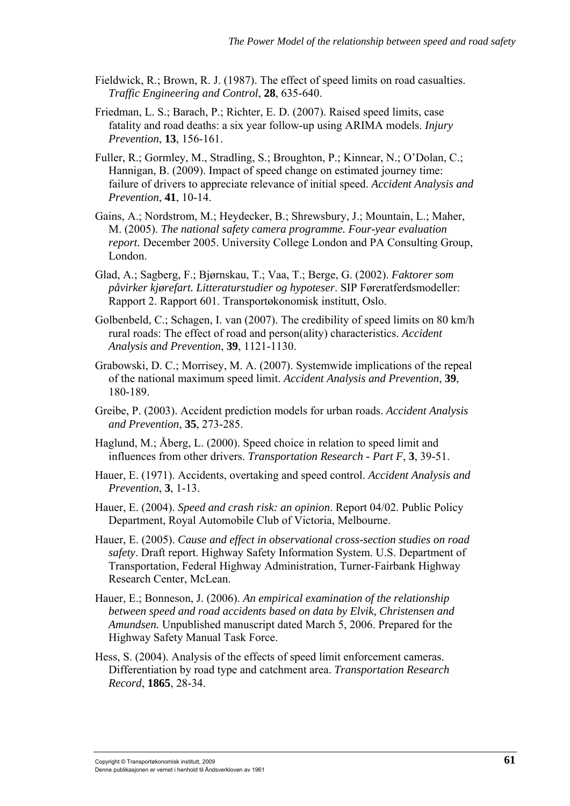- Fieldwick, R.; Brown, R. J. (1987). The effect of speed limits on road casualties. *Traffic Engineering and Control*, **28**, 635-640.
- Friedman, L. S.; Barach, P.; Richter, E. D. (2007). Raised speed limits, case fatality and road deaths: a six year follow-up using ARIMA models. *Injury Prevention*, **13**, 156-161.
- Fuller, R.; Gormley, M., Stradling, S.; Broughton, P.; Kinnear, N.; O'Dolan, C.; Hannigan, B. (2009). Impact of speed change on estimated journey time: failure of drivers to appreciate relevance of initial speed. *Accident Analysis and Prevention*, **41**, 10-14.
- Gains, A.; Nordstrom, M.; Heydecker, B.; Shrewsbury, J.; Mountain, L.; Maher, M. (2005). *The national safety camera programme. Four-year evaluation report.* December 2005. University College London and PA Consulting Group, London.
- Glad, A.; Sagberg, F.; Bjørnskau, T.; Vaa, T.; Berge, G. (2002). *Faktorer som påvirker kjørefart. Litteraturstudier og hypoteser*. SIP Føreratferdsmodeller: Rapport 2. Rapport 601. Transportøkonomisk institutt, Oslo.
- Golbenbeld, C.; Schagen, I. van (2007). The credibility of speed limits on 80 km/h rural roads: The effect of road and person(ality) characteristics. *Accident Analysis and Prevention*, **39**, 1121-1130.
- Grabowski, D. C.; Morrisey, M. A. (2007). Systemwide implications of the repeal of the national maximum speed limit. *Accident Analysis and Prevention*, **39**, 180-189.
- Greibe, P. (2003). Accident prediction models for urban roads. *Accident Analysis and Prevention*, **35**, 273-285.
- Haglund, M.; Åberg, L. (2000). Speed choice in relation to speed limit and influences from other drivers. *Transportation Research - Part F*, **3**, 39-51.
- Hauer, E. (1971). Accidents, overtaking and speed control. *Accident Analysis and Prevention*, **3**, 1-13.
- Hauer, E. (2004). *Speed and crash risk: an opinion*. Report 04/02. Public Policy Department, Royal Automobile Club of Victoria, Melbourne.
- Hauer, E. (2005). *Cause and effect in observational cross-section studies on road safety*. Draft report. Highway Safety Information System. U.S. Department of Transportation, Federal Highway Administration, Turner-Fairbank Highway Research Center, McLean.
- Hauer, E.; Bonneson, J. (2006). *An empirical examination of the relationship between speed and road accidents based on data by Elvik, Christensen and Amundsen.* Unpublished manuscript dated March 5, 2006. Prepared for the Highway Safety Manual Task Force.
- Hess, S. (2004). Analysis of the effects of speed limit enforcement cameras. Differentiation by road type and catchment area. *Transportation Research Record*, **1865**, 28-34.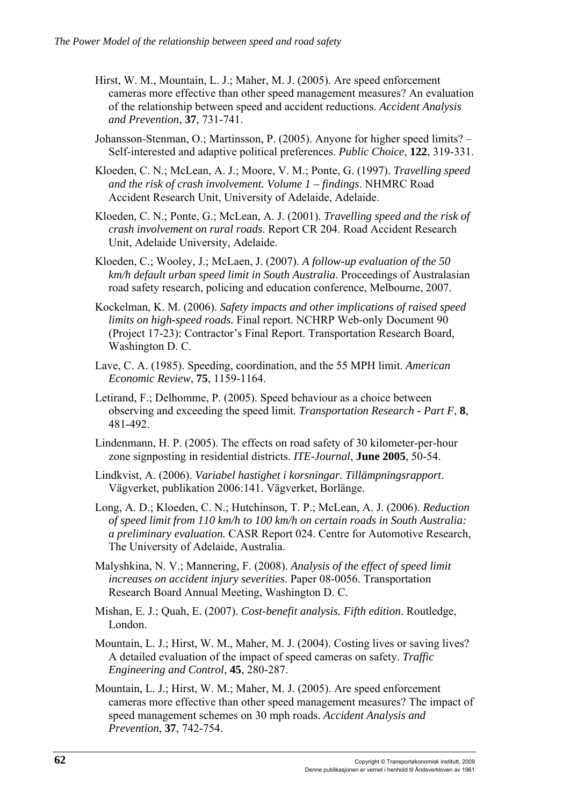- Hirst, W. M., Mountain, L. J.; Maher, M. J. (2005). Are speed enforcement cameras more effective than other speed management measures? An evaluation of the relationship between speed and accident reductions. *Accident Analysis and Prevention*, **37**, 731-741.
- Johansson-Stenman, O.; Martinsson, P. (2005). Anyone for higher speed limits? Self-interested and adaptive political preferences. *Public Choice*, **122**, 319-331.
- Kloeden, C. N.; McLean, A. J.; Moore, V. M.; Ponte, G. (1997). *Travelling speed and the risk of crash involvement. Volume 1 – findings*. NHMRC Road Accident Research Unit, University of Adelaide, Adelaide.
- Kloeden, C. N.; Ponte, G.; McLean, A. J. (2001). *Travelling speed and the risk of crash involvement on rural roads*. Report CR 204. Road Accident Research Unit, Adelaide University, Adelaide.
- Kloeden, C.; Wooley, J.; McLaen, J. (2007). *A follow-up evaluation of the 50 km/h default urban speed limit in South Australia*. Proceedings of Australasian road safety research, policing and education conference, Melbourne, 2007.
- Kockelman, K. M. (2006). *Safety impacts and other implications of raised speed limits on high-speed roads.* Final report. NCHRP Web-only Document 90 (Project 17-23): Contractor's Final Report. Transportation Research Board, Washington D. C.
- Lave, C. A. (1985). Speeding, coordination, and the 55 MPH limit. *American Economic Review*, **75**, 1159-1164.
- Letirand, F.; Delhomme, P. (2005). Speed behaviour as a choice between observing and exceeding the speed limit. *Transportation Research - Part F*, **8**, 481-492.
- Lindenmann, H. P. (2005). The effects on road safety of 30 kilometer-per-hour zone signposting in residential districts. *ITE-Journal*, **June 2005**, 50-54.
- Lindkvist, A. (2006). *Variabel hastighet i korsningar. Tillämpningsrapport*. Vägverket, publikation 2006:141. Vägverket, Borlänge.
- Long, A. D.; Kloeden, C. N.; Hutchinson, T. P.; McLean, A. J. (2006). *Reduction of speed limit from 110 km/h to 100 km/h on certain roads in South Australia: a preliminary evaluation.* CASR Report 024. Centre for Automotive Research, The University of Adelaide, Australia.
- Malyshkina, N. V.; Mannering, F. (2008). *Analysis of the effect of speed limit increases on accident injury severities*. Paper 08-0056. Transportation Research Board Annual Meeting, Washington D. C.
- Mishan, E. J.; Quah, E. (2007). *Cost-benefit analysis. Fifth edition*. Routledge, London.
- Mountain, L. J.; Hirst, W. M., Maher, M. J. (2004). Costing lives or saving lives? A detailed evaluation of the impact of speed cameras on safety. *Traffic Engineering and Control*, **45**, 280-287.
- Mountain, L. J.; Hirst, W. M.; Maher, M. J. (2005). Are speed enforcement cameras more effective than other speed management measures? The impact of speed management schemes on 30 mph roads. *Accident Analysis and Prevention*, **37**, 742-754.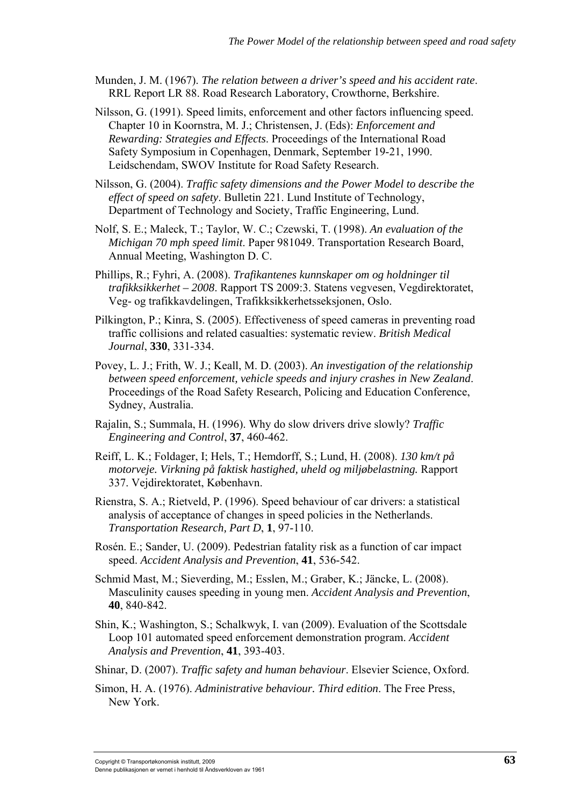- Munden, J. M. (1967). *The relation between a driver's speed and his accident rate*. RRL Report LR 88. Road Research Laboratory, Crowthorne, Berkshire.
- Nilsson, G. (1991). Speed limits, enforcement and other factors influencing speed. Chapter 10 in Koornstra, M. J.; Christensen, J. (Eds): *Enforcement and Rewarding: Strategies and Effects*. Proceedings of the International Road Safety Symposium in Copenhagen, Denmark, September 19-21, 1990. Leidschendam, SWOV Institute for Road Safety Research.
- Nilsson, G. (2004). *Traffic safety dimensions and the Power Model to describe the effect of speed on safety*. Bulletin 221. Lund Institute of Technology, Department of Technology and Society, Traffic Engineering, Lund.
- Nolf, S. E.; Maleck, T.; Taylor, W. C.; Czewski, T. (1998). *An evaluation of the Michigan 70 mph speed limit*. Paper 981049. Transportation Research Board, Annual Meeting, Washington D. C.
- Phillips, R.; Fyhri, A. (2008). *Trafikantenes kunnskaper om og holdninger til trafikksikkerhet – 2008*. Rapport TS 2009:3. Statens vegvesen, Vegdirektoratet, Veg- og trafikkavdelingen, Trafikksikkerhetsseksjonen, Oslo.
- Pilkington, P.; Kinra, S. (2005). Effectiveness of speed cameras in preventing road traffic collisions and related casualties: systematic review. *British Medical Journal*, **330**, 331-334.
- Povey, L. J.; Frith, W. J.; Keall, M. D. (2003). *An investigation of the relationship between speed enforcement, vehicle speeds and injury crashes in New Zealand*. Proceedings of the Road Safety Research, Policing and Education Conference, Sydney, Australia.
- Rajalin, S.; Summala, H. (1996). Why do slow drivers drive slowly? *Traffic Engineering and Control*, **37**, 460-462.
- Reiff, L. K.; Foldager, I; Hels, T.; Hemdorff, S.; Lund, H. (2008). *130 km/t på motorveje. Virkning på faktisk hastighed, uheld og miljøbelastning.* Rapport 337. Vejdirektoratet, København.
- Rienstra, S. A.; Rietveld, P. (1996). Speed behaviour of car drivers: a statistical analysis of acceptance of changes in speed policies in the Netherlands. *Transportation Research, Part D*, **1**, 97-110.
- Rosén. E.; Sander, U. (2009). Pedestrian fatality risk as a function of car impact speed. *Accident Analysis and Prevention*, **41**, 536-542.
- Schmid Mast, M.; Sieverding, M.; Esslen, M.; Graber, K.; Jäncke, L. (2008). Masculinity causes speeding in young men. *Accident Analysis and Prevention*, **40**, 840-842.
- Shin, K.; Washington, S.; Schalkwyk, I. van (2009). Evaluation of the Scottsdale Loop 101 automated speed enforcement demonstration program. *Accident Analysis and Prevention*, **41**, 393-403.
- Shinar, D. (2007). *Traffic safety and human behaviour*. Elsevier Science, Oxford.
- Simon, H. A. (1976). *Administrative behaviour. Third edition*. The Free Press, New York.

Copyright © Transportøkonomisk institutt, 2009 **63** Denne publikasjonen er vernet i henhold til Åndsverkloven av 1961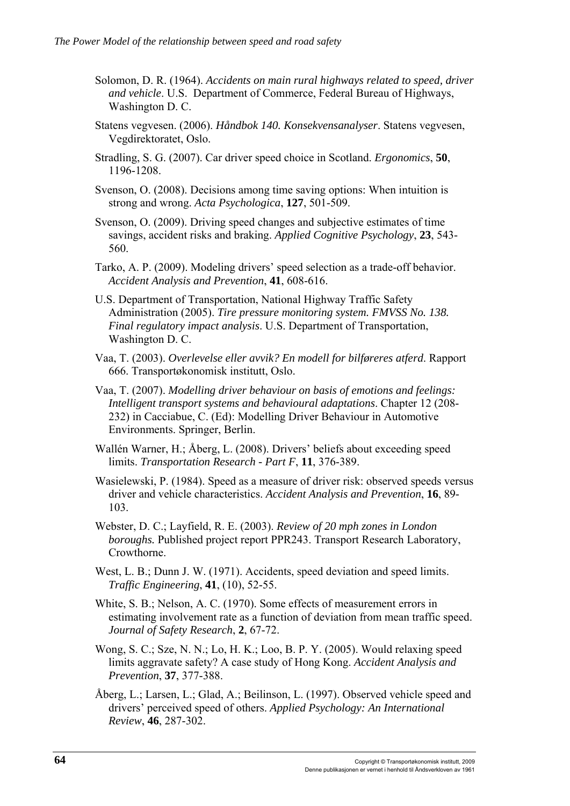- Solomon, D. R. (1964). *Accidents on main rural highways related to speed, driver and vehicle*. U.S. Department of Commerce, Federal Bureau of Highways, Washington D. C.
- Statens vegvesen. (2006). *Håndbok 140. Konsekvensanalyser*. Statens vegvesen, Vegdirektoratet, Oslo.
- Stradling, S. G. (2007). Car driver speed choice in Scotland. *Ergonomics*, **50**, 1196-1208.
- Svenson, O. (2008). Decisions among time saving options: When intuition is strong and wrong. *Acta Psychologica*, **127**, 501-509.
- Svenson, O. (2009). Driving speed changes and subjective estimates of time savings, accident risks and braking. *Applied Cognitive Psychology*, **23**, 543- 560.
- Tarko, A. P. (2009). Modeling drivers' speed selection as a trade-off behavior. *Accident Analysis and Prevention*, **41**, 608-616.
- U.S. Department of Transportation, National Highway Traffic Safety Administration (2005). *Tire pressure monitoring system. FMVSS No. 138. Final regulatory impact analysis*. U.S. Department of Transportation, Washington D. C.
- Vaa, T. (2003). *Overlevelse eller avvik? En modell for bilføreres atferd*. Rapport 666. Transportøkonomisk institutt, Oslo.
- Vaa, T. (2007). *Modelling driver behaviour on basis of emotions and feelings: Intelligent transport systems and behavioural adaptations*. Chapter 12 (208- 232) in Cacciabue, C. (Ed): Modelling Driver Behaviour in Automotive Environments. Springer, Berlin.
- Wallén Warner, H.; Åberg, L. (2008). Drivers' beliefs about exceeding speed limits. *Transportation Research - Part F*, **11**, 376-389.
- Wasielewski, P. (1984). Speed as a measure of driver risk: observed speeds versus driver and vehicle characteristics. *Accident Analysis and Prevention*, **16**, 89- 103.
- Webster, D. C.; Layfield, R. E. (2003). *Review of 20 mph zones in London boroughs.* Published project report PPR243. Transport Research Laboratory, **Crowthorne**
- West, L. B.; Dunn J. W. (1971). Accidents, speed deviation and speed limits. *Traffic Engineering*, **41**, (10), 52-55.
- White, S. B.; Nelson, A. C. (1970). Some effects of measurement errors in estimating involvement rate as a function of deviation from mean traffic speed. *Journal of Safety Research*, **2**, 67-72.
- Wong, S. C.; Sze, N. N.; Lo, H. K.; Loo, B. P. Y. (2005). Would relaxing speed limits aggravate safety? A case study of Hong Kong. *Accident Analysis and Prevention*, **37**, 377-388.
- Åberg, L.; Larsen, L.; Glad, A.; Beilinson, L. (1997). Observed vehicle speed and drivers' perceived speed of others. *Applied Psychology: An International Review*, **46**, 287-302.